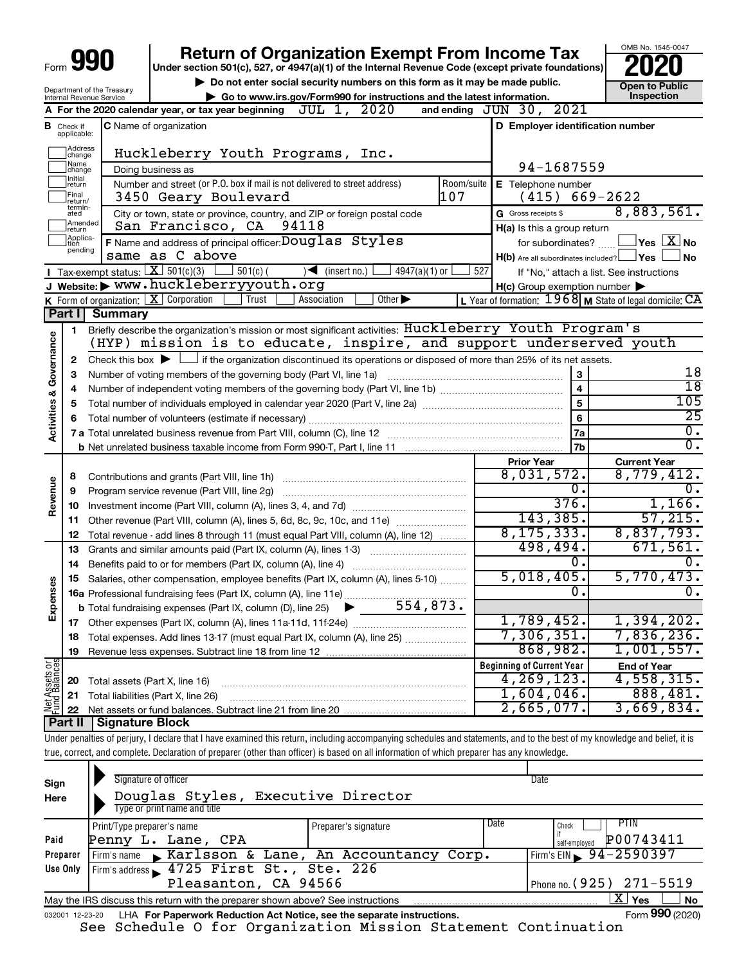| Form | YП |
|------|----|
|      |    |

# **990** Return of Organization Exempt From Income Tax <br>
Under section 501(c), 527, or 4947(a)(1) of the Internal Revenue Code (except private foundations)<br> **PO20**

**but the Social security numbers on this form as it may be made public.** The only one to Public **Depending to Public and the latest information.** This pection ▶ Go to www.irs.gov/Form990 for instructions and the latest information.<br>ax year boginning **ITIT, 1, 2020** and onding JIIN 30, 2021

OMB No. 1545-0047

| Department of the Treasury      |
|---------------------------------|
| <b>Internal Revenue Service</b> |

┯

|                         |                         | A For the 2020 calendar year, or tax year beginning $JUL$ 1, $2020$                                                                         |            | and ending JUN 30, 2021                             |                                                             |
|-------------------------|-------------------------|---------------------------------------------------------------------------------------------------------------------------------------------|------------|-----------------------------------------------------|-------------------------------------------------------------|
| в                       | Check if<br>applicable: | <b>C</b> Name of organization                                                                                                               |            | D Employer identification number                    |                                                             |
|                         | Address<br> change      | Huckleberry Youth Programs, Inc.                                                                                                            |            |                                                     |                                                             |
|                         | Name<br>change          | Doing business as                                                                                                                           |            | 94-1687559                                          |                                                             |
|                         | Initial<br> return      | Number and street (or P.O. box if mail is not delivered to street address)                                                                  | Room/suite | E Telephone number                                  |                                                             |
|                         | Final<br> return/       | 107<br>3450 Geary Boulevard                                                                                                                 |            | (415)                                               | 669-2622                                                    |
|                         | termin-<br>ated         | City or town, state or province, country, and ZIP or foreign postal code                                                                    |            | G Gross receipts \$                                 | 8,883,561.                                                  |
|                         | Amended<br>return       | San Francisco, CA<br>94118                                                                                                                  |            | $H(a)$ is this a group return                       |                                                             |
|                         | Applica-<br>pending     | <b>F</b> Name and address of principal officer: $\overline{\text{Douglas}}$ Styles                                                          |            | for subordinates?                                   | $\Box$ Yes $\Box X$ No                                      |
|                         |                         | same as C above                                                                                                                             |            | $H(b)$ Are all subordinates included? $\Box$ Yes    | ∫ No                                                        |
|                         |                         | <b>I</b> Tax-exempt status: $X \ 501(c)(3)$<br>$\overline{\phantom{a}}$ (insert no.)<br>$501(c)$ (<br>$4947(a)(1)$ or                       | 527        |                                                     | If "No," attach a list. See instructions                    |
|                         |                         | J Website: > www.huckleberryyouth.org                                                                                                       |            | $H(c)$ Group exemption number $\blacktriangleright$ |                                                             |
|                         |                         | $\overline{Other}$<br><b>K</b> Form of organization: $X$ Corporation<br>Trust<br>Association                                                |            |                                                     | L Year of formation: $1968$ M State of legal domicile: $CA$ |
|                         |                         | Part I Summary                                                                                                                              |            |                                                     |                                                             |
|                         | 1                       | Briefly describe the organization's mission or most significant activities: Huckleberry Youth Program's                                     |            |                                                     |                                                             |
| Activities & Governance |                         | (HYP) mission is to educate, inspire, and support underserved youth                                                                         |            |                                                     |                                                             |
|                         | $\mathbf{2}$            | Check this box $\blacktriangleright$ $\Box$ if the organization discontinued its operations or disposed of more than 25% of its net assets. |            |                                                     | 18                                                          |
|                         | 3                       | Number of voting members of the governing body (Part VI, line 1a)                                                                           |            | 3                                                   | $\overline{18}$                                             |
|                         | 4                       |                                                                                                                                             |            | $\overline{\mathbf{4}}$<br>$\overline{5}$           | 105                                                         |
|                         | 5<br>6                  |                                                                                                                                             |            | 6                                                   | $\overline{25}$                                             |
|                         |                         |                                                                                                                                             |            | 7a                                                  | $\overline{0}$ .                                            |
|                         |                         |                                                                                                                                             |            | 7b                                                  | 0.                                                          |
|                         |                         |                                                                                                                                             |            | <b>Prior Year</b>                                   | <b>Current Year</b>                                         |
|                         | 8                       | Contributions and grants (Part VIII, line 1h)                                                                                               |            | 8,031,572.                                          | 8,779,412.                                                  |
| Revenue                 | 9                       | Program service revenue (Part VIII, line 2g)                                                                                                |            | О.                                                  | ο.                                                          |
|                         |                         |                                                                                                                                             |            | 376.                                                | 1,166.                                                      |
|                         | 11                      | Other revenue (Part VIII, column (A), lines 5, 6d, 8c, 9c, 10c, and 11e)                                                                    |            | 143,385.                                            | 57,215.                                                     |
|                         | 12                      | Total revenue - add lines 8 through 11 (must equal Part VIII, column (A), line 12)                                                          |            | 8, 175, 333.                                        | 8,837,793.                                                  |
|                         | 13                      | Grants and similar amounts paid (Part IX, column (A), lines 1-3) <i></i>                                                                    |            | 498,494.                                            | 671,561.                                                    |
|                         | 14                      | Benefits paid to or for members (Part IX, column (A), line 4)                                                                               |            | 0.                                                  |                                                             |
|                         | 15                      | Salaries, other compensation, employee benefits (Part IX, column (A), lines 5-10)                                                           |            | 5,018,405.                                          | 5,770,473.                                                  |
| Expenses                |                         |                                                                                                                                             |            | 0.                                                  | 0.                                                          |
|                         |                         |                                                                                                                                             |            |                                                     |                                                             |
|                         |                         |                                                                                                                                             |            | 1,789,452.                                          | 1,394,202.                                                  |
|                         |                         | <b>18</b> Total expenses. Add lines 13-17 (must equal Part IX, column (A), line 25)                                                         |            | 7,306,351.                                          | 7,836,236.                                                  |
|                         | 19                      |                                                                                                                                             |            | 868,982.                                            | 1,001,557.                                                  |
| 능.<br>이                 |                         |                                                                                                                                             |            | <b>Beginning of Current Year</b><br>4,269,123.      | <b>End of Year</b><br>4,558,315.                            |
| t Assets<br>d Balanc    | 20                      | Total assets (Part X, line 16)                                                                                                              |            | 1,604,046.                                          | 888,481.                                                    |
|                         | 21                      | Total liabilities (Part X, line 26)                                                                                                         |            | 2,665,077.                                          | 3,669,834.                                                  |
|                         | 22                      | Part II   Signature Block                                                                                                                   |            |                                                     |                                                             |
|                         |                         |                                                                                                                                             |            |                                                     |                                                             |

Under penalties of perjury, I declare that I have examined this return, including accompanying schedules and statements, and to the best of my knowledge and belief, it is true, correct, and complete. Declaration of preparer (other than officer) is based on all information of which preparer has any knowledge.

| Sign<br>Here    | Signature of officer<br>Douglas Styles, Executive Director<br>Type or print name and title         |                      |      | Date            |  |  |  |  |
|-----------------|----------------------------------------------------------------------------------------------------|----------------------|------|-----------------|--|--|--|--|
|                 | Print/Type preparer's name                                                                         | Preparer's signature | Date | PTIN<br>Check   |  |  |  |  |
| Paid            | Penny L. Lane, CPA<br>self-emploved                                                                |                      |      |                 |  |  |  |  |
| Preparer        | Firm's EIN $\frac{94-2590397}{ }$<br>Firm's name Karlsson & Lane, An Accountancy Corp.             |                      |      |                 |  |  |  |  |
| Use Only        | Firm's address 1725 First St., Ste. 226                                                            |                      |      |                 |  |  |  |  |
|                 | Pleasanton, CA 94566<br>Phone no. (925) 271-5519                                                   |                      |      |                 |  |  |  |  |
|                 | x.<br>Yes<br>No<br>May the IRS discuss this return with the preparer shown above? See instructions |                      |      |                 |  |  |  |  |
| 032001 12-23-20 | LHA For Paperwork Reduction Act Notice, see the separate instructions.                             |                      |      | Form 990 (2020) |  |  |  |  |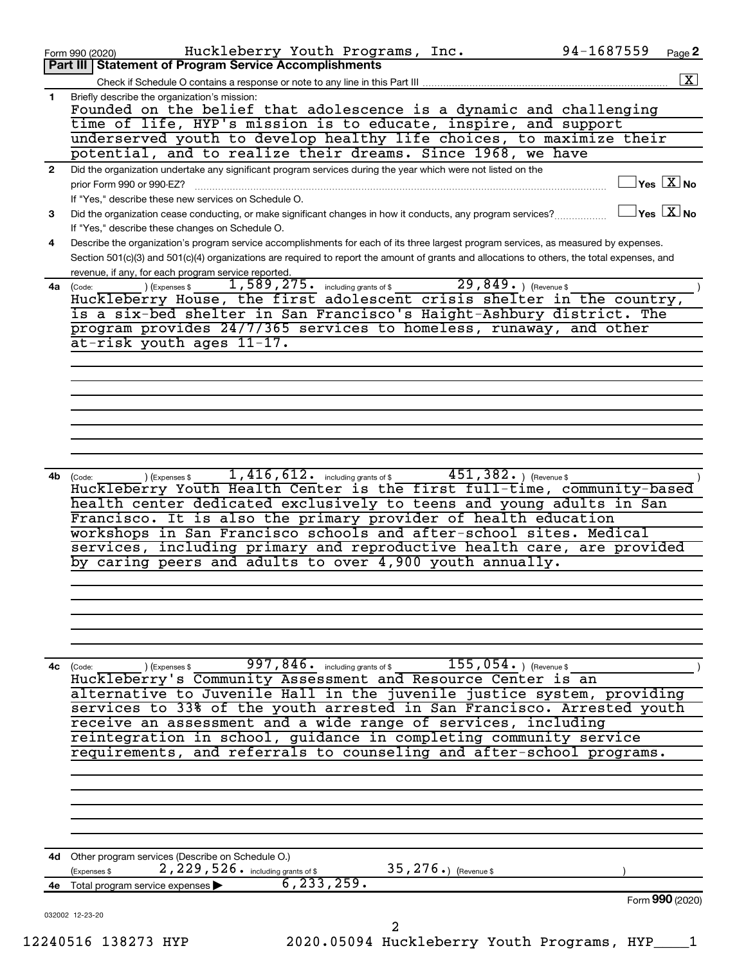|              | 94-1687559<br>Huckleberry Youth Programs, Inc.<br>Page 2<br>Form 990 (2020)                                                                                                                             |
|--------------|---------------------------------------------------------------------------------------------------------------------------------------------------------------------------------------------------------|
|              | Part III   Statement of Program Service Accomplishments                                                                                                                                                 |
|              |                                                                                                                                                                                                         |
| 1            | Briefly describe the organization's mission:<br>Founded on the belief that adolescence is a dynamic and challenging                                                                                     |
|              | time of life, HYP's mission is to educate, inspire, and support                                                                                                                                         |
|              | underserved youth to develop healthy life choices, to maximize their                                                                                                                                    |
|              | potential, and to realize their dreams. Since 1968, we have                                                                                                                                             |
| $\mathbf{2}$ | Did the organization undertake any significant program services during the year which were not listed on the                                                                                            |
|              | $\overline{\ }$ Yes $\overline{\phantom{a}X}$ No<br>prior Form 990 or 990-EZ?                                                                                                                           |
|              | If "Yes," describe these new services on Schedule O.                                                                                                                                                    |
| 3            | $\sqrt{\mathsf{Yes}\ \mathsf{X}}$ No<br>Did the organization cease conducting, or make significant changes in how it conducts, any program services?<br>If "Yes," describe these changes on Schedule O. |
| 4            | Describe the organization's program service accomplishments for each of its three largest program services, as measured by expenses.                                                                    |
|              | Section 501(c)(3) and 501(c)(4) organizations are required to report the amount of grants and allocations to others, the total expenses, and                                                            |
|              | revenue, if any, for each program service reported.                                                                                                                                                     |
|              | $1,589,275$ $\cdot$ including grants of \$<br>$29,849.$ (Revenue \$)<br>(Expenses \$<br>4a (Code:                                                                                                       |
|              | Huckleberry House, the first adolescent crisis shelter in the country,                                                                                                                                  |
|              | is a six-bed shelter in San Francisco's Haight-Ashbury district. The<br>program provides 24/7/365 services to homeless, runaway, and other                                                              |
|              | at-risk youth ages 11-17.                                                                                                                                                                               |
|              |                                                                                                                                                                                                         |
|              |                                                                                                                                                                                                         |
|              |                                                                                                                                                                                                         |
|              |                                                                                                                                                                                                         |
|              |                                                                                                                                                                                                         |
|              |                                                                                                                                                                                                         |
|              |                                                                                                                                                                                                         |
| 4b           | $1,416,612$ $\cdot$ including grants of \$<br>$451,382.$ ) (Revenue \$<br>(Expenses \$<br>(Code:                                                                                                        |
|              | Huckleberry Youth Health Center is the first full-time, community-based                                                                                                                                 |
|              | health center dedicated exclusively to teens and young adults in San                                                                                                                                    |
|              | Francisco. It is also the primary provider of health education                                                                                                                                          |
|              | workshops in San Francisco schools and after-school sites. Medical<br>services, including primary and reproductive health care, are provided                                                            |
|              | by caring peers and adults to over 4,900 youth annually.                                                                                                                                                |
|              |                                                                                                                                                                                                         |
|              |                                                                                                                                                                                                         |
|              |                                                                                                                                                                                                         |
|              |                                                                                                                                                                                                         |
|              |                                                                                                                                                                                                         |
|              | $997, 846$ . including grants of \$<br>$155$ , $054$ $\ldots$ ) (Revenue \$                                                                                                                             |
|              | $4c$ (Code:<br>(Expenses \$<br>Huckleberry's Community Assessment and Resource Center is an                                                                                                             |
|              | alternative to Juvenile Hall in the juvenile justice system, providing                                                                                                                                  |
|              | services to 33% of the youth arrested in San Francisco. Arrested youth                                                                                                                                  |
|              | receive an assessment and a wide range of services, including                                                                                                                                           |
|              | reintegration in school, guidance in completing community service                                                                                                                                       |
|              | requirements, and referrals to counseling and after-school programs.                                                                                                                                    |
|              |                                                                                                                                                                                                         |
|              |                                                                                                                                                                                                         |
|              |                                                                                                                                                                                                         |
|              |                                                                                                                                                                                                         |
|              |                                                                                                                                                                                                         |
|              | 4d Other program services (Describe on Schedule O.)<br>35, 276.) (Revenue \$                                                                                                                            |
| 4е           | 2, 229, 526. including grants of \$<br>(Expenses \$<br>6, 233, 259.<br>Total program service expenses                                                                                                   |
|              | Form 990 (2020)                                                                                                                                                                                         |
|              | 032002 12-23-20                                                                                                                                                                                         |
|              | 2                                                                                                                                                                                                       |
|              | 12240516 138273 HYP<br>2020.05094 Huckleberry Youth Programs, HYP_                                                                                                                                      |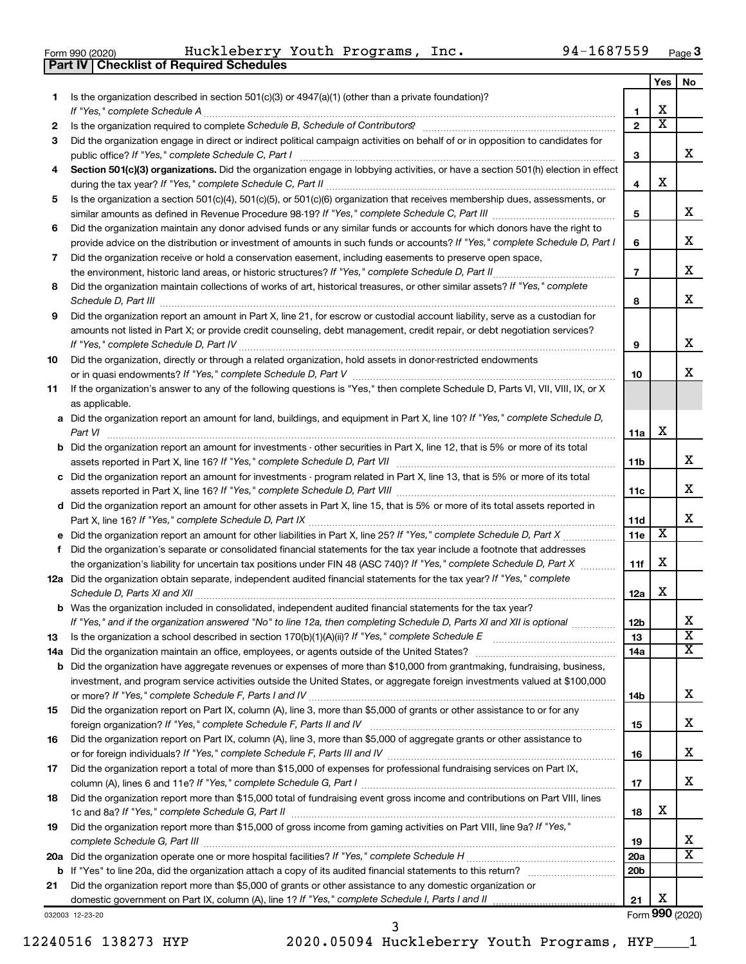|  | Form 990 (2020) |
|--|-----------------|
|  |                 |

**Part IV Checklist of Required Schedules**

Form 990 (2020) Huckleberry Youth Programs, Inc. 94-1687559 <sub>Page</sub>

|     |                                                                                                                                       |                 | Yes                     | No                      |
|-----|---------------------------------------------------------------------------------------------------------------------------------------|-----------------|-------------------------|-------------------------|
| 1   | Is the organization described in section $501(c)(3)$ or $4947(a)(1)$ (other than a private foundation)?                               |                 |                         |                         |
|     |                                                                                                                                       | 1               | х                       |                         |
| 2   |                                                                                                                                       | $\overline{2}$  | $\overline{\textbf{x}}$ |                         |
| 3   | Did the organization engage in direct or indirect political campaign activities on behalf of or in opposition to candidates for       |                 |                         |                         |
|     |                                                                                                                                       | 3               |                         | x                       |
| 4   | Section 501(c)(3) organizations. Did the organization engage in lobbying activities, or have a section 501(h) election in effect      |                 |                         |                         |
|     |                                                                                                                                       | 4               | х                       |                         |
| 5   | Is the organization a section 501(c)(4), 501(c)(5), or 501(c)(6) organization that receives membership dues, assessments, or          |                 |                         |                         |
|     |                                                                                                                                       | 5               |                         | х                       |
| 6   | Did the organization maintain any donor advised funds or any similar funds or accounts for which donors have the right to             |                 |                         |                         |
|     | provide advice on the distribution or investment of amounts in such funds or accounts? If "Yes," complete Schedule D, Part I          | 6               |                         | x                       |
| 7   | Did the organization receive or hold a conservation easement, including easements to preserve open space,                             |                 |                         |                         |
|     |                                                                                                                                       | $\overline{7}$  |                         | x                       |
| 8   | Did the organization maintain collections of works of art, historical treasures, or other similar assets? If "Yes," complete          |                 |                         |                         |
|     |                                                                                                                                       | 8               |                         | x                       |
| 9   | Did the organization report an amount in Part X, line 21, for escrow or custodial account liability, serve as a custodian for         |                 |                         |                         |
|     | amounts not listed in Part X; or provide credit counseling, debt management, credit repair, or debt negotiation services?             |                 |                         |                         |
|     |                                                                                                                                       | 9               |                         | x                       |
| 10  | Did the organization, directly or through a related organization, hold assets in donor-restricted endowments                          |                 |                         |                         |
|     |                                                                                                                                       | 10              |                         | x                       |
| 11  | If the organization's answer to any of the following questions is "Yes," then complete Schedule D, Parts VI, VII, VIII, IX, or X      |                 |                         |                         |
|     | as applicable.                                                                                                                        |                 |                         |                         |
|     | a Did the organization report an amount for land, buildings, and equipment in Part X, line 10? If "Yes," complete Schedule D,         |                 | х                       |                         |
|     |                                                                                                                                       | 11a             |                         |                         |
|     | <b>b</b> Did the organization report an amount for investments - other securities in Part X, line 12, that is 5% or more of its total |                 |                         | х                       |
|     |                                                                                                                                       | 11b             |                         |                         |
|     | c Did the organization report an amount for investments - program related in Part X, line 13, that is 5% or more of its total         | 11c             |                         | x                       |
|     | d Did the organization report an amount for other assets in Part X, line 15, that is 5% or more of its total assets reported in       |                 |                         |                         |
|     |                                                                                                                                       | 11d             |                         | x                       |
|     |                                                                                                                                       | 11e             | х                       |                         |
|     | f Did the organization's separate or consolidated financial statements for the tax year include a footnote that addresses             |                 |                         |                         |
|     | the organization's liability for uncertain tax positions under FIN 48 (ASC 740)? If "Yes," complete Schedule D, Part X                | 11f             | х                       |                         |
|     | 12a Did the organization obtain separate, independent audited financial statements for the tax year? If "Yes," complete               |                 |                         |                         |
|     | Schedule D, Parts XI and XII                                                                                                          | 12a             | х                       |                         |
|     | <b>b</b> Was the organization included in consolidated, independent audited financial statements for the tax year?                    |                 |                         |                         |
|     | If "Yes," and if the organization answered "No" to line 12a, then completing Schedule D, Parts XI and XII is optional www.            | 12 <sub>b</sub> |                         | ∡⊾                      |
| 13  |                                                                                                                                       | 13              |                         | $\overline{\textbf{x}}$ |
| 14a |                                                                                                                                       | 14a             |                         | x                       |
| b   | Did the organization have aggregate revenues or expenses of more than \$10,000 from grantmaking, fundraising, business,               |                 |                         |                         |
|     | investment, and program service activities outside the United States, or aggregate foreign investments valued at \$100,000            |                 |                         |                         |
|     |                                                                                                                                       | 14b             |                         | х                       |
| 15  | Did the organization report on Part IX, column (A), line 3, more than \$5,000 of grants or other assistance to or for any             |                 |                         |                         |
|     |                                                                                                                                       | 15              |                         | х                       |
| 16  | Did the organization report on Part IX, column (A), line 3, more than \$5,000 of aggregate grants or other assistance to              |                 |                         |                         |
|     |                                                                                                                                       | 16              |                         | х                       |
| 17  | Did the organization report a total of more than \$15,000 of expenses for professional fundraising services on Part IX,               |                 |                         |                         |
|     |                                                                                                                                       | 17              |                         | х                       |
| 18  | Did the organization report more than \$15,000 total of fundraising event gross income and contributions on Part VIII, lines          |                 |                         |                         |
|     |                                                                                                                                       | 18              | х                       |                         |
| 19  | Did the organization report more than \$15,000 of gross income from gaming activities on Part VIII, line 9a? If "Yes,"                |                 |                         |                         |
|     |                                                                                                                                       | 19              |                         | х                       |
|     |                                                                                                                                       | 20a             |                         | х                       |
| b   |                                                                                                                                       | 20 <sub>b</sub> |                         |                         |
| 21  | Did the organization report more than \$5,000 of grants or other assistance to any domestic organization or                           |                 |                         |                         |
|     | domestic government on Part IX, column (A), line 1? If "Yes," complete Schedule I, Parts I and II                                     | 21              | х                       |                         |
|     | 032003 12-23-20                                                                                                                       |                 |                         | Form 990 (2020)         |

12240516 138273 HYP 2020.05094 Huckleberry Youth Programs, HYP\_\_\_\_1 3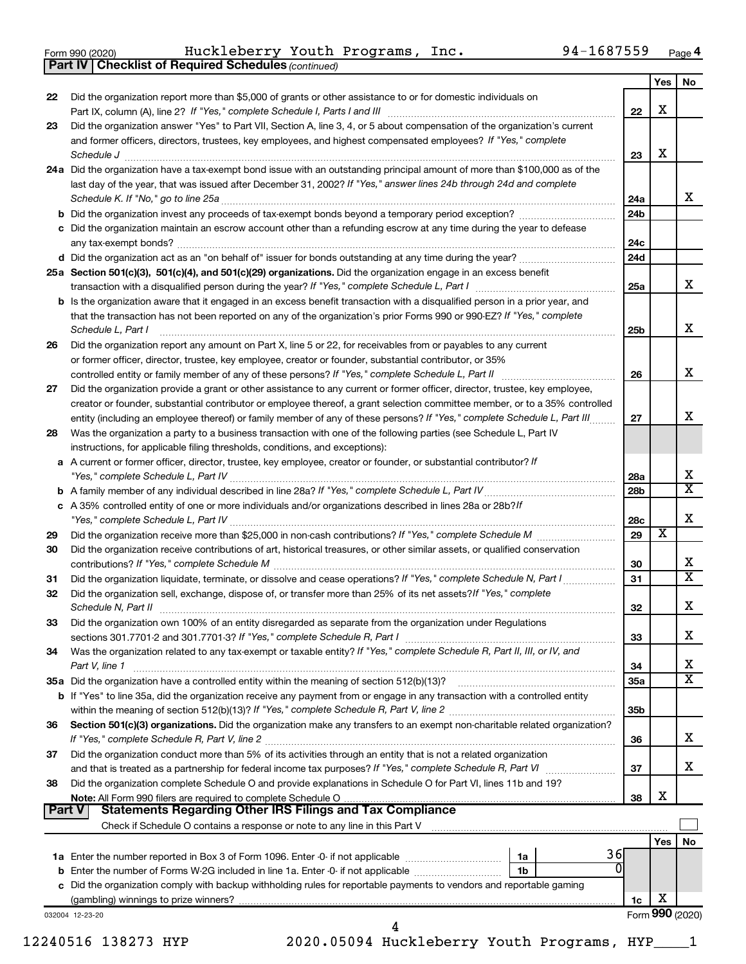| Form 990 (2020) |  |  |  |
|-----------------|--|--|--|
|-----------------|--|--|--|

**Part IV Checklist of Required Schedules**

*(continued)* Form 990 (2020) Page Huckleberry Youth Programs, Inc. 94-1687559

| 22 | Did the organization report more than \$5,000 of grants or other assistance to or for domestic individuals on                                                                                                                                                                                                                                                                          |                 | X                       |                         |
|----|----------------------------------------------------------------------------------------------------------------------------------------------------------------------------------------------------------------------------------------------------------------------------------------------------------------------------------------------------------------------------------------|-----------------|-------------------------|-------------------------|
| 23 | Did the organization answer "Yes" to Part VII, Section A, line 3, 4, or 5 about compensation of the organization's current                                                                                                                                                                                                                                                             | 22              |                         |                         |
|    | and former officers, directors, trustees, key employees, and highest compensated employees? If "Yes," complete                                                                                                                                                                                                                                                                         |                 |                         |                         |
|    | Schedule J <b>Execute Schedule J Execute Schedule J</b>                                                                                                                                                                                                                                                                                                                                | 23              | X                       |                         |
|    | 24a Did the organization have a tax-exempt bond issue with an outstanding principal amount of more than \$100,000 as of the<br>last day of the year, that was issued after December 31, 2002? If "Yes," answer lines 24b through 24d and complete                                                                                                                                      | 24a             |                         | x                       |
|    |                                                                                                                                                                                                                                                                                                                                                                                        | 24b             |                         |                         |
|    | c Did the organization maintain an escrow account other than a refunding escrow at any time during the year to defease                                                                                                                                                                                                                                                                 | 24с             |                         |                         |
|    |                                                                                                                                                                                                                                                                                                                                                                                        | 24d             |                         |                         |
|    | 25a Section 501(c)(3), 501(c)(4), and 501(c)(29) organizations. Did the organization engage in an excess benefit                                                                                                                                                                                                                                                                       | 25a             |                         | x                       |
|    | <b>b</b> Is the organization aware that it engaged in an excess benefit transaction with a disqualified person in a prior year, and<br>that the transaction has not been reported on any of the organization's prior Forms 990 or 990-EZ? If "Yes," complete<br>Schedule L, Part I                                                                                                     | 25b             |                         | x                       |
| 26 | Did the organization report any amount on Part X, line 5 or 22, for receivables from or payables to any current                                                                                                                                                                                                                                                                        |                 |                         |                         |
|    | or former officer, director, trustee, key employee, creator or founder, substantial contributor, or 35%                                                                                                                                                                                                                                                                                |                 |                         |                         |
|    |                                                                                                                                                                                                                                                                                                                                                                                        | 26              |                         | x                       |
| 27 | Did the organization provide a grant or other assistance to any current or former officer, director, trustee, key employee,<br>creator or founder, substantial contributor or employee thereof, a grant selection committee member, or to a 35% controlled<br>entity (including an employee thereof) or family member of any of these persons? If "Yes," complete Schedule L, Part III | 27              |                         | x                       |
| 28 | Was the organization a party to a business transaction with one of the following parties (see Schedule L, Part IV<br>instructions, for applicable filing thresholds, conditions, and exceptions):                                                                                                                                                                                      |                 |                         |                         |
|    | a A current or former officer, director, trustee, key employee, creator or founder, or substantial contributor? If                                                                                                                                                                                                                                                                     |                 |                         | х                       |
|    |                                                                                                                                                                                                                                                                                                                                                                                        | 28a<br>28b      |                         | $\overline{\textbf{X}}$ |
|    | c A 35% controlled entity of one or more individuals and/or organizations described in lines 28a or 28b?/f                                                                                                                                                                                                                                                                             | 28c             |                         | Х                       |
| 29 |                                                                                                                                                                                                                                                                                                                                                                                        | 29              | $\overline{\textbf{x}}$ |                         |
| 30 | Did the organization receive contributions of art, historical treasures, or other similar assets, or qualified conservation                                                                                                                                                                                                                                                            | 30              |                         | х                       |
| 31 | Did the organization liquidate, terminate, or dissolve and cease operations? If "Yes," complete Schedule N, Part I                                                                                                                                                                                                                                                                     | 31              |                         | $\overline{\textbf{X}}$ |
| 32 | Did the organization sell, exchange, dispose of, or transfer more than 25% of its net assets? If "Yes," complete<br>Schedule N, Part II                                                                                                                                                                                                                                                | 32              |                         | х                       |
| 33 | Did the organization own 100% of an entity disregarded as separate from the organization under Regulations                                                                                                                                                                                                                                                                             | 33              |                         | x                       |
| 34 | Was the organization related to any tax-exempt or taxable entity? If "Yes," complete Schedule R, Part II, III, or IV, and<br>Part V, line 1                                                                                                                                                                                                                                            | 34              |                         | х                       |
|    |                                                                                                                                                                                                                                                                                                                                                                                        | <b>35a</b>      |                         | $\overline{\textbf{X}}$ |
|    | <b>b</b> If "Yes" to line 35a, did the organization receive any payment from or engage in any transaction with a controlled entity                                                                                                                                                                                                                                                     | 35 <sub>b</sub> |                         |                         |
| 36 | Section 501(c)(3) organizations. Did the organization make any transfers to an exempt non-charitable related organization?                                                                                                                                                                                                                                                             | 36              |                         | х                       |
| 37 | Did the organization conduct more than 5% of its activities through an entity that is not a related organization<br>and that is treated as a partnership for federal income tax purposes? If "Yes," complete Schedule R, Part VI                                                                                                                                                       | 37              |                         | х                       |
| 38 | Did the organization complete Schedule O and provide explanations in Schedule O for Part VI, lines 11b and 19?<br>Note: All Form 990 filers are required to complete Schedule O.<br>Part V<br><b>Statements Regarding Other IRS Filings and Tax Compliance</b>                                                                                                                         | 38              | X                       |                         |
|    |                                                                                                                                                                                                                                                                                                                                                                                        |                 |                         |                         |
|    |                                                                                                                                                                                                                                                                                                                                                                                        |                 | Yes l                   | No                      |
|    | 36<br><b>1a</b> Enter the number reported in Box 3 of Form 1096. Enter -0- if not applicable <i>manumumumum</i><br>1a<br><b>b</b> Enter the number of Forms W-2G included in line 1a. Enter -0- if not applicable<br>1 <sub>b</sub>                                                                                                                                                    |                 |                         |                         |
|    | c Did the organization comply with backup withholding rules for reportable payments to vendors and reportable gaming                                                                                                                                                                                                                                                                   |                 | х                       |                         |
|    | 032004 12-23-20                                                                                                                                                                                                                                                                                                                                                                        | 1c              | Form 990 (2020)         |                         |
|    |                                                                                                                                                                                                                                                                                                                                                                                        |                 |                         |                         |
|    | 12240516 138273 HYP<br>2020.05094 Huckleberry Youth Programs, HYP                                                                                                                                                                                                                                                                                                                      |                 |                         |                         |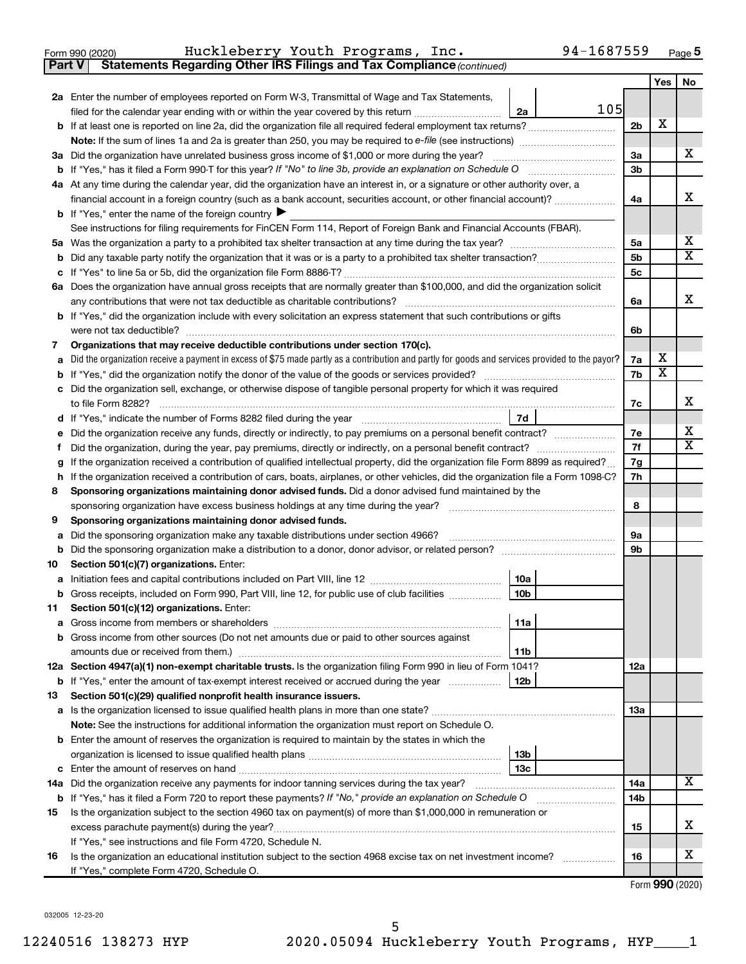| Form 990 (2020) |  | Huckleberry Youth Programs, Inc. | 94-1687559<br>Page |  |
|-----------------|--|----------------------------------|--------------------|--|
|-----------------|--|----------------------------------|--------------------|--|

**Part V Statements Regarding Other IRS Filings and Tax Compliance**

*(continued)*

|                                                                                                |                                                                                                                                                                                                                                                                                                                                                   |                | Yes                     | No          |  |
|------------------------------------------------------------------------------------------------|---------------------------------------------------------------------------------------------------------------------------------------------------------------------------------------------------------------------------------------------------------------------------------------------------------------------------------------------------|----------------|-------------------------|-------------|--|
|                                                                                                | 2a Enter the number of employees reported on Form W-3, Transmittal of Wage and Tax Statements,                                                                                                                                                                                                                                                    |                |                         |             |  |
|                                                                                                | 105<br>filed for the calendar year ending with or within the year covered by this return <i>manumumumum</i><br>2a                                                                                                                                                                                                                                 |                |                         |             |  |
|                                                                                                |                                                                                                                                                                                                                                                                                                                                                   | 2 <sub>b</sub> | X                       |             |  |
|                                                                                                |                                                                                                                                                                                                                                                                                                                                                   |                |                         |             |  |
|                                                                                                | 3a Did the organization have unrelated business gross income of \$1,000 or more during the year?                                                                                                                                                                                                                                                  | За             |                         | х           |  |
|                                                                                                |                                                                                                                                                                                                                                                                                                                                                   | 3b             |                         |             |  |
|                                                                                                | 4a At any time during the calendar year, did the organization have an interest in, or a signature or other authority over, a                                                                                                                                                                                                                      |                |                         |             |  |
|                                                                                                | financial account in a foreign country (such as a bank account, securities account, or other financial account)?                                                                                                                                                                                                                                  | 4a             |                         | х           |  |
|                                                                                                | <b>b</b> If "Yes," enter the name of the foreign country                                                                                                                                                                                                                                                                                          |                |                         |             |  |
|                                                                                                | See instructions for filing requirements for FinCEN Form 114, Report of Foreign Bank and Financial Accounts (FBAR).                                                                                                                                                                                                                               |                |                         |             |  |
|                                                                                                |                                                                                                                                                                                                                                                                                                                                                   | 5a             |                         | х           |  |
| b                                                                                              |                                                                                                                                                                                                                                                                                                                                                   | 5b             |                         | $\mathbf x$ |  |
|                                                                                                |                                                                                                                                                                                                                                                                                                                                                   |                |                         |             |  |
|                                                                                                | 6a Does the organization have annual gross receipts that are normally greater than \$100,000, and did the organization solicit                                                                                                                                                                                                                    |                |                         |             |  |
|                                                                                                | any contributions that were not tax deductible as charitable contributions?                                                                                                                                                                                                                                                                       | 6a             |                         | х           |  |
|                                                                                                | b If "Yes," did the organization include with every solicitation an express statement that such contributions or gifts                                                                                                                                                                                                                            |                |                         |             |  |
|                                                                                                | were not tax deductible?                                                                                                                                                                                                                                                                                                                          | 6b             |                         |             |  |
| 7                                                                                              | Organizations that may receive deductible contributions under section 170(c).                                                                                                                                                                                                                                                                     |                |                         |             |  |
| a                                                                                              | Did the organization receive a payment in excess of \$75 made partly as a contribution and partly for goods and services provided to the payor?                                                                                                                                                                                                   | 7a             | х                       |             |  |
|                                                                                                |                                                                                                                                                                                                                                                                                                                                                   | 7b             | $\overline{\textbf{x}}$ |             |  |
| c                                                                                              | Did the organization sell, exchange, or otherwise dispose of tangible personal property for which it was required                                                                                                                                                                                                                                 |                |                         |             |  |
|                                                                                                | to file Form 8282?                                                                                                                                                                                                                                                                                                                                | 7c             |                         | x           |  |
| d                                                                                              | 7d                                                                                                                                                                                                                                                                                                                                                |                |                         | х           |  |
|                                                                                                |                                                                                                                                                                                                                                                                                                                                                   |                |                         |             |  |
|                                                                                                |                                                                                                                                                                                                                                                                                                                                                   |                |                         |             |  |
| g                                                                                              | If the organization received a contribution of qualified intellectual property, did the organization file Form 8899 as required?                                                                                                                                                                                                                  | 7g             |                         |             |  |
| h                                                                                              | If the organization received a contribution of cars, boats, airplanes, or other vehicles, did the organization file a Form 1098-C?                                                                                                                                                                                                                | 7h             |                         |             |  |
| 8                                                                                              | Sponsoring organizations maintaining donor advised funds. Did a donor advised fund maintained by the                                                                                                                                                                                                                                              | 8              |                         |             |  |
|                                                                                                | sponsoring organization have excess business holdings at any time during the year?<br>9<br>Sponsoring organizations maintaining donor advised funds.                                                                                                                                                                                              |                |                         |             |  |
|                                                                                                |                                                                                                                                                                                                                                                                                                                                                   | 9а             |                         |             |  |
| Did the sponsoring organization make any taxable distributions under section 4966?<br>a        |                                                                                                                                                                                                                                                                                                                                                   |                |                         |             |  |
| b<br>10                                                                                        |                                                                                                                                                                                                                                                                                                                                                   | 9b             |                         |             |  |
|                                                                                                | Section 501(c)(7) organizations. Enter:<br>10a                                                                                                                                                                                                                                                                                                    |                |                         |             |  |
| а<br>b                                                                                         | 10 <sub>b</sub><br>Gross receipts, included on Form 990, Part VIII, line 12, for public use of club facilities                                                                                                                                                                                                                                    |                |                         |             |  |
| 11                                                                                             | Section 501(c)(12) organizations. Enter:                                                                                                                                                                                                                                                                                                          |                |                         |             |  |
|                                                                                                | 11a                                                                                                                                                                                                                                                                                                                                               |                |                         |             |  |
|                                                                                                | b Gross income from other sources (Do not net amounts due or paid to other sources against                                                                                                                                                                                                                                                        |                |                         |             |  |
|                                                                                                | amounts due or received from them.)<br>11b                                                                                                                                                                                                                                                                                                        |                |                         |             |  |
|                                                                                                | 12a Section 4947(a)(1) non-exempt charitable trusts. Is the organization filing Form 990 in lieu of Form 1041?                                                                                                                                                                                                                                    | 12a            |                         |             |  |
|                                                                                                | b If "Yes," enter the amount of tax-exempt interest received or accrued during the year<br>12b                                                                                                                                                                                                                                                    |                |                         |             |  |
| 13                                                                                             | Section 501(c)(29) qualified nonprofit health insurance issuers.                                                                                                                                                                                                                                                                                  |                |                         |             |  |
|                                                                                                | a Is the organization licensed to issue qualified health plans in more than one state?                                                                                                                                                                                                                                                            | 1За            |                         |             |  |
|                                                                                                | Note: See the instructions for additional information the organization must report on Schedule O.                                                                                                                                                                                                                                                 |                |                         |             |  |
|                                                                                                | <b>b</b> Enter the amount of reserves the organization is required to maintain by the states in which the                                                                                                                                                                                                                                         |                |                         |             |  |
|                                                                                                | 13 <sub>b</sub>                                                                                                                                                                                                                                                                                                                                   |                |                         |             |  |
|                                                                                                | 13c                                                                                                                                                                                                                                                                                                                                               |                |                         |             |  |
| 14a Did the organization receive any payments for indoor tanning services during the tax year? |                                                                                                                                                                                                                                                                                                                                                   |                |                         |             |  |
|                                                                                                | b If "Yes," has it filed a Form 720 to report these payments? If "No," provide an explanation on Schedule O                                                                                                                                                                                                                                       | 14b            |                         |             |  |
| 15                                                                                             | Is the organization subject to the section 4960 tax on payment(s) of more than \$1,000,000 in remuneration or                                                                                                                                                                                                                                     |                |                         |             |  |
|                                                                                                |                                                                                                                                                                                                                                                                                                                                                   | 15             |                         | x           |  |
|                                                                                                | If "Yes," see instructions and file Form 4720, Schedule N.                                                                                                                                                                                                                                                                                        |                |                         |             |  |
| 16                                                                                             | Is the organization an educational institution subject to the section 4968 excise tax on net investment income?<br>and a complete the complete state of the state of the state of the state of the state of the state of the state of the state of the state of the state of the state of the state of the state of the state of the state of the | 16             |                         | x           |  |
| If "Yes," complete Form 4720, Schedule O.                                                      |                                                                                                                                                                                                                                                                                                                                                   |                |                         |             |  |

Form (2020) **990**

032005 12-23-20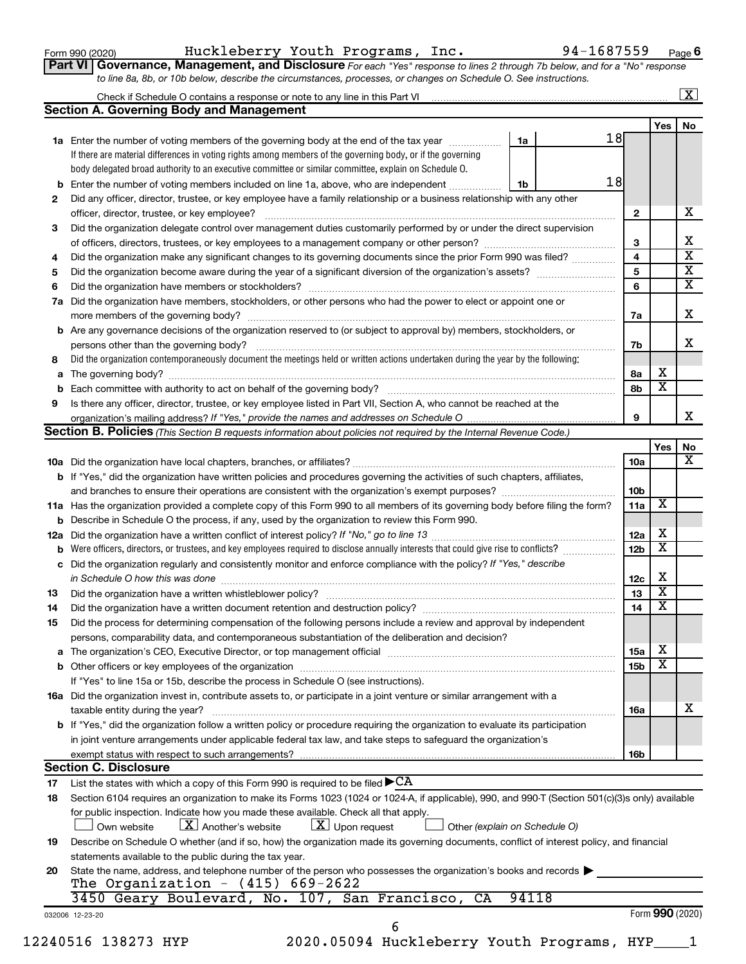Form 990 (2020) Huckleberry Youth Programs, Inc. 94-1687559 <sub>Page</sub>

**Part VI** Governance, Management, and Disclosure For each "Yes" response to lines 2 through 7b below, and for a "No" response *to line 8a, 8b, or 10b below, describe the circumstances, processes, or changes on Schedule O. See instructions.*

|                                                                                                                                                                                                                               |                                                                                              |                 |                         | $\mathbf{X}$                                                                          |
|-------------------------------------------------------------------------------------------------------------------------------------------------------------------------------------------------------------------------------|----------------------------------------------------------------------------------------------|-----------------|-------------------------|---------------------------------------------------------------------------------------|
| <b>Section A. Governing Body and Management</b>                                                                                                                                                                               |                                                                                              |                 |                         |                                                                                       |
|                                                                                                                                                                                                                               |                                                                                              |                 | Yes                     | No                                                                                    |
| 1a Enter the number of voting members of the governing body at the end of the tax year                                                                                                                                        | 18<br>1a                                                                                     |                 |                         |                                                                                       |
| If there are material differences in voting rights among members of the governing body, or if the governing                                                                                                                   |                                                                                              |                 |                         |                                                                                       |
| body delegated broad authority to an executive committee or similar committee, explain on Schedule O.                                                                                                                         |                                                                                              |                 |                         |                                                                                       |
| Enter the number of voting members included on line 1a, above, who are independent                                                                                                                                            | 18<br>1b                                                                                     |                 |                         |                                                                                       |
| Did any officer, director, trustee, or key employee have a family relationship or a business relationship with any other                                                                                                      |                                                                                              |                 |                         |                                                                                       |
| officer, director, trustee, or key employee?                                                                                                                                                                                  |                                                                                              | $\mathbf{2}$    |                         | х                                                                                     |
| Did the organization delegate control over management duties customarily performed by or under the direct supervision                                                                                                         |                                                                                              |                 |                         |                                                                                       |
|                                                                                                                                                                                                                               |                                                                                              | 3               |                         | х                                                                                     |
| Did the organization make any significant changes to its governing documents since the prior Form 990 was filed?                                                                                                              |                                                                                              | 4               |                         | $\overline{\textbf{x}}$                                                               |
|                                                                                                                                                                                                                               |                                                                                              | 5               |                         | $\overline{\mathbf{X}}$                                                               |
|                                                                                                                                                                                                                               |                                                                                              | 6               |                         | $\overline{\mathbf{X}}$                                                               |
| Did the organization have members, stockholders, or other persons who had the power to elect or appoint one or                                                                                                                |                                                                                              |                 |                         |                                                                                       |
|                                                                                                                                                                                                                               |                                                                                              |                 |                         | x                                                                                     |
|                                                                                                                                                                                                                               |                                                                                              | 7a              |                         |                                                                                       |
| Are any governance decisions of the organization reserved to (or subject to approval by) members, stockholders, or                                                                                                            |                                                                                              |                 |                         | x                                                                                     |
|                                                                                                                                                                                                                               |                                                                                              | 7b              |                         |                                                                                       |
| Did the organization contemporaneously document the meetings held or written actions undertaken during the year by the following:                                                                                             |                                                                                              |                 |                         |                                                                                       |
|                                                                                                                                                                                                                               |                                                                                              | 8а              | х                       |                                                                                       |
|                                                                                                                                                                                                                               |                                                                                              | 8b              | $\overline{\mathbf{x}}$ |                                                                                       |
| Is there any officer, director, trustee, or key employee listed in Part VII, Section A, who cannot be reached at the                                                                                                          |                                                                                              |                 |                         |                                                                                       |
|                                                                                                                                                                                                                               |                                                                                              | 9               |                         | x                                                                                     |
| <b>Section B. Policies</b> (This Section B requests information about policies not required by the Internal Revenue Code.)                                                                                                    |                                                                                              |                 |                         |                                                                                       |
|                                                                                                                                                                                                                               |                                                                                              |                 | Yes                     | No                                                                                    |
|                                                                                                                                                                                                                               |                                                                                              | 10a             |                         | x                                                                                     |
| <b>b</b> If "Yes," did the organization have written policies and procedures governing the activities of such chapters, affiliates,                                                                                           |                                                                                              |                 |                         |                                                                                       |
|                                                                                                                                                                                                                               |                                                                                              | 10b             |                         |                                                                                       |
| 11a Has the organization provided a complete copy of this Form 990 to all members of its governing body before filing the form?                                                                                               |                                                                                              | 11a             | X                       |                                                                                       |
| <b>b</b> Describe in Schedule O the process, if any, used by the organization to review this Form 990.                                                                                                                        |                                                                                              |                 |                         |                                                                                       |
|                                                                                                                                                                                                                               |                                                                                              | 12a             | х                       |                                                                                       |
| Were officers, directors, or trustees, and key employees required to disclose annually interests that could give rise to conflicts?                                                                                           |                                                                                              | 12 <sub>b</sub> | $\overline{\mathbf{X}}$ |                                                                                       |
| Did the organization regularly and consistently monitor and enforce compliance with the policy? If "Yes," describe                                                                                                            |                                                                                              |                 |                         |                                                                                       |
|                                                                                                                                                                                                                               |                                                                                              | 12c             | Х                       |                                                                                       |
|                                                                                                                                                                                                                               |                                                                                              | 13              | $\overline{\mathbf{X}}$ |                                                                                       |
|                                                                                                                                                                                                                               |                                                                                              | 14              | $\overline{\mathbf{X}}$ |                                                                                       |
| Did the organization have a written document retention and destruction policy? [11] manufaction manufaction in                                                                                                                |                                                                                              |                 |                         |                                                                                       |
| Did the process for determining compensation of the following persons include a review and approval by independent                                                                                                            |                                                                                              |                 |                         |                                                                                       |
| persons, comparability data, and contemporaneous substantiation of the deliberation and decision?                                                                                                                             |                                                                                              |                 |                         |                                                                                       |
| The organization's CEO, Executive Director, or top management official [111] [11] manument content of the organization's CEO, Executive Director, or top management official [11] manument content of the organization of the |                                                                                              | 15a             | х                       |                                                                                       |
|                                                                                                                                                                                                                               |                                                                                              | 15 <sub>b</sub> | $\overline{\textbf{x}}$ |                                                                                       |
| If "Yes" to line 15a or 15b, describe the process in Schedule O (see instructions).                                                                                                                                           |                                                                                              |                 |                         |                                                                                       |
| 16a Did the organization invest in, contribute assets to, or participate in a joint venture or similar arrangement with a                                                                                                     |                                                                                              |                 |                         |                                                                                       |
| taxable entity during the year?                                                                                                                                                                                               |                                                                                              | 16a             |                         | х                                                                                     |
| b If "Yes," did the organization follow a written policy or procedure requiring the organization to evaluate its participation                                                                                                |                                                                                              |                 |                         |                                                                                       |
| in joint venture arrangements under applicable federal tax law, and take steps to safeguard the organization's                                                                                                                |                                                                                              |                 |                         |                                                                                       |
| exempt status with respect to such arrangements?                                                                                                                                                                              |                                                                                              | 16b             |                         |                                                                                       |
| <b>Section C. Disclosure</b>                                                                                                                                                                                                  |                                                                                              |                 |                         |                                                                                       |
| List the states with which a copy of this Form 990 is required to be filed $\blacktriangleright$ CA                                                                                                                           |                                                                                              |                 |                         |                                                                                       |
| Section 6104 requires an organization to make its Forms 1023 (1024 or 1024-A, if applicable), 990, and 990-T (Section 501(c)(3)s only) available                                                                              |                                                                                              |                 |                         |                                                                                       |
| for public inspection. Indicate how you made these available. Check all that apply.                                                                                                                                           |                                                                                              |                 |                         |                                                                                       |
| $\lfloor x \rfloor$ Upon request<br>$\lfloor X \rfloor$ Another's website<br>Own website                                                                                                                                      | Other (explain on Schedule O)                                                                |                 |                         |                                                                                       |
| Describe on Schedule O whether (and if so, how) the organization made its governing documents, conflict of interest policy, and financial                                                                                     |                                                                                              |                 |                         |                                                                                       |
|                                                                                                                                                                                                                               |                                                                                              |                 |                         |                                                                                       |
| statements available to the public during the tax year.                                                                                                                                                                       |                                                                                              |                 |                         |                                                                                       |
| State the name, address, and telephone number of the person who possesses the organization's books and records                                                                                                                |                                                                                              |                 |                         |                                                                                       |
|                                                                                                                                                                                                                               |                                                                                              |                 |                         |                                                                                       |
|                                                                                                                                                                                                                               |                                                                                              |                 |                         |                                                                                       |
|                                                                                                                                                                                                                               |                                                                                              |                 |                         |                                                                                       |
|                                                                                                                                                                                                                               | The Organization - $(415)$ 669-2622<br>3450 Geary Boulevard, No. 107, San Francisco, CA<br>6 | 94118           |                         | Form 990 (2020)<br>2020.05094 Huckleberry Youth Programs, HYP_<br>12240516 138273 HYP |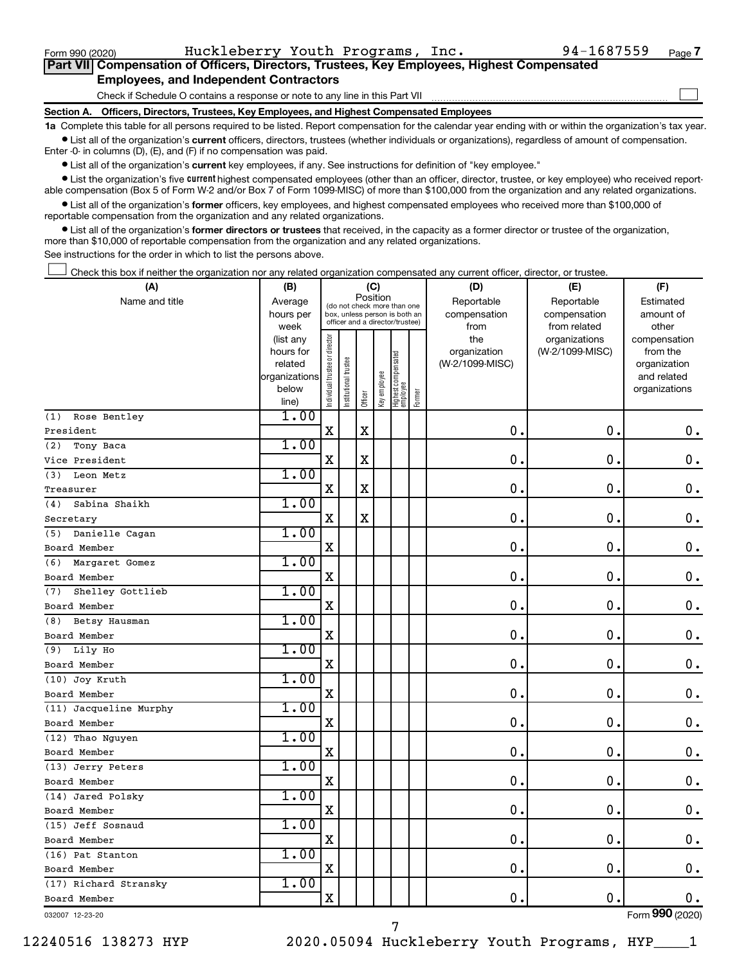$\Box$ 

| Part VII Compensation of Officers, Directors, Trustees, Key Employees, Highest Compensated |  |  |  |  |
|--------------------------------------------------------------------------------------------|--|--|--|--|
| <b>Employees, and Independent Contractors</b>                                              |  |  |  |  |

Check if Schedule O contains a response or note to any line in this Part VII

**Section A. Officers, Directors, Trustees, Key Employees, and Highest Compensated Employees**

**1a**  Complete this table for all persons required to be listed. Report compensation for the calendar year ending with or within the organization's tax year.  $\bullet$  List all of the organization's current officers, directors, trustees (whether individuals or organizations), regardless of amount of compensation.

Enter -0- in columns (D), (E), and (F) if no compensation was paid.

**•** List all of the organization's current key employees, if any. See instructions for definition of "key employee."

• List the organization's five *current* highest compensated employees (other than an officer, director, trustee, or key employee) who received reportable compensation (Box 5 of Form W-2 and/or Box 7 of Form 1099-MISC) of more than \$100,000 from the organization and any related organizations.

 $\bullet$  List all of the organization's former officers, key employees, and highest compensated employees who received more than \$100,000 of reportable compensation from the organization and any related organizations.

**•** List all of the organization's former directors or trustees that received, in the capacity as a former director or trustee of the organization, more than \$10,000 of reportable compensation from the organization and any related organizations.

See instructions for the order in which to list the persons above.

Check this box if neither the organization nor any related organization compensated any current officer, director, or trustee.  $\Box$ 

| (A)                     | (B)                    |                                         |                      |             | (C)          |                                                                  |        | (D)                 | (E)                              | (F)                      |
|-------------------------|------------------------|-----------------------------------------|----------------------|-------------|--------------|------------------------------------------------------------------|--------|---------------------|----------------------------------|--------------------------|
| Name and title          | Average                | Position<br>(do not check more than one |                      |             |              |                                                                  |        | Reportable          | Reportable                       | Estimated                |
|                         | hours per              |                                         |                      |             |              | box, unless person is both an<br>officer and a director/trustee) |        | compensation        | compensation                     | amount of                |
|                         | week                   |                                         |                      |             |              |                                                                  |        | from                | from related                     | other                    |
|                         | (list any<br>hours for | Individual trustee or director          |                      |             |              |                                                                  |        | the<br>organization | organizations<br>(W-2/1099-MISC) | compensation<br>from the |
|                         | related                |                                         |                      |             |              |                                                                  |        | (W-2/1099-MISC)     |                                  | organization             |
|                         | organizations          |                                         | nstitutional trustee |             |              | Highest compensated<br>employee                                  |        |                     |                                  | and related              |
|                         | below                  |                                         |                      |             | Key employee |                                                                  |        |                     |                                  | organizations            |
|                         | line)                  |                                         |                      | Officer     |              |                                                                  | Former |                     |                                  |                          |
| Rose Bentley<br>(1)     | 1.00                   |                                         |                      |             |              |                                                                  |        |                     |                                  |                          |
| President               |                        | $\mathbf X$                             |                      | X           |              |                                                                  |        | 0.                  | $\mathbf 0$ .                    | 0.                       |
| Tony Baca<br>(2)        | 1.00                   |                                         |                      |             |              |                                                                  |        |                     |                                  |                          |
| Vice President          |                        | $\mathbf X$                             |                      | $\mathbf X$ |              |                                                                  |        | $\mathbf 0$ .       | $\mathbf 0$ .                    | $\mathbf 0$ .            |
| (3)<br>Leon Metz        | 1.00                   |                                         |                      |             |              |                                                                  |        |                     |                                  |                          |
| Treasurer               |                        | $\mathbf X$                             |                      | $\mathbf X$ |              |                                                                  |        | $\mathbf 0$         | $\mathbf 0$                      | $\mathbf 0$ .            |
| Sabina Shaikh<br>(4)    | 1.00                   |                                         |                      |             |              |                                                                  |        |                     |                                  |                          |
| Secretary               |                        | X                                       |                      | $\mathbf X$ |              |                                                                  |        | $\mathbf 0$         | $\mathbf 0$ .                    | $\mathbf 0$ .            |
| Danielle Cagan<br>(5)   | 1.00                   |                                         |                      |             |              |                                                                  |        |                     |                                  |                          |
| Board Member            |                        | $\mathbf X$                             |                      |             |              |                                                                  |        | 0                   | $\mathbf 0$ .                    | $0$ .                    |
| Margaret Gomez<br>(6)   | 1.00                   |                                         |                      |             |              |                                                                  |        |                     |                                  |                          |
| Board Member            |                        | X                                       |                      |             |              |                                                                  |        | 0                   | $\mathbf 0$ .                    | $\mathbf 0$ .            |
| Shelley Gottlieb<br>(7) | 1.00                   |                                         |                      |             |              |                                                                  |        |                     |                                  |                          |
| Board Member            |                        | X                                       |                      |             |              |                                                                  |        | $\mathbf 0$ .       | $\mathbf 0$                      | $\mathbf 0$ .            |
| Betsy Hausman<br>(8)    | 1.00                   |                                         |                      |             |              |                                                                  |        |                     |                                  |                          |
| Board Member            |                        | X                                       |                      |             |              |                                                                  |        | 0                   | $\mathbf 0$ .                    | $\mathbf 0$ .            |
| Lily Ho<br>(9)          | 1.00                   |                                         |                      |             |              |                                                                  |        |                     |                                  |                          |
| Board Member            |                        | $\mathbf X$                             |                      |             |              |                                                                  |        | $\mathbf 0$ .       | $\mathbf 0$                      | $\mathbf 0$ .            |
| (10) Joy Kruth          | 1.00                   |                                         |                      |             |              |                                                                  |        |                     |                                  |                          |
| Board Member            |                        | $\mathbf X$                             |                      |             |              |                                                                  |        | $\mathbf 0$ .       | $\mathbf 0$ .                    | 0.                       |
| (11) Jacqueline Murphy  | 1.00                   |                                         |                      |             |              |                                                                  |        |                     |                                  |                          |
| Board Member            |                        | $\mathbf X$                             |                      |             |              |                                                                  |        | $\mathbf 0$         | $\mathbf 0$                      | $\mathbf 0$ .            |
| (12) Thao Nguyen        | 1.00                   |                                         |                      |             |              |                                                                  |        |                     |                                  |                          |
| Board Member            |                        | X                                       |                      |             |              |                                                                  |        | 0                   | $\mathbf 0$ .                    | $\mathbf 0$ .            |
| (13) Jerry Peters       | 1.00                   |                                         |                      |             |              |                                                                  |        |                     |                                  |                          |
| Board Member            |                        | X                                       |                      |             |              |                                                                  |        | 0                   | $\mathbf 0$                      | $\mathbf 0$ .            |
| (14) Jared Polsky       | 1.00                   |                                         |                      |             |              |                                                                  |        |                     |                                  |                          |
| Board Member            |                        | $\mathbf X$                             |                      |             |              |                                                                  |        | $\mathbf 0$ .       | $\mathbf 0$ .                    | 0.                       |
| (15) Jeff Sosnaud       | 1.00                   |                                         |                      |             |              |                                                                  |        |                     |                                  |                          |
| Board Member            |                        | X                                       |                      |             |              |                                                                  |        | 0                   | $\mathbf 0$                      | $\mathbf 0$ .            |
| (16) Pat Stanton        | 1.00                   |                                         |                      |             |              |                                                                  |        |                     |                                  |                          |
| Board Member            |                        | X                                       |                      |             |              |                                                                  |        | $\mathbf 0$         | $\mathbf 0$ .                    | 0.                       |
| (17) Richard Stransky   | 1.00                   |                                         |                      |             |              |                                                                  |        |                     |                                  |                          |
| Board Member            |                        | $\mathbf X$                             |                      |             |              |                                                                  |        | 0.                  | $\mathbf 0$                      | $0$ .                    |
| 032007 12-23-20         |                        |                                         |                      |             |              |                                                                  |        |                     |                                  | Form 990 (2020)          |

7

032007 12-23-20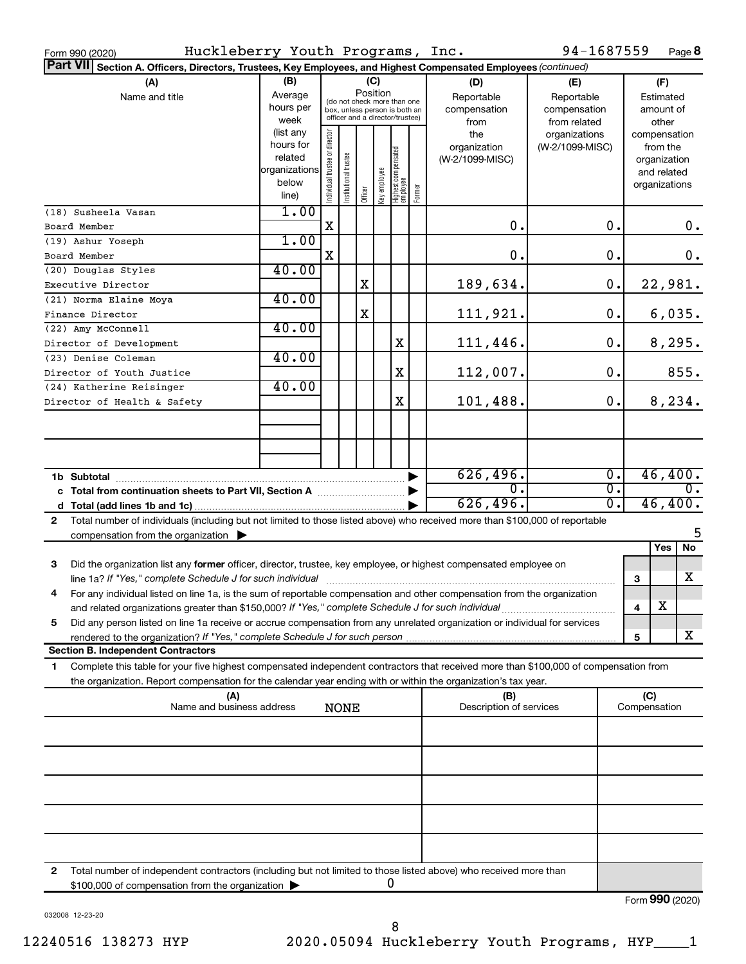| 94-1687559<br>Huckleberry Youth Programs, Inc.<br>Form 990 (2020) |                                                                                                                                                                                                                                                        |                                                                      |                                                                                                                    |                      |         |              |                                 |                                           |                                                   |                                  | Page 8                               |                                        |                                         |               |
|-------------------------------------------------------------------|--------------------------------------------------------------------------------------------------------------------------------------------------------------------------------------------------------------------------------------------------------|----------------------------------------------------------------------|--------------------------------------------------------------------------------------------------------------------|----------------------|---------|--------------|---------------------------------|-------------------------------------------|---------------------------------------------------|----------------------------------|--------------------------------------|----------------------------------------|-----------------------------------------|---------------|
|                                                                   | Part VII Section A. Officers, Directors, Trustees, Key Employees, and Highest Compensated Employees (continued)                                                                                                                                        |                                                                      |                                                                                                                    |                      |         |              |                                 |                                           |                                                   |                                  |                                      |                                        |                                         |               |
|                                                                   | (A)<br>Name and title                                                                                                                                                                                                                                  | (B)<br>Average<br>hours per<br>week                                  | (C)<br>Position<br>(do not check more than one<br>box, unless person is both an<br>officer and a director/trustee) |                      |         |              |                                 | (D)<br>Reportable<br>compensation<br>from | (E)<br>Reportable<br>compensation<br>from related |                                  |                                      | (F)<br>Estimated<br>amount of<br>other |                                         |               |
|                                                                   |                                                                                                                                                                                                                                                        | (list any<br>hours for<br>related<br>organizations<br>below<br>line) | Individual trustee or director                                                                                     | nstitutional trustee | Officer | key employee | Highest compensated<br>employee | Former                                    | the<br>organization<br>(W-2/1099-MISC)            | organizations<br>(W-2/1099-MISC) |                                      | compensation<br>organizations          | from the<br>organization<br>and related |               |
|                                                                   | (18) Susheela Vasan                                                                                                                                                                                                                                    | 1.00                                                                 | X                                                                                                                  |                      |         |              |                                 |                                           | 0.                                                |                                  | 0.                                   |                                        |                                         | 0.            |
|                                                                   | Board Member<br>(19) Ashur Yoseph                                                                                                                                                                                                                      | 1.00                                                                 |                                                                                                                    |                      |         |              |                                 |                                           |                                                   |                                  |                                      |                                        |                                         |               |
|                                                                   | Board Member                                                                                                                                                                                                                                           |                                                                      | X                                                                                                                  |                      |         |              |                                 |                                           | 0.                                                |                                  | 0.                                   |                                        |                                         | 0.            |
|                                                                   | (20) Douglas Styles                                                                                                                                                                                                                                    | 40.00                                                                |                                                                                                                    |                      |         |              |                                 |                                           |                                                   |                                  |                                      |                                        |                                         |               |
|                                                                   | Executive Director                                                                                                                                                                                                                                     |                                                                      |                                                                                                                    |                      | X       |              |                                 |                                           | 189,634.                                          |                                  | $\mathbf 0$ .                        |                                        |                                         | 22,981.       |
|                                                                   | (21) Norma Elaine Moya                                                                                                                                                                                                                                 | 40.00                                                                |                                                                                                                    |                      |         |              |                                 |                                           |                                                   |                                  |                                      |                                        |                                         |               |
|                                                                   | Finance Director<br>(22) Amy McConnell                                                                                                                                                                                                                 | 40.00                                                                |                                                                                                                    |                      | X       |              |                                 |                                           | 111,921.                                          |                                  | 0.                                   |                                        |                                         | 6,035.        |
|                                                                   | Director of Development                                                                                                                                                                                                                                |                                                                      |                                                                                                                    |                      |         |              | X                               |                                           | 111,446.                                          |                                  | 0.                                   |                                        |                                         | 8,295.        |
|                                                                   | (23) Denise Coleman                                                                                                                                                                                                                                    | 40.00                                                                |                                                                                                                    |                      |         |              |                                 |                                           |                                                   |                                  |                                      |                                        |                                         |               |
|                                                                   | Director of Youth Justice                                                                                                                                                                                                                              |                                                                      |                                                                                                                    |                      |         |              | X                               |                                           | 112,007.                                          |                                  | 0.                                   |                                        |                                         | 855.          |
|                                                                   | (24) Katherine Reisinger                                                                                                                                                                                                                               | 40.00                                                                |                                                                                                                    |                      |         |              |                                 |                                           |                                                   |                                  |                                      |                                        |                                         |               |
|                                                                   | Director of Health & Safety                                                                                                                                                                                                                            |                                                                      |                                                                                                                    |                      |         |              | X                               |                                           | 101,488.                                          |                                  | 0.                                   |                                        |                                         | 8, 234.       |
|                                                                   |                                                                                                                                                                                                                                                        |                                                                      |                                                                                                                    |                      |         |              |                                 |                                           |                                                   |                                  |                                      |                                        |                                         |               |
|                                                                   |                                                                                                                                                                                                                                                        |                                                                      |                                                                                                                    |                      |         |              |                                 |                                           |                                                   |                                  |                                      |                                        |                                         |               |
|                                                                   |                                                                                                                                                                                                                                                        |                                                                      |                                                                                                                    |                      |         |              |                                 |                                           |                                                   |                                  |                                      |                                        |                                         |               |
|                                                                   |                                                                                                                                                                                                                                                        |                                                                      |                                                                                                                    |                      |         |              |                                 |                                           | 626,496.<br>$\overline{0}$ .                      |                                  | $\overline{0}$ .<br>$\overline{0}$ . |                                        |                                         | 46,400.<br>0. |
|                                                                   |                                                                                                                                                                                                                                                        |                                                                      |                                                                                                                    |                      |         |              |                                 |                                           | 626, 496.                                         |                                  | $\overline{0}$ .                     |                                        |                                         | 46,400.       |
| $\mathbf{2}$                                                      | Total number of individuals (including but not limited to those listed above) who received more than \$100,000 of reportable                                                                                                                           |                                                                      |                                                                                                                    |                      |         |              |                                 |                                           |                                                   |                                  |                                      |                                        |                                         |               |
|                                                                   | compensation from the organization $\blacktriangleright$                                                                                                                                                                                               |                                                                      |                                                                                                                    |                      |         |              |                                 |                                           |                                                   |                                  |                                      |                                        |                                         |               |
|                                                                   |                                                                                                                                                                                                                                                        |                                                                      |                                                                                                                    |                      |         |              |                                 |                                           |                                                   |                                  |                                      |                                        | Yes                                     | No            |
| 3                                                                 | Did the organization list any former officer, director, trustee, key employee, or highest compensated employee on                                                                                                                                      |                                                                      |                                                                                                                    |                      |         |              |                                 |                                           |                                                   |                                  |                                      |                                        |                                         |               |
| 4                                                                 | For any individual listed on line 1a, is the sum of reportable compensation and other compensation from the organization                                                                                                                               |                                                                      |                                                                                                                    |                      |         |              |                                 |                                           |                                                   |                                  |                                      | 3                                      |                                         | x             |
|                                                                   |                                                                                                                                                                                                                                                        |                                                                      |                                                                                                                    |                      |         |              |                                 |                                           |                                                   |                                  |                                      | $\overline{\mathbf{4}}$                | X                                       |               |
| 5                                                                 | Did any person listed on line 1a receive or accrue compensation from any unrelated organization or individual for services                                                                                                                             |                                                                      |                                                                                                                    |                      |         |              |                                 |                                           |                                                   |                                  |                                      |                                        |                                         |               |
|                                                                   |                                                                                                                                                                                                                                                        |                                                                      |                                                                                                                    |                      |         |              |                                 |                                           |                                                   |                                  |                                      | 5                                      |                                         | х             |
|                                                                   | <b>Section B. Independent Contractors</b>                                                                                                                                                                                                              |                                                                      |                                                                                                                    |                      |         |              |                                 |                                           |                                                   |                                  |                                      |                                        |                                         |               |
| 1                                                                 | Complete this table for your five highest compensated independent contractors that received more than \$100,000 of compensation from<br>the organization. Report compensation for the calendar year ending with or within the organization's tax year. |                                                                      |                                                                                                                    |                      |         |              |                                 |                                           |                                                   |                                  |                                      |                                        |                                         |               |
|                                                                   | (A)                                                                                                                                                                                                                                                    |                                                                      |                                                                                                                    |                      |         |              |                                 |                                           | (B)                                               |                                  |                                      | (C)                                    |                                         |               |
|                                                                   | Name and business address                                                                                                                                                                                                                              |                                                                      |                                                                                                                    | <b>NONE</b>          |         |              |                                 |                                           | Description of services                           |                                  |                                      | Compensation                           |                                         |               |
|                                                                   |                                                                                                                                                                                                                                                        |                                                                      |                                                                                                                    |                      |         |              |                                 |                                           |                                                   |                                  |                                      |                                        |                                         |               |
|                                                                   |                                                                                                                                                                                                                                                        |                                                                      |                                                                                                                    |                      |         |              |                                 |                                           |                                                   |                                  |                                      |                                        |                                         |               |
|                                                                   |                                                                                                                                                                                                                                                        |                                                                      |                                                                                                                    |                      |         |              |                                 |                                           |                                                   |                                  |                                      |                                        |                                         |               |
|                                                                   |                                                                                                                                                                                                                                                        |                                                                      |                                                                                                                    |                      |         |              |                                 |                                           |                                                   |                                  |                                      |                                        |                                         |               |
|                                                                   |                                                                                                                                                                                                                                                        |                                                                      |                                                                                                                    |                      |         |              |                                 |                                           |                                                   |                                  |                                      |                                        |                                         |               |
|                                                                   |                                                                                                                                                                                                                                                        |                                                                      |                                                                                                                    |                      |         |              |                                 |                                           |                                                   |                                  |                                      |                                        |                                         |               |
|                                                                   |                                                                                                                                                                                                                                                        |                                                                      |                                                                                                                    |                      |         |              |                                 |                                           |                                                   |                                  |                                      |                                        |                                         |               |
|                                                                   |                                                                                                                                                                                                                                                        |                                                                      |                                                                                                                    |                      |         |              |                                 |                                           |                                                   |                                  |                                      |                                        |                                         |               |
| 2                                                                 | Total number of independent contractors (including but not limited to those listed above) who received more than                                                                                                                                       |                                                                      |                                                                                                                    |                      |         |              |                                 |                                           |                                                   |                                  |                                      |                                        |                                         |               |
|                                                                   | \$100,000 of compensation from the organization >                                                                                                                                                                                                      |                                                                      |                                                                                                                    |                      |         |              | U                               |                                           |                                                   |                                  |                                      |                                        |                                         |               |
|                                                                   |                                                                                                                                                                                                                                                        |                                                                      |                                                                                                                    |                      |         |              |                                 |                                           |                                                   |                                  |                                      | Form 990 (2020)                        |                                         |               |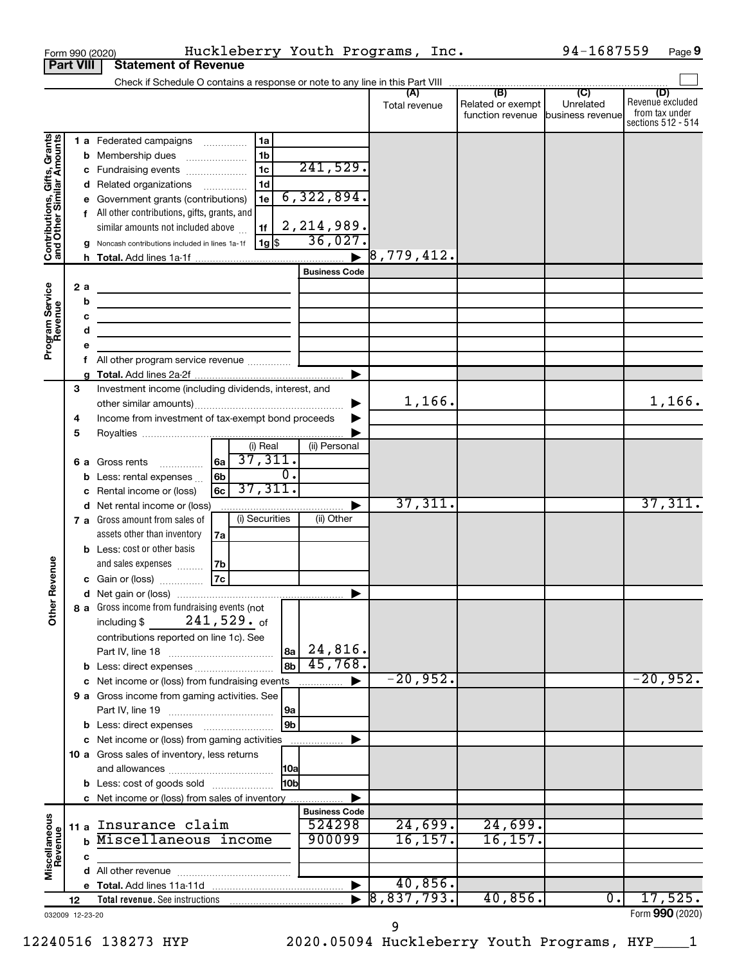|                                                           |                                           |          | Form 990 (2020)                                                                                                           | Huckleberry Youth Programs, Inc.     |                                |                      |                                                               | 94-1687559       | Page 9                                                          |
|-----------------------------------------------------------|-------------------------------------------|----------|---------------------------------------------------------------------------------------------------------------------------|--------------------------------------|--------------------------------|----------------------|---------------------------------------------------------------|------------------|-----------------------------------------------------------------|
| <b>Part VIII</b>                                          |                                           |          | <b>Statement of Revenue</b>                                                                                               |                                      |                                |                      |                                                               |                  |                                                                 |
|                                                           |                                           |          |                                                                                                                           |                                      |                                |                      |                                                               |                  |                                                                 |
|                                                           |                                           |          |                                                                                                                           |                                      |                                | (A)<br>Total revenue | (B)<br>Related or exempt<br>function revenue business revenue | (C)<br>Unrelated | (D)<br>Revenue excluded<br>from tax under<br>sections 512 - 514 |
|                                                           |                                           |          | <b>1 a</b> Federated campaigns                                                                                            | 1a                                   |                                |                      |                                                               |                  |                                                                 |
|                                                           |                                           |          | <b>b</b> Membership dues                                                                                                  | 1 <sub>b</sub>                       |                                |                      |                                                               |                  |                                                                 |
|                                                           |                                           |          | c Fundraising events                                                                                                      | $\overline{1c}$                      | 241,529.                       |                      |                                                               |                  |                                                                 |
|                                                           |                                           |          | d Related organizations                                                                                                   | 1 <sub>d</sub>                       |                                |                      |                                                               |                  |                                                                 |
|                                                           | 1e<br>e Government grants (contributions) |          |                                                                                                                           | 6,322,894.                           |                                |                      |                                                               |                  |                                                                 |
|                                                           |                                           |          | f All other contributions, gifts, grants, and                                                                             |                                      |                                |                      |                                                               |                  |                                                                 |
| Contributions, Gifts, Grants<br>and Other Similar Amounts |                                           |          | similar amounts not included above                                                                                        | 1f                                   | 2, 214, 989.                   |                      |                                                               |                  |                                                                 |
|                                                           |                                           |          | g Noncash contributions included in lines 1a-1f                                                                           | $1g$ \$                              | 36,027.                        |                      |                                                               |                  |                                                                 |
|                                                           |                                           |          |                                                                                                                           |                                      |                                | 8,779,412.           |                                                               |                  |                                                                 |
|                                                           |                                           |          |                                                                                                                           |                                      | <b>Business Code</b>           |                      |                                                               |                  |                                                                 |
| Program Service<br>Revenue                                |                                           | 2 a<br>b |                                                                                                                           |                                      |                                |                      |                                                               |                  |                                                                 |
|                                                           |                                           | C        |                                                                                                                           |                                      |                                |                      |                                                               |                  |                                                                 |
|                                                           |                                           | d        | the control of the control of the control of the control of the control of                                                |                                      |                                |                      |                                                               |                  |                                                                 |
|                                                           |                                           | е        | the control of the control of the control of the control of the control of                                                |                                      |                                |                      |                                                               |                  |                                                                 |
|                                                           |                                           |          |                                                                                                                           |                                      |                                |                      |                                                               |                  |                                                                 |
|                                                           |                                           | a        |                                                                                                                           |                                      |                                |                      |                                                               |                  |                                                                 |
|                                                           | 3                                         |          | Investment income (including dividends, interest, and                                                                     |                                      |                                |                      |                                                               |                  |                                                                 |
|                                                           |                                           |          |                                                                                                                           |                                      |                                | 1,166.               |                                                               |                  | 1,166.                                                          |
|                                                           | 4                                         |          | Income from investment of tax-exempt bond proceeds                                                                        |                                      |                                |                      |                                                               |                  |                                                                 |
|                                                           | 5                                         |          |                                                                                                                           |                                      |                                |                      |                                                               |                  |                                                                 |
|                                                           |                                           |          |                                                                                                                           | (i) Real                             | (ii) Personal                  |                      |                                                               |                  |                                                                 |
|                                                           |                                           |          | <b>6 a</b> Gross rents                                                                                                    | 37,311.<br>l6a l<br>$\overline{0}$ . |                                |                      |                                                               |                  |                                                                 |
|                                                           |                                           |          | <b>b</b> Less: rental expenses $\ldots$<br>Rental income or (loss)                                                        | 6b<br>37,311.<br>6c                  |                                |                      |                                                               |                  |                                                                 |
|                                                           |                                           | c        | d Net rental income or (loss)                                                                                             |                                      |                                | 37,311.              |                                                               |                  | 37,311.                                                         |
|                                                           |                                           |          | 7 a Gross amount from sales of                                                                                            | (i) Securities                       | (ii) Other                     |                      |                                                               |                  |                                                                 |
|                                                           |                                           |          | assets other than inventory                                                                                               | 7a                                   |                                |                      |                                                               |                  |                                                                 |
|                                                           |                                           |          | <b>b</b> Less: cost or other basis                                                                                        |                                      |                                |                      |                                                               |                  |                                                                 |
|                                                           |                                           |          | and sales expenses                                                                                                        | 7b                                   |                                |                      |                                                               |                  |                                                                 |
| evenue                                                    |                                           |          | c Gain or (loss)                                                                                                          | 7c                                   |                                |                      |                                                               |                  |                                                                 |
|                                                           |                                           |          |                                                                                                                           |                                      |                                |                      |                                                               |                  |                                                                 |
| Other <sub>R</sub>                                        |                                           |          | 8 a Gross income from fundraising events (not                                                                             |                                      |                                |                      |                                                               |                  |                                                                 |
|                                                           |                                           |          | including \$                                                                                                              | $241,529.$ of                        |                                |                      |                                                               |                  |                                                                 |
|                                                           |                                           |          | contributions reported on line 1c). See                                                                                   |                                      | $ _{8a} 24,816$ .              |                      |                                                               |                  |                                                                 |
|                                                           |                                           |          |                                                                                                                           |                                      | 45,768.                        |                      |                                                               |                  |                                                                 |
|                                                           |                                           |          | <b>b</b> Less: direct expenses <b>contained b</b> Less: direct expenses<br>c Net income or (loss) from fundraising events |                                      |                                | $-20,952.$           |                                                               |                  | $-20,952.$                                                      |
|                                                           |                                           |          | 9 a Gross income from gaming activities. See                                                                              |                                      | .                              |                      |                                                               |                  |                                                                 |
|                                                           |                                           |          |                                                                                                                           | 9a                                   |                                |                      |                                                               |                  |                                                                 |
|                                                           |                                           |          |                                                                                                                           | 9 <sub>b</sub>                       |                                |                      |                                                               |                  |                                                                 |
|                                                           |                                           |          | c Net income or (loss) from gaming activities                                                                             |                                      |                                |                      |                                                               |                  |                                                                 |
|                                                           |                                           |          | 10 a Gross sales of inventory, less returns                                                                               |                                      |                                |                      |                                                               |                  |                                                                 |
|                                                           |                                           |          |                                                                                                                           | <b>10a</b>                           |                                |                      |                                                               |                  |                                                                 |
|                                                           |                                           |          | <b>b</b> Less: cost of goods sold                                                                                         | l10bl                                |                                |                      |                                                               |                  |                                                                 |
|                                                           |                                           |          | c Net income or (loss) from sales of inventory                                                                            |                                      |                                |                      |                                                               |                  |                                                                 |
|                                                           |                                           |          | Insurance claim                                                                                                           |                                      | <b>Business Code</b><br>524298 | 24,699.              | 24,699.                                                       |                  |                                                                 |
|                                                           | 11 a                                      |          | Miscellaneous income                                                                                                      |                                      | 900099                         | 16, 157.             | 16, 157.                                                      |                  |                                                                 |
|                                                           |                                           | c        |                                                                                                                           |                                      |                                |                      |                                                               |                  |                                                                 |
| Miscellaneous<br>Revenue                                  |                                           |          |                                                                                                                           |                                      |                                |                      |                                                               |                  |                                                                 |
|                                                           |                                           |          |                                                                                                                           |                                      |                                | 40,856.              |                                                               |                  |                                                                 |
|                                                           | 12                                        |          | <b>Total revenue.</b> See instructions                                                                                    |                                      |                                | 8, 837, 793.         | 40,856.                                                       | 0.               | 17,525.                                                         |
| 032009 12-23-20                                           |                                           |          |                                                                                                                           |                                      |                                |                      |                                                               |                  | Form 990 (2020)                                                 |

12240516 138273 HYP 2020.05094 Huckleberry Youth Programs, HYP\_\_\_\_1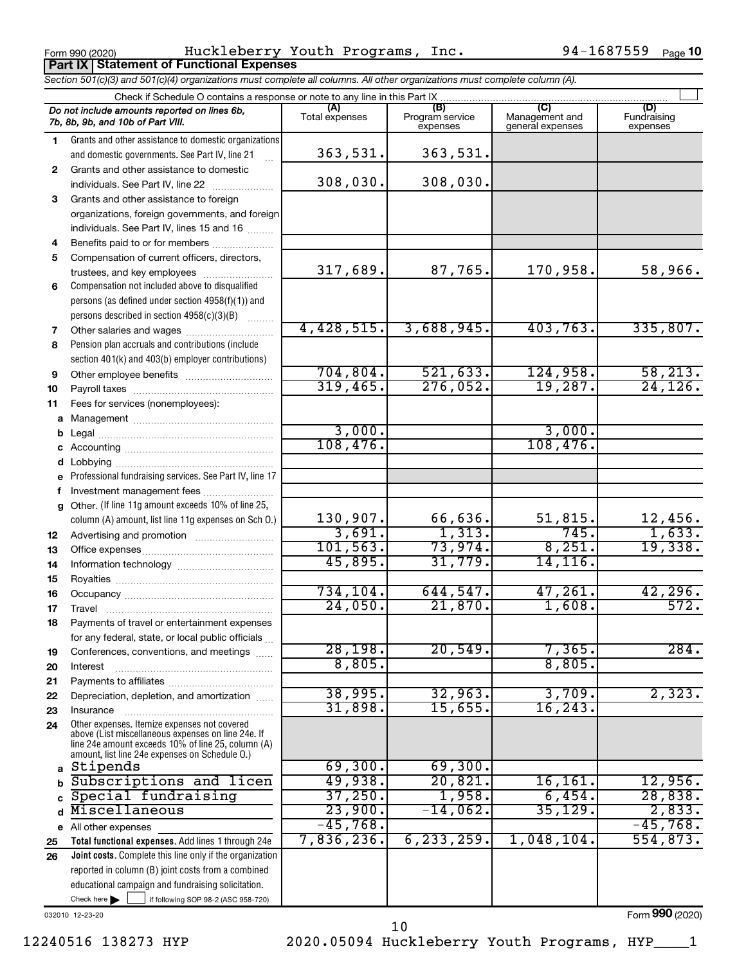Form 990 (2020) Huckleberry Youth Programs, Inc. 94-1687559 <sub>Page</sub> **Part IX Statement of Functional Expenses**

94-1687559 Page 10

|          | Section 501(c)(3) and 501(c)(4) organizations must complete all columns. All other organizations must complete column (A).                                                                                 |                       |                                    |                                           |                                |
|----------|------------------------------------------------------------------------------------------------------------------------------------------------------------------------------------------------------------|-----------------------|------------------------------------|-------------------------------------------|--------------------------------|
|          | Check if Schedule O contains a response or note to any line in this Part IX                                                                                                                                |                       |                                    |                                           |                                |
|          | Do not include amounts reported on lines 6b,<br>7b, 8b, 9b, and 10b of Part VIII.                                                                                                                          | (A)<br>Total expenses | (B)<br>Program service<br>expenses | (C)<br>Management and<br>general expenses | (D)<br>Fundraising<br>expenses |
| 1.       | Grants and other assistance to domestic organizations                                                                                                                                                      |                       |                                    |                                           |                                |
|          | and domestic governments. See Part IV, line 21                                                                                                                                                             | 363,531.              | 363,531.                           |                                           |                                |
| 2        | Grants and other assistance to domestic                                                                                                                                                                    |                       |                                    |                                           |                                |
|          | individuals. See Part IV, line 22                                                                                                                                                                          | 308,030.              | 308,030.                           |                                           |                                |
| 3        | Grants and other assistance to foreign                                                                                                                                                                     |                       |                                    |                                           |                                |
|          | organizations, foreign governments, and foreign                                                                                                                                                            |                       |                                    |                                           |                                |
|          | individuals. See Part IV, lines 15 and 16                                                                                                                                                                  |                       |                                    |                                           |                                |
| 4        | Benefits paid to or for members                                                                                                                                                                            |                       |                                    |                                           |                                |
| 5        | Compensation of current officers, directors,                                                                                                                                                               |                       |                                    |                                           |                                |
|          | trustees, and key employees                                                                                                                                                                                | 317,689.              | 87,765.                            | 170,958.                                  | 58,966.                        |
| 6        | Compensation not included above to disqualified                                                                                                                                                            |                       |                                    |                                           |                                |
|          | persons (as defined under section 4958(f)(1)) and                                                                                                                                                          |                       |                                    |                                           |                                |
|          | persons described in section 4958(c)(3)(B)                                                                                                                                                                 |                       |                                    |                                           | 335,807.                       |
| 7        |                                                                                                                                                                                                            | 4,428,515.            | 3,688,945.                         | 403,763.                                  |                                |
| 8        | Pension plan accruals and contributions (include                                                                                                                                                           |                       |                                    |                                           |                                |
|          | section 401(k) and 403(b) employer contributions)                                                                                                                                                          | 704,804.              | 521, 633.                          | 124,958                                   | 58, 213.                       |
| 9        |                                                                                                                                                                                                            | 319,465.              | 276,052.                           | 19,287.                                   | 24, 126.                       |
| 10       |                                                                                                                                                                                                            |                       |                                    |                                           |                                |
| 11       | Fees for services (nonemployees):                                                                                                                                                                          |                       |                                    |                                           |                                |
|          |                                                                                                                                                                                                            | 3,000.                |                                    | 3,000.                                    |                                |
| b        |                                                                                                                                                                                                            | 108,476.              |                                    | 108,476.                                  |                                |
|          |                                                                                                                                                                                                            |                       |                                    |                                           |                                |
|          |                                                                                                                                                                                                            |                       |                                    |                                           |                                |
| е        | Professional fundraising services. See Part IV, line 17                                                                                                                                                    |                       |                                    |                                           |                                |
| f        | Investment management fees                                                                                                                                                                                 |                       |                                    |                                           |                                |
|          | g Other. (If line 11g amount exceeds 10% of line 25,                                                                                                                                                       | 130,907.              | 66,636.                            | 51,815.                                   |                                |
|          | column (A) amount, list line 11g expenses on Sch O.)                                                                                                                                                       | 3,691.                | 1,313.                             | 745.                                      | $\frac{12,456}{1,633}$         |
| 12       |                                                                                                                                                                                                            | 101, 563.             | 73,974.                            | 8,251.                                    | 19,338.                        |
| 13<br>14 |                                                                                                                                                                                                            | 45,895.               | 31,779.                            | 14, 116.                                  |                                |
| 15       |                                                                                                                                                                                                            |                       |                                    |                                           |                                |
| 16       |                                                                                                                                                                                                            | 734,104.              | 644,547.                           | 47,261                                    | 42,296.                        |
| 17       |                                                                                                                                                                                                            | 24,050.               | 21,870.                            | 1,608.                                    | 572.                           |
| 18       | Payments of travel or entertainment expenses                                                                                                                                                               |                       |                                    |                                           |                                |
|          | for any federal, state, or local public officials                                                                                                                                                          |                       |                                    |                                           |                                |
| 19       | Conferences, conventions, and meetings                                                                                                                                                                     | 28,198.               | 20,549.                            | 7,365.                                    | 284.                           |
| 20       | Interest                                                                                                                                                                                                   | 8,805.                |                                    | 8,805.                                    |                                |
| 21       |                                                                                                                                                                                                            |                       |                                    |                                           |                                |
| 22       | Depreciation, depletion, and amortization                                                                                                                                                                  | 38,995.               | 32,963.                            | 3,709.                                    | 2,323.                         |
| 23       | Insurance                                                                                                                                                                                                  | 31,898.               | 15,655.                            | 16, 243                                   |                                |
| 24       | Other expenses. Itemize expenses not covered<br>above (List miscellaneous expenses on line 24e. If<br>line 24e amount exceeds 10% of line 25, column (A)<br>amount, list line 24e expenses on Schedule O.) |                       |                                    |                                           |                                |
|          | a Stipends                                                                                                                                                                                                 | 69,300.               | 69,300.                            |                                           |                                |
| b        | Subscriptions and licen                                                                                                                                                                                    | 49,938.               | 20,821.                            | 16,161.                                   | 12,956.                        |
| C.       | Special fundraising                                                                                                                                                                                        | 37,250.               | 1,958.                             | 6,454.                                    | 28,838.                        |
| d        | Miscellaneous                                                                                                                                                                                              | 23,900.               | $-14,062$ .                        | 35, 129.                                  | 2,833.                         |
|          | e All other expenses                                                                                                                                                                                       | $-45,768.$            |                                    |                                           | $-45,768.$                     |
| 25       | Total functional expenses. Add lines 1 through 24e                                                                                                                                                         | 7,836,236.            | 6, 233, 259.                       | 1,048,104.                                | 554,873.                       |
| 26       | <b>Joint costs.</b> Complete this line only if the organization                                                                                                                                            |                       |                                    |                                           |                                |
|          | reported in column (B) joint costs from a combined                                                                                                                                                         |                       |                                    |                                           |                                |
|          | educational campaign and fundraising solicitation.                                                                                                                                                         |                       |                                    |                                           |                                |
|          | Check here $\blacktriangleright$<br>if following SOP 98-2 (ASC 958-720)                                                                                                                                    |                       |                                    |                                           |                                |

032010 12-23-20

Form (2020) **990**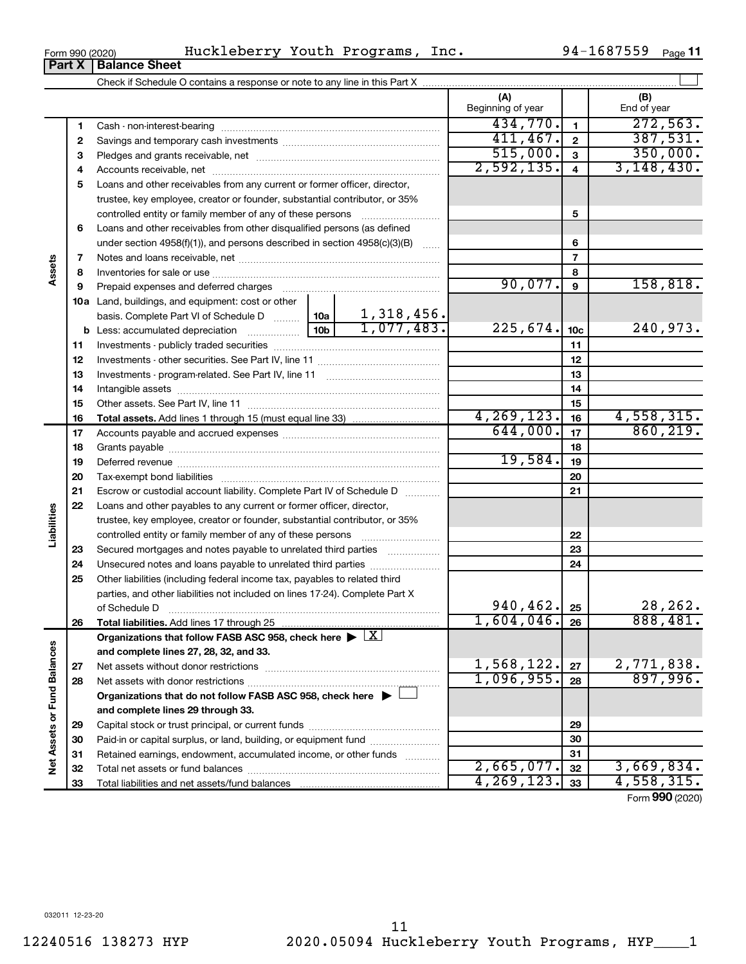**Net Assets or Fund Balances**

Net Assets or Fund Balances

**6 7 8 9 10 a** Land, buildings, and equipment: cost or other **11 12** Investments - other securities. See Part IV, line 11 ~~~~~~~~~~~~~~ **13** Investments - program-related. See Part IV, line 11 ~~~~~~~~~~~~~ **14** Intangible assets ~~~~~~~~~~~~~~~~~~~~~~~~~~~~~~ **15 16 17 18 19 20 21 22 23 24 25 26 27 28 5 6 7 8 9 10c 11 12 13 14 15 16 17 18 19 20 21 22 23 24 25 26 b** Less: accumulated depreciation  $\ldots$  [10b basis. Complete Part VI of Schedule D  $\frac{1}{10}$  10a **Total assets.**  Add lines 1 through 15 (must equal line 33) **Total liabilities.**  Add lines 17 through 25 Organizations that follow FASB ASC 958, check here  $\blacktriangleright \boxed{\text{X}}$ **and complete lines 27, 28, 32, and 33. 27 28** controlled entity or family member of any of these persons ~~~~~~~~~ Loans and other receivables from other disqualified persons (as defined under section 4958(f)(1)), and persons described in section  $4958(c)(3)(B)$  ...... Notes and loans receivable, net ~~~~~~~~~~~~~~~~~~~~~~~ Inventories for sale or use ~~~~~~~~~~~~~~~~~~~~~~~~~~ Prepaid expenses and deferred charges ~~~~~~~~~~~~~~~~~~ Investments - publicly traded securities ~~~~~~~~~~~~~~~~~~~ Other assets. See Part IV, line 11 ~~~~~~~~~~~~~~~~~~~~~~ Accounts payable and accrued expenses ~~~~~~~~~~~~~~~~~~ Grants payable ~~~~~~~~~~~~~~~~~~~~~~~~~~~~~~~ Deferred revenue ~~~~~~~~~~~~~~~~~~~~~~~~~~~~~~ Tax-exempt bond liabilities ~~~~~~~~~~~~~~~~~~~~~~~~~ Escrow or custodial account liability. Complete Part IV of Schedule D ........... Loans and other payables to any current or former officer, director, trustee, key employee, creator or founder, substantial contributor, or 35% controlled entity or family member of any of these persons ~~~~~~~~~ Secured mortgages and notes payable to unrelated third parties Unsecured notes and loans payable to unrelated third parties ~~~~~~~~ Other liabilities (including federal income tax, payables to related third parties, and other liabilities not included on lines 17-24). Complete Part X of Schedule D ~~~~~~~~~~~~~~~~~~~~~~~~~~~~~~~ Net assets without donor restrictions ~~~~~~~~~~~~~~~~~~~~ Net assets with donor restrictions ~~~~~~~~~~~~~~~~~~~~~~ 90,077. 158,818. 1,318,456.  $1,077,483.$  225,674.  $10c$  240,973.  $4,269,123.$   $16$   $4,558,315.$  $644,000$ .  $17$  860, 219. 19,584.  $940, 462.$   $25$   $28, 262.$ 1,604,046. 888,481.  $1,568,122.$   $27 \mid 2,771,838.$  $1,096,955.$  28 897,996.

 $_{\rm Form}$   $_{990}$  (2020) <code>Huckleberry</code> Youth Programs, Inc.  $94\text{--}1687559$   $_{\rm Page}$ **Part X** | Balance Sheet

**3** Pledges and grants receivable, net ~~~~~~~~~~~~~~~~~~~~~ **4** Accounts receivable, net ~~~~~~~~~~~~~~~~~~~~~~~~~~ **5** Loans and other receivables from any current or former officer, director,

trustee, key employee, creator or founder, substantial contributor, or 35%

Cash - non-interest-bearing ~~~~~~~~~~~~~~~~~~~~~~~~~ Savings and temporary cash investments ~~~~~~~~~~~~~~~~~~

Check if Schedule O contains a response or note to any line in this Part X

**Organizations that do not follow FASB ASC 958, check here** | †

Capital stock or trust principal, or current funds ~~~~~~~~~~~~~~~ Paid-in or capital surplus, or land, building, or equipment fund ....................... Retained earnings, endowment, accumulated income, or other funds ............ Total net assets or fund balances ~~~~~~~~~~~~~~~~~~~~~~

**and complete lines 29 through 33.**

Total liabilities and net assets/fund balances ...

 $2,665,077$ .  $32$  | 3,669,834.  $4,269,123.$   $33$  |  $4,558,315.$ 

Form (2020) **990**

 $\perp$ 

**(A) (B)**

Beginning of year | | End of year

 $434,770.$  1 272,563. 411,467. 2 387,531.  $\overline{515,000.}$  3  $\overline{350,000.}$  $2,592,135.$  4 3,148,430.

|  | Form 990 (2020) |
|--|-----------------|
|  |                 |

**1 2**

**Assets**

**Liabilities**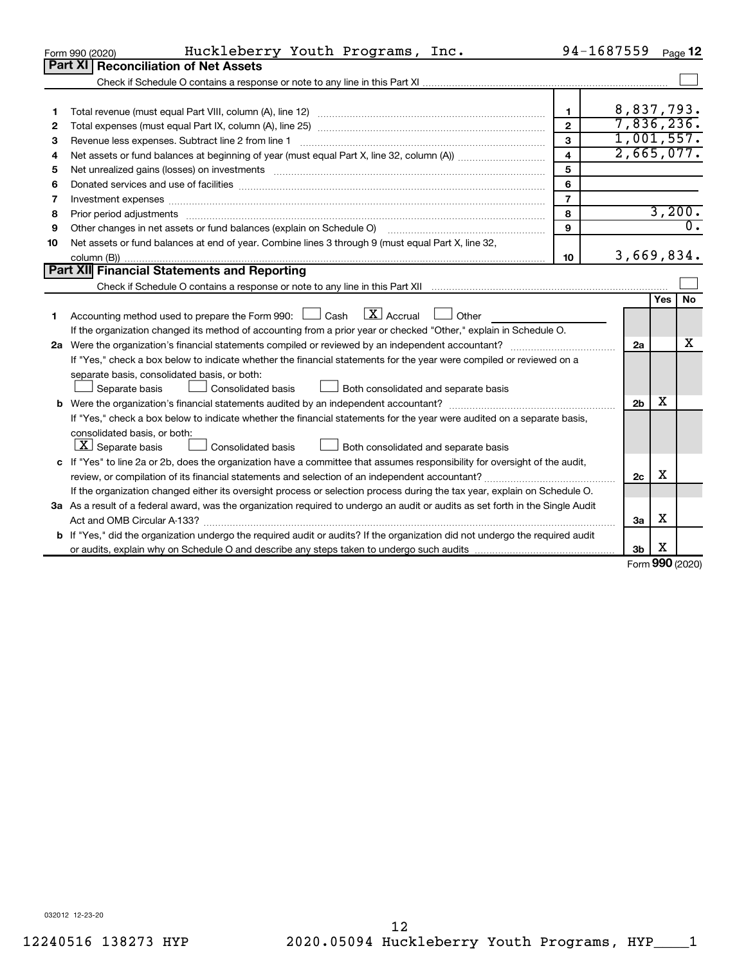|    | Huckleberry Youth Programs, Inc.<br>Form 990 (2020)                                                                                                                                                                           |                         | 94-1687559     |           | Page 12 |
|----|-------------------------------------------------------------------------------------------------------------------------------------------------------------------------------------------------------------------------------|-------------------------|----------------|-----------|---------|
|    | Part XI Reconciliation of Net Assets                                                                                                                                                                                          |                         |                |           |         |
|    |                                                                                                                                                                                                                               |                         |                |           |         |
|    |                                                                                                                                                                                                                               |                         |                |           |         |
| 1  |                                                                                                                                                                                                                               | $\mathbf{1}$            | 8,837,793.     |           |         |
| 2  |                                                                                                                                                                                                                               | $\mathbf{2}$            | 7,836,236.     |           |         |
| 3  | Revenue less expenses. Subtract line 2 from line 1                                                                                                                                                                            | 3                       | 1,001,557.     |           |         |
| 4  |                                                                                                                                                                                                                               | $\overline{\mathbf{4}}$ | 2,665,077.     |           |         |
| 5  |                                                                                                                                                                                                                               | 5                       |                |           |         |
| 6  | Donated services and use of facilities [[111][12] matter is a series and service in the services and use of facilities [[11][12] matter is a service of facilities [[11] matter is a service of the service of the service of | 6                       |                |           |         |
| 7  | Investment expenses www.communication.com/www.communication.com/www.communication.com/www.com                                                                                                                                 | $\overline{7}$          |                |           |         |
| 8  |                                                                                                                                                                                                                               | 8                       |                |           | 3,200.  |
| 9  | Other changes in net assets or fund balances (explain on Schedule O)                                                                                                                                                          | 9                       |                |           | σ.      |
| 10 | Net assets or fund balances at end of year. Combine lines 3 through 9 (must equal Part X, line 32,                                                                                                                            |                         |                |           |         |
|    |                                                                                                                                                                                                                               | 10                      | 3,669,834.     |           |         |
|    | Part XII Financial Statements and Reporting                                                                                                                                                                                   |                         |                |           |         |
|    |                                                                                                                                                                                                                               |                         |                |           |         |
|    |                                                                                                                                                                                                                               |                         |                | Yes       | No      |
| 1  | Accounting method used to prepare the Form 990: $\Box$ Cash $\Box X$ Accrual<br>$\Box$ Other                                                                                                                                  |                         |                |           |         |
|    | If the organization changed its method of accounting from a prior year or checked "Other," explain in Schedule O.                                                                                                             |                         |                |           |         |
|    |                                                                                                                                                                                                                               |                         | 2a             |           | x       |
|    | If "Yes," check a box below to indicate whether the financial statements for the year were compiled or reviewed on a                                                                                                          |                         |                |           |         |
|    | separate basis, consolidated basis, or both:                                                                                                                                                                                  |                         |                |           |         |
|    | Both consolidated and separate basis<br>Separate basis<br>Consolidated basis                                                                                                                                                  |                         |                |           |         |
|    |                                                                                                                                                                                                                               |                         | 2 <sub>b</sub> | x         |         |
|    | If "Yes," check a box below to indicate whether the financial statements for the year were audited on a separate basis,                                                                                                       |                         |                |           |         |
|    | consolidated basis, or both:                                                                                                                                                                                                  |                         |                |           |         |
|    | $ \mathbf{X} $ Separate basis<br><b>Consolidated basis</b><br>Both consolidated and separate basis                                                                                                                            |                         |                |           |         |
|    | c If "Yes" to line 2a or 2b, does the organization have a committee that assumes responsibility for oversight of the audit,                                                                                                   |                         |                |           |         |
|    |                                                                                                                                                                                                                               |                         | 2c             | X         |         |
|    | If the organization changed either its oversight process or selection process during the tax year, explain on Schedule O.                                                                                                     |                         |                |           |         |
|    | 3a As a result of a federal award, was the organization required to undergo an audit or audits as set forth in the Single Audit                                                                                               |                         |                |           |         |
|    |                                                                                                                                                                                                                               |                         | 3a             | х         |         |
|    | <b>b</b> If "Yes," did the organization undergo the required audit or audits? If the organization did not undergo the required audit                                                                                          |                         |                |           |         |
|    |                                                                                                                                                                                                                               |                         | 3b             | х<br>nn n |         |

Form (2020) **990**

032012 12-23-20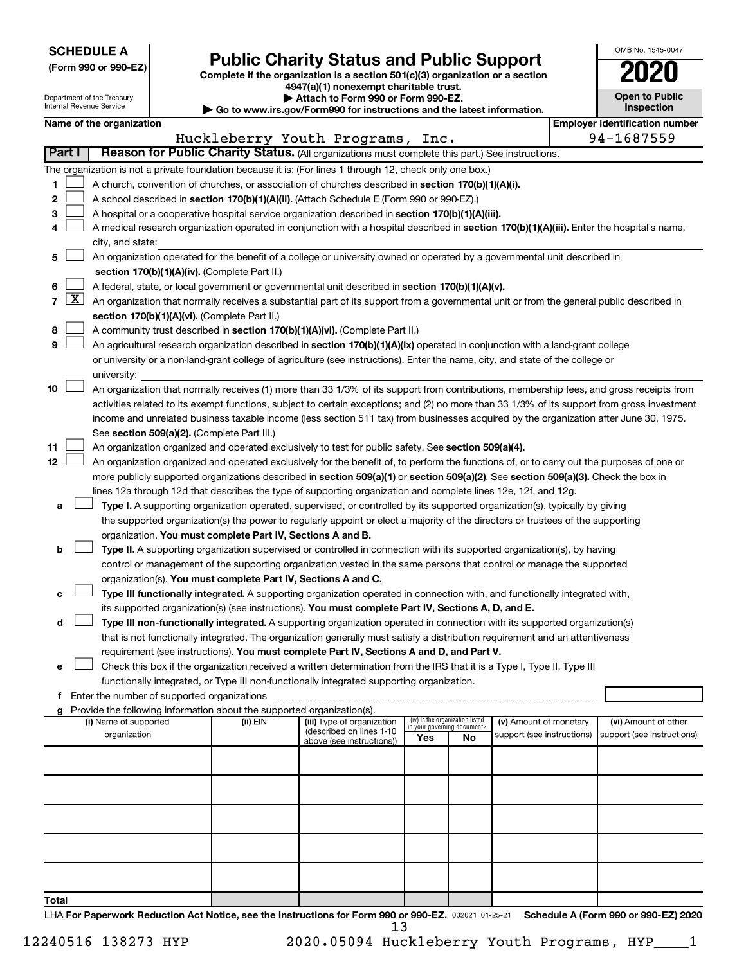| <b>SCHEDULE A</b> |  |
|-------------------|--|
|-------------------|--|

Department of the Treasury

|  |  | (Form 990 or 990-EZ) |
|--|--|----------------------|
|--|--|----------------------|

Form 990 or 990-EZ) **Public Charity Status and Public Support**<br>
Complete if the organization is a section 501(c)(3) organization or a section<br> **2020 4947(a)(1) nonexempt charitable trust.**

**| Attach to Form 990 or Form 990-EZ.** 

| OMB No 1545-0047                    |  |  |  |  |  |  |
|-------------------------------------|--|--|--|--|--|--|
| 020                                 |  |  |  |  |  |  |
| <b>Open to Public</b><br>Inspection |  |  |  |  |  |  |
|                                     |  |  |  |  |  |  |

ן

Ш

|                |                     | Internal Revenue Service                                                                                                                                                   |  |                                                                        | Go to www.irs.gov/Form990 for instructions and the latest information.                                                                       |     | Inspection                                                     |                            |  |                                       |
|----------------|---------------------|----------------------------------------------------------------------------------------------------------------------------------------------------------------------------|--|------------------------------------------------------------------------|----------------------------------------------------------------------------------------------------------------------------------------------|-----|----------------------------------------------------------------|----------------------------|--|---------------------------------------|
|                |                     | Name of the organization                                                                                                                                                   |  |                                                                        |                                                                                                                                              |     |                                                                |                            |  | <b>Employer identification number</b> |
|                |                     |                                                                                                                                                                            |  |                                                                        | Huckleberry Youth Programs, Inc.                                                                                                             |     |                                                                |                            |  | 94-1687559                            |
|                | Part I              |                                                                                                                                                                            |  |                                                                        | Reason for Public Charity Status. (All organizations must complete this part.) See instructions.                                             |     |                                                                |                            |  |                                       |
|                |                     |                                                                                                                                                                            |  |                                                                        | The organization is not a private foundation because it is: (For lines 1 through 12, check only one box.)                                    |     |                                                                |                            |  |                                       |
| 1.             |                     |                                                                                                                                                                            |  |                                                                        | A church, convention of churches, or association of churches described in section 170(b)(1)(A)(i).                                           |     |                                                                |                            |  |                                       |
| 2              |                     |                                                                                                                                                                            |  |                                                                        | A school described in section 170(b)(1)(A)(ii). (Attach Schedule E (Form 990 or 990-EZ).)                                                    |     |                                                                |                            |  |                                       |
| з              |                     |                                                                                                                                                                            |  |                                                                        | A hospital or a cooperative hospital service organization described in section 170(b)(1)(A)(iii).                                            |     |                                                                |                            |  |                                       |
| 4              |                     |                                                                                                                                                                            |  |                                                                        | A medical research organization operated in conjunction with a hospital described in section 170(b)(1)(A)(iii). Enter the hospital's name,   |     |                                                                |                            |  |                                       |
|                |                     | city, and state:                                                                                                                                                           |  |                                                                        |                                                                                                                                              |     |                                                                |                            |  |                                       |
| 5              |                     | An organization operated for the benefit of a college or university owned or operated by a governmental unit described in<br>section 170(b)(1)(A)(iv). (Complete Part II.) |  |                                                                        |                                                                                                                                              |     |                                                                |                            |  |                                       |
| 6              |                     |                                                                                                                                                                            |  |                                                                        | A federal, state, or local government or governmental unit described in section 170(b)(1)(A)(v).                                             |     |                                                                |                            |  |                                       |
| $\overline{7}$ | $\lfloor x \rfloor$ | An organization that normally receives a substantial part of its support from a governmental unit or from the general public described in                                  |  |                                                                        |                                                                                                                                              |     |                                                                |                            |  |                                       |
|                |                     |                                                                                                                                                                            |  | section 170(b)(1)(A)(vi). (Complete Part II.)                          |                                                                                                                                              |     |                                                                |                            |  |                                       |
| 8              |                     |                                                                                                                                                                            |  |                                                                        | A community trust described in section 170(b)(1)(A)(vi). (Complete Part II.)                                                                 |     |                                                                |                            |  |                                       |
| 9              |                     |                                                                                                                                                                            |  |                                                                        | An agricultural research organization described in section 170(b)(1)(A)(ix) operated in conjunction with a land-grant college                |     |                                                                |                            |  |                                       |
|                |                     |                                                                                                                                                                            |  |                                                                        | or university or a non-land-grant college of agriculture (see instructions). Enter the name, city, and state of the college or               |     |                                                                |                            |  |                                       |
|                |                     | university:                                                                                                                                                                |  |                                                                        |                                                                                                                                              |     |                                                                |                            |  |                                       |
| 10             |                     |                                                                                                                                                                            |  |                                                                        | An organization that normally receives (1) more than 33 1/3% of its support from contributions, membership fees, and gross receipts from     |     |                                                                |                            |  |                                       |
|                |                     |                                                                                                                                                                            |  |                                                                        | activities related to its exempt functions, subject to certain exceptions; and (2) no more than 33 1/3% of its support from gross investment |     |                                                                |                            |  |                                       |
|                |                     |                                                                                                                                                                            |  |                                                                        | income and unrelated business taxable income (less section 511 tax) from businesses acquired by the organization after June 30, 1975.        |     |                                                                |                            |  |                                       |
|                |                     |                                                                                                                                                                            |  | See section 509(a)(2). (Complete Part III.)                            |                                                                                                                                              |     |                                                                |                            |  |                                       |
| 11             |                     |                                                                                                                                                                            |  |                                                                        | An organization organized and operated exclusively to test for public safety. See section 509(a)(4).                                         |     |                                                                |                            |  |                                       |
| 12             |                     |                                                                                                                                                                            |  |                                                                        | An organization organized and operated exclusively for the benefit of, to perform the functions of, or to carry out the purposes of one or   |     |                                                                |                            |  |                                       |
|                |                     |                                                                                                                                                                            |  |                                                                        | more publicly supported organizations described in section 509(a)(1) or section 509(a)(2). See section 509(a)(3). Check the box in           |     |                                                                |                            |  |                                       |
|                |                     |                                                                                                                                                                            |  |                                                                        | lines 12a through 12d that describes the type of supporting organization and complete lines 12e, 12f, and 12g.                               |     |                                                                |                            |  |                                       |
| а              |                     |                                                                                                                                                                            |  |                                                                        | Type I. A supporting organization operated, supervised, or controlled by its supported organization(s), typically by giving                  |     |                                                                |                            |  |                                       |
|                |                     |                                                                                                                                                                            |  |                                                                        | the supported organization(s) the power to regularly appoint or elect a majority of the directors or trustees of the supporting              |     |                                                                |                            |  |                                       |
|                |                     |                                                                                                                                                                            |  | organization. You must complete Part IV, Sections A and B.             |                                                                                                                                              |     |                                                                |                            |  |                                       |
| b              |                     |                                                                                                                                                                            |  |                                                                        | Type II. A supporting organization supervised or controlled in connection with its supported organization(s), by having                      |     |                                                                |                            |  |                                       |
|                |                     |                                                                                                                                                                            |  |                                                                        | control or management of the supporting organization vested in the same persons that control or manage the supported                         |     |                                                                |                            |  |                                       |
|                |                     |                                                                                                                                                                            |  |                                                                        | organization(s). You must complete Part IV, Sections A and C.                                                                                |     |                                                                |                            |  |                                       |
| с              |                     |                                                                                                                                                                            |  |                                                                        | Type III functionally integrated. A supporting organization operated in connection with, and functionally integrated with,                   |     |                                                                |                            |  |                                       |
|                |                     |                                                                                                                                                                            |  |                                                                        | its supported organization(s) (see instructions). You must complete Part IV, Sections A, D, and E.                                           |     |                                                                |                            |  |                                       |
| d              |                     |                                                                                                                                                                            |  |                                                                        | Type III non-functionally integrated. A supporting organization operated in connection with its supported organization(s)                    |     |                                                                |                            |  |                                       |
|                |                     |                                                                                                                                                                            |  |                                                                        | that is not functionally integrated. The organization generally must satisfy a distribution requirement and an attentiveness                 |     |                                                                |                            |  |                                       |
|                |                     |                                                                                                                                                                            |  |                                                                        | requirement (see instructions). You must complete Part IV, Sections A and D, and Part V.                                                     |     |                                                                |                            |  |                                       |
| е              |                     |                                                                                                                                                                            |  |                                                                        | Check this box if the organization received a written determination from the IRS that it is a Type I, Type II, Type III                      |     |                                                                |                            |  |                                       |
|                |                     |                                                                                                                                                                            |  |                                                                        | functionally integrated, or Type III non-functionally integrated supporting organization.                                                    |     |                                                                |                            |  |                                       |
|                |                     | f Enter the number of supported organizations                                                                                                                              |  |                                                                        |                                                                                                                                              |     |                                                                |                            |  |                                       |
|                |                     |                                                                                                                                                                            |  | Provide the following information about the supported organization(s). |                                                                                                                                              |     |                                                                |                            |  |                                       |
|                |                     | (i) Name of supported                                                                                                                                                      |  | (ii) EIN                                                               | (iii) Type of organization<br>(described on lines 1-10                                                                                       |     | (iv) Is the organization listed<br>in your governing document? | (v) Amount of monetary     |  | (vi) Amount of other                  |
|                |                     | organization                                                                                                                                                               |  |                                                                        | above (see instructions))                                                                                                                    | Yes | No                                                             | support (see instructions) |  | support (see instructions)            |
|                |                     |                                                                                                                                                                            |  |                                                                        |                                                                                                                                              |     |                                                                |                            |  |                                       |
|                |                     |                                                                                                                                                                            |  |                                                                        |                                                                                                                                              |     |                                                                |                            |  |                                       |
|                |                     |                                                                                                                                                                            |  |                                                                        |                                                                                                                                              |     |                                                                |                            |  |                                       |
|                |                     |                                                                                                                                                                            |  |                                                                        |                                                                                                                                              |     |                                                                |                            |  |                                       |
|                |                     |                                                                                                                                                                            |  |                                                                        |                                                                                                                                              |     |                                                                |                            |  |                                       |
|                |                     |                                                                                                                                                                            |  |                                                                        |                                                                                                                                              |     |                                                                |                            |  |                                       |
|                |                     |                                                                                                                                                                            |  |                                                                        |                                                                                                                                              |     |                                                                |                            |  |                                       |
| Total          |                     |                                                                                                                                                                            |  |                                                                        |                                                                                                                                              |     |                                                                |                            |  |                                       |

LHA For Paperwork Reduction Act Notice, see the Instructions for Form 990 or 990-EZ. 032021 01-25-21 Schedule A (Form 990 or 990-EZ) 2020 13

12240516 138273 HYP 2020.05094 Huckleberry Youth Programs, HYP\_\_\_\_1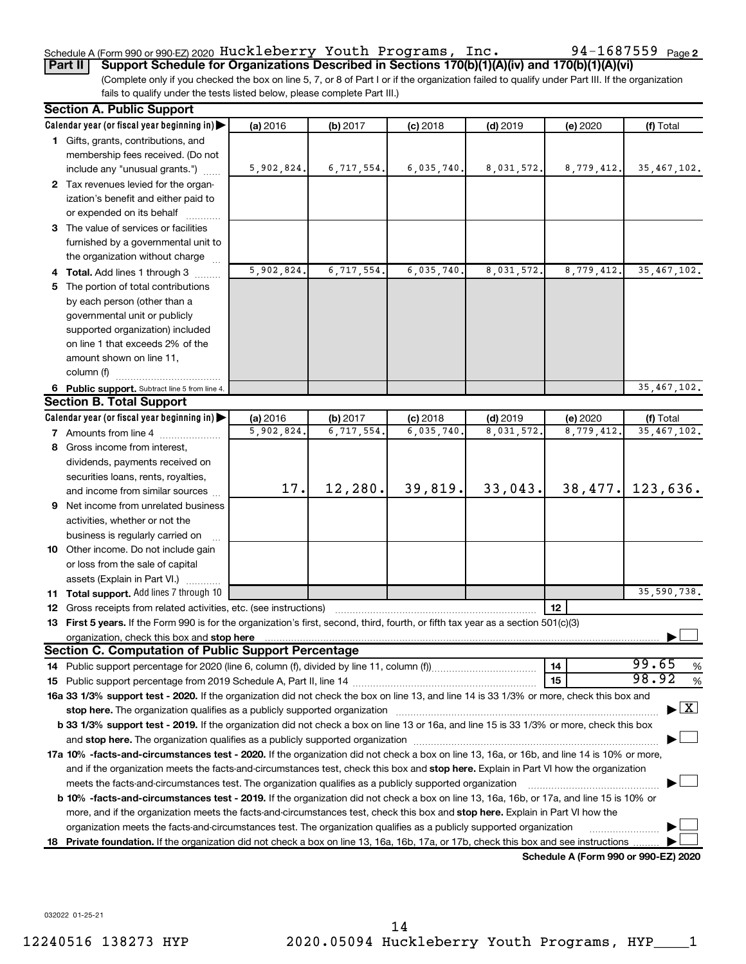#### Schedule A (Form 990 or 990-EZ) 2020  $\rm{Huckleberry}$   $\rm{Youth}$   $\rm{Programs}$  ,  $\rm{Inc}$  .  $\rm{94-1687559}$   $\rm{Page}$

**Part II Support Schedule for Organizations Described in Sections 170(b)(1)(A)(iv) and 170(b)(1)(A)(vi)**

(Complete only if you checked the box on line 5, 7, or 8 of Part I or if the organization failed to qualify under Part III. If the organization fails to qualify under the tests listed below, please complete Part III.)

|    | <b>Section A. Public Support</b>                                                                                                                                                                                                         |            |            |            |            |                                      |                                    |
|----|------------------------------------------------------------------------------------------------------------------------------------------------------------------------------------------------------------------------------------------|------------|------------|------------|------------|--------------------------------------|------------------------------------|
|    | Calendar year (or fiscal year beginning in)                                                                                                                                                                                              | (a) 2016   | (b) 2017   | $(c)$ 2018 | $(d)$ 2019 | (e) 2020                             | (f) Total                          |
|    | 1 Gifts, grants, contributions, and                                                                                                                                                                                                      |            |            |            |            |                                      |                                    |
|    | membership fees received. (Do not                                                                                                                                                                                                        |            |            |            |            |                                      |                                    |
|    | include any "unusual grants.")                                                                                                                                                                                                           | 5,902,824. | 6,717,554. | 6,035,740. | 8,031,572. | 8,779,412.                           | 35, 467, 102.                      |
|    | 2 Tax revenues levied for the organ-                                                                                                                                                                                                     |            |            |            |            |                                      |                                    |
|    | ization's benefit and either paid to                                                                                                                                                                                                     |            |            |            |            |                                      |                                    |
|    | or expended on its behalf                                                                                                                                                                                                                |            |            |            |            |                                      |                                    |
|    | 3 The value of services or facilities                                                                                                                                                                                                    |            |            |            |            |                                      |                                    |
|    | furnished by a governmental unit to                                                                                                                                                                                                      |            |            |            |            |                                      |                                    |
|    | the organization without charge                                                                                                                                                                                                          |            |            |            |            |                                      |                                    |
|    | 4 Total. Add lines 1 through 3                                                                                                                                                                                                           | 5,902,824. | 6,717,554. | 6,035,740  | 8,031,572  | 8,779,412.                           | 35, 467, 102.                      |
|    | 5 The portion of total contributions                                                                                                                                                                                                     |            |            |            |            |                                      |                                    |
|    | by each person (other than a                                                                                                                                                                                                             |            |            |            |            |                                      |                                    |
|    | governmental unit or publicly                                                                                                                                                                                                            |            |            |            |            |                                      |                                    |
|    | supported organization) included                                                                                                                                                                                                         |            |            |            |            |                                      |                                    |
|    | on line 1 that exceeds 2% of the                                                                                                                                                                                                         |            |            |            |            |                                      |                                    |
|    | amount shown on line 11,                                                                                                                                                                                                                 |            |            |            |            |                                      |                                    |
|    | column (f)                                                                                                                                                                                                                               |            |            |            |            |                                      |                                    |
|    | 6 Public support. Subtract line 5 from line 4.                                                                                                                                                                                           |            |            |            |            |                                      | 35,467,102.                        |
|    | <b>Section B. Total Support</b>                                                                                                                                                                                                          |            |            |            |            |                                      |                                    |
|    | Calendar year (or fiscal year beginning in)                                                                                                                                                                                              | (a) 2016   | (b) 2017   | $(c)$ 2018 | $(d)$ 2019 | (e) 2020                             | (f) Total                          |
|    | <b>7</b> Amounts from line 4                                                                                                                                                                                                             | 5,902,824  | 6,717,554. | 6,035,740  | 8,031,572  | 8,779,412                            | 35, 467, 102.                      |
|    | 8 Gross income from interest,                                                                                                                                                                                                            |            |            |            |            |                                      |                                    |
|    | dividends, payments received on                                                                                                                                                                                                          |            |            |            |            |                                      |                                    |
|    | securities loans, rents, royalties,                                                                                                                                                                                                      |            |            |            |            |                                      |                                    |
|    | and income from similar sources                                                                                                                                                                                                          | 17.        | 12, 280.   | 39,819.    | 33,043.    | 38,477.                              | 123,636.                           |
|    | 9 Net income from unrelated business                                                                                                                                                                                                     |            |            |            |            |                                      |                                    |
|    | activities, whether or not the                                                                                                                                                                                                           |            |            |            |            |                                      |                                    |
|    | business is regularly carried on                                                                                                                                                                                                         |            |            |            |            |                                      |                                    |
|    | 10 Other income. Do not include gain                                                                                                                                                                                                     |            |            |            |            |                                      |                                    |
|    | or loss from the sale of capital                                                                                                                                                                                                         |            |            |            |            |                                      |                                    |
|    | assets (Explain in Part VI.)                                                                                                                                                                                                             |            |            |            |            |                                      |                                    |
|    | 11 Total support. Add lines 7 through 10                                                                                                                                                                                                 |            |            |            |            |                                      | 35,590,738.                        |
|    | <b>12</b> Gross receipts from related activities, etc. (see instructions)                                                                                                                                                                |            |            |            |            | 12                                   |                                    |
|    | 13 First 5 years. If the Form 990 is for the organization's first, second, third, fourth, or fifth tax year as a section 501(c)(3)                                                                                                       |            |            |            |            |                                      |                                    |
|    | organization, check this box and stop here <b>contractly contractly contractly and stress</b> or contract the box and stop here <b>contractly and the contractly contractly contractly contractly and stop here</b> contractly contractl |            |            |            |            |                                      |                                    |
|    | <b>Section C. Computation of Public Support Percentage</b>                                                                                                                                                                               |            |            |            |            |                                      |                                    |
|    |                                                                                                                                                                                                                                          |            |            |            |            | 14                                   | 99.65<br>%                         |
|    |                                                                                                                                                                                                                                          |            |            |            |            | 15                                   | 98.92<br>%                         |
|    | 16a 33 1/3% support test - 2020. If the organization did not check the box on line 13, and line 14 is 33 1/3% or more, check this box and                                                                                                |            |            |            |            |                                      |                                    |
|    | stop here. The organization qualifies as a publicly supported organization manufaction manufacture or the organization                                                                                                                   |            |            |            |            |                                      | $\blacktriangleright$ $\mathbf{X}$ |
|    | b 33 1/3% support test - 2019. If the organization did not check a box on line 13 or 16a, and line 15 is 33 1/3% or more, check this box                                                                                                 |            |            |            |            |                                      |                                    |
|    |                                                                                                                                                                                                                                          |            |            |            |            |                                      |                                    |
|    | 17a 10% -facts-and-circumstances test - 2020. If the organization did not check a box on line 13, 16a, or 16b, and line 14 is 10% or more,                                                                                               |            |            |            |            |                                      |                                    |
|    | and if the organization meets the facts-and-circumstances test, check this box and stop here. Explain in Part VI how the organization                                                                                                    |            |            |            |            |                                      |                                    |
|    | meets the facts-and-circumstances test. The organization qualifies as a publicly supported organization                                                                                                                                  |            |            |            |            |                                      |                                    |
|    | <b>b 10%</b> -facts-and-circumstances test - 2019. If the organization did not check a box on line 13, 16a, 16b, or 17a, and line 15 is 10% or                                                                                           |            |            |            |            |                                      |                                    |
|    | more, and if the organization meets the facts-and-circumstances test, check this box and stop here. Explain in Part VI how the                                                                                                           |            |            |            |            |                                      |                                    |
|    | organization meets the facts-and-circumstances test. The organization qualifies as a publicly supported organization                                                                                                                     |            |            |            |            |                                      |                                    |
| 18 | Private foundation. If the organization did not check a box on line 13, 16a, 16b, 17a, or 17b, check this box and see instructions                                                                                                       |            |            |            |            |                                      |                                    |
|    |                                                                                                                                                                                                                                          |            |            |            |            | Schedule A (Form 990 or 990-EZ) 2020 |                                    |

**Schedule A (Form 990 or 990-EZ) 2020**

032022 01-25-21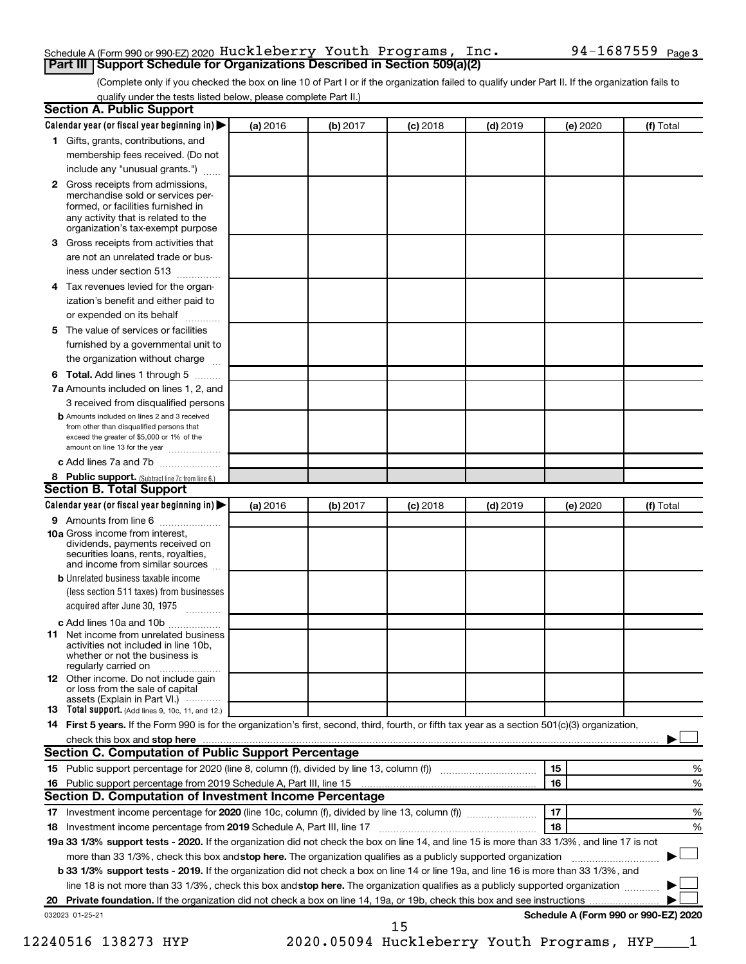#### Schedule A (Form 990 or 990-EZ) 2020  $\rm{Huckleberry}$   $\rm{Youth}$   $\rm{Programs}$  ,  $\rm{Inc}$  .  $\rm{94-1687559}$   $\rm{Page}$ **Part III Support Schedule for Organizations Described in Section 509(a)(2)**

(Complete only if you checked the box on line 10 of Part I or if the organization failed to qualify under Part II. If the organization fails to qualify under the tests listed below, please complete Part II.)

|              | Calendar year (or fiscal year beginning in)                                                                                                                                                                                    | (a) 2016 | (b) 2017                                   | $(c)$ 2018 | $(d)$ 2019 |    | (e) 2020 | (f) Total                            |   |
|--------------|--------------------------------------------------------------------------------------------------------------------------------------------------------------------------------------------------------------------------------|----------|--------------------------------------------|------------|------------|----|----------|--------------------------------------|---|
|              | 1 Gifts, grants, contributions, and                                                                                                                                                                                            |          |                                            |            |            |    |          |                                      |   |
|              | membership fees received. (Do not                                                                                                                                                                                              |          |                                            |            |            |    |          |                                      |   |
|              | include any "unusual grants.")                                                                                                                                                                                                 |          |                                            |            |            |    |          |                                      |   |
| $\mathbf{2}$ | Gross receipts from admissions,<br>merchandise sold or services per-<br>formed, or facilities furnished in<br>any activity that is related to the                                                                              |          |                                            |            |            |    |          |                                      |   |
|              | organization's tax-exempt purpose                                                                                                                                                                                              |          |                                            |            |            |    |          |                                      |   |
| 3.           | Gross receipts from activities that                                                                                                                                                                                            |          |                                            |            |            |    |          |                                      |   |
|              | are not an unrelated trade or bus-                                                                                                                                                                                             |          |                                            |            |            |    |          |                                      |   |
|              | iness under section 513                                                                                                                                                                                                        |          |                                            |            |            |    |          |                                      |   |
| 4            | Tax revenues levied for the organ-                                                                                                                                                                                             |          |                                            |            |            |    |          |                                      |   |
|              | ization's benefit and either paid to<br>or expended on its behalf<br>.                                                                                                                                                         |          |                                            |            |            |    |          |                                      |   |
| 5            | The value of services or facilities                                                                                                                                                                                            |          |                                            |            |            |    |          |                                      |   |
|              | furnished by a governmental unit to                                                                                                                                                                                            |          |                                            |            |            |    |          |                                      |   |
|              | the organization without charge                                                                                                                                                                                                |          |                                            |            |            |    |          |                                      |   |
| 6            | Total. Add lines 1 through 5                                                                                                                                                                                                   |          |                                            |            |            |    |          |                                      |   |
|              | 7a Amounts included on lines 1, 2, and                                                                                                                                                                                         |          |                                            |            |            |    |          |                                      |   |
|              | 3 received from disqualified persons                                                                                                                                                                                           |          |                                            |            |            |    |          |                                      |   |
|              | <b>b</b> Amounts included on lines 2 and 3 received<br>from other than disqualified persons that<br>exceed the greater of \$5,000 or 1% of the<br>amount on line 13 for the year                                               |          |                                            |            |            |    |          |                                      |   |
|              | c Add lines 7a and 7b                                                                                                                                                                                                          |          |                                            |            |            |    |          |                                      |   |
|              | 8 Public support. (Subtract line 7c from line 6.)                                                                                                                                                                              |          |                                            |            |            |    |          |                                      |   |
|              | <b>Section B. Total Support</b>                                                                                                                                                                                                |          |                                            |            |            |    |          |                                      |   |
|              | Calendar year (or fiscal year beginning in)                                                                                                                                                                                    | (a) 2016 | (b) 2017                                   | $(c)$ 2018 | $(d)$ 2019 |    | (e) 2020 | (f) Total                            |   |
|              | 9 Amounts from line 6                                                                                                                                                                                                          |          |                                            |            |            |    |          |                                      |   |
|              | <b>10a</b> Gross income from interest,<br>dividends, payments received on<br>securities loans, rents, royalties,<br>and income from similar sources                                                                            |          |                                            |            |            |    |          |                                      |   |
|              | <b>b</b> Unrelated business taxable income                                                                                                                                                                                     |          |                                            |            |            |    |          |                                      |   |
|              | (less section 511 taxes) from businesses<br>acquired after June 30, 1975                                                                                                                                                       |          |                                            |            |            |    |          |                                      |   |
|              | c Add lines 10a and 10b                                                                                                                                                                                                        |          |                                            |            |            |    |          |                                      |   |
| 11           | Net income from unrelated business<br>activities not included in line 10b.<br>whether or not the business is<br>regularly carried on                                                                                           |          |                                            |            |            |    |          |                                      |   |
|              | <b>12</b> Other income. Do not include gain<br>or loss from the sale of capital<br>assets (Explain in Part VI.)                                                                                                                |          |                                            |            |            |    |          |                                      |   |
|              | <b>13</b> Total support. (Add lines 9, 10c, 11, and 12.)                                                                                                                                                                       |          |                                            |            |            |    |          |                                      |   |
|              | 14 First 5 years. If the Form 990 is for the organization's first, second, third, fourth, or fifth tax year as a section 501(c)(3) organization,                                                                               |          |                                            |            |            |    |          |                                      |   |
|              | check this box and stop here measurement content to the state of the state of the state of the state of the state of the state of the state of the state of the state of the state of the state of the state of the state of t |          |                                            |            |            |    |          |                                      |   |
|              | <b>Section C. Computation of Public Support Percentage</b>                                                                                                                                                                     |          |                                            |            |            |    |          |                                      |   |
|              |                                                                                                                                                                                                                                |          |                                            |            |            | 15 |          |                                      | % |
|              |                                                                                                                                                                                                                                |          |                                            |            |            | 16 |          |                                      | % |
|              | Section D. Computation of Investment Income Percentage                                                                                                                                                                         |          |                                            |            |            |    |          |                                      |   |
|              |                                                                                                                                                                                                                                |          |                                            |            |            | 17 |          |                                      | % |
|              |                                                                                                                                                                                                                                |          |                                            |            |            | 18 |          |                                      | % |
|              | 19a 33 1/3% support tests - 2020. If the organization did not check the box on line 14, and line 15 is more than 33 1/3%, and line 17 is not                                                                                   |          |                                            |            |            |    |          |                                      |   |
|              |                                                                                                                                                                                                                                |          |                                            |            |            |    |          |                                      |   |
|              | more than 33 1/3%, check this box and stop here. The organization qualifies as a publicly supported organization                                                                                                               |          |                                            |            |            |    |          |                                      |   |
|              | <b>b 33 1/3% support tests - 2019.</b> If the organization did not check a box on line 14 or line 19a, and line 16 is more than 33 1/3%, and                                                                                   |          |                                            |            |            |    |          |                                      |   |
|              | line 18 is not more than 33 1/3%, check this box and stop here. The organization qualifies as a publicly supported organization                                                                                                |          |                                            |            |            |    |          |                                      |   |
|              |                                                                                                                                                                                                                                |          |                                            |            |            |    |          |                                      |   |
|              | 032023 01-25-21                                                                                                                                                                                                                |          |                                            | 15         |            |    |          | Schedule A (Form 990 or 990-EZ) 2020 |   |
|              |                                                                                                                                                                                                                                |          |                                            |            |            |    |          |                                      |   |
|              | 12240516 138273 HYP                                                                                                                                                                                                            |          | 2020.05094 Huckleberry Youth Programs, HYP |            |            |    |          |                                      |   |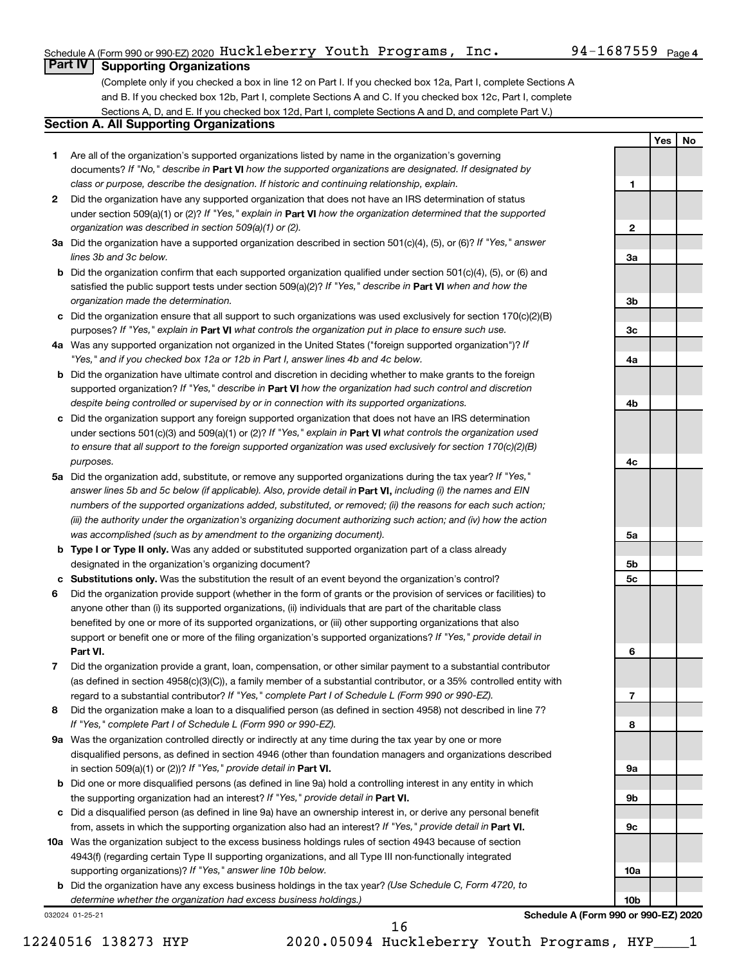#### Schedule A (Form 990 or 990-EZ) 2020  $\rm{Huckleberry}$   $\rm{Youth}$   $\rm{Programs}$  ,  $\rm{Inc}$  .  $\rm{94-1687559}$   $\rm{Page}$

**1**

**2**

**3a**

**3b**

**3c**

**4a**

**4b**

**4c**

**5a**

**5b 5c**

**6**

**7**

**8**

**9a**

**9b**

**9c**

**10a**

**10b**

**Schedule A (Form 990 or 990-EZ) 2020**

**Yes No**

#### **Part IV Supporting Organizations**

(Complete only if you checked a box in line 12 on Part I. If you checked box 12a, Part I, complete Sections A and B. If you checked box 12b, Part I, complete Sections A and C. If you checked box 12c, Part I, complete Sections A, D, and E. If you checked box 12d, Part I, complete Sections A and D, and complete Part V.)

#### **Section A. All Supporting Organizations**

- **1** Are all of the organization's supported organizations listed by name in the organization's governing documents? If "No," describe in Part VI how the supported organizations are designated. If designated by *class or purpose, describe the designation. If historic and continuing relationship, explain.*
- **2** Did the organization have any supported organization that does not have an IRS determination of status under section 509(a)(1) or (2)? If "Yes," explain in Part **VI** how the organization determined that the supported *organization was described in section 509(a)(1) or (2).*
- **3a** Did the organization have a supported organization described in section 501(c)(4), (5), or (6)? If "Yes," answer *lines 3b and 3c below.*
- **b** Did the organization confirm that each supported organization qualified under section 501(c)(4), (5), or (6) and satisfied the public support tests under section 509(a)(2)? If "Yes," describe in Part VI when and how the *organization made the determination.*
- **c** Did the organization ensure that all support to such organizations was used exclusively for section 170(c)(2)(B) purposes? If "Yes," explain in Part VI what controls the organization put in place to ensure such use.
- **4 a** *If* Was any supported organization not organized in the United States ("foreign supported organization")? *"Yes," and if you checked box 12a or 12b in Part I, answer lines 4b and 4c below.*
- **b** Did the organization have ultimate control and discretion in deciding whether to make grants to the foreign supported organization? If "Yes," describe in Part VI how the organization had such control and discretion *despite being controlled or supervised by or in connection with its supported organizations.*
- **c** Did the organization support any foreign supported organization that does not have an IRS determination under sections 501(c)(3) and 509(a)(1) or (2)? If "Yes," explain in Part VI what controls the organization used *to ensure that all support to the foreign supported organization was used exclusively for section 170(c)(2)(B) purposes.*
- **5a** Did the organization add, substitute, or remove any supported organizations during the tax year? If "Yes," answer lines 5b and 5c below (if applicable). Also, provide detail in **Part VI,** including (i) the names and EIN *numbers of the supported organizations added, substituted, or removed; (ii) the reasons for each such action; (iii) the authority under the organization's organizing document authorizing such action; and (iv) how the action was accomplished (such as by amendment to the organizing document).*
- **b Type I or Type II only.** Was any added or substituted supported organization part of a class already designated in the organization's organizing document?
- **c Substitutions only.**  Was the substitution the result of an event beyond the organization's control?
- **6** Did the organization provide support (whether in the form of grants or the provision of services or facilities) to **Part VI.** support or benefit one or more of the filing organization's supported organizations? If "Yes," provide detail in anyone other than (i) its supported organizations, (ii) individuals that are part of the charitable class benefited by one or more of its supported organizations, or (iii) other supporting organizations that also
- **7** Did the organization provide a grant, loan, compensation, or other similar payment to a substantial contributor regard to a substantial contributor? If "Yes," complete Part I of Schedule L (Form 990 or 990-EZ). (as defined in section 4958(c)(3)(C)), a family member of a substantial contributor, or a 35% controlled entity with
- **8** Did the organization make a loan to a disqualified person (as defined in section 4958) not described in line 7? *If "Yes," complete Part I of Schedule L (Form 990 or 990-EZ).*
- **9 a** Was the organization controlled directly or indirectly at any time during the tax year by one or more in section 509(a)(1) or (2))? If "Yes," provide detail in **Part VI.** disqualified persons, as defined in section 4946 (other than foundation managers and organizations described
- **b** Did one or more disqualified persons (as defined in line 9a) hold a controlling interest in any entity in which the supporting organization had an interest? If "Yes," provide detail in Part VI.
- **c** Did a disqualified person (as defined in line 9a) have an ownership interest in, or derive any personal benefit from, assets in which the supporting organization also had an interest? If "Yes," provide detail in Part VI.
- **10 a** Was the organization subject to the excess business holdings rules of section 4943 because of section supporting organizations)? If "Yes," answer line 10b below. 4943(f) (regarding certain Type II supporting organizations, and all Type III non-functionally integrated
	- **b** Did the organization have any excess business holdings in the tax year? (Use Schedule C, Form 4720, to *determine whether the organization had excess business holdings.)*

032024 01-25-21

12240516 138273 HYP 2020.05094 Huckleberry Youth Programs, HYP\_\_\_\_1

16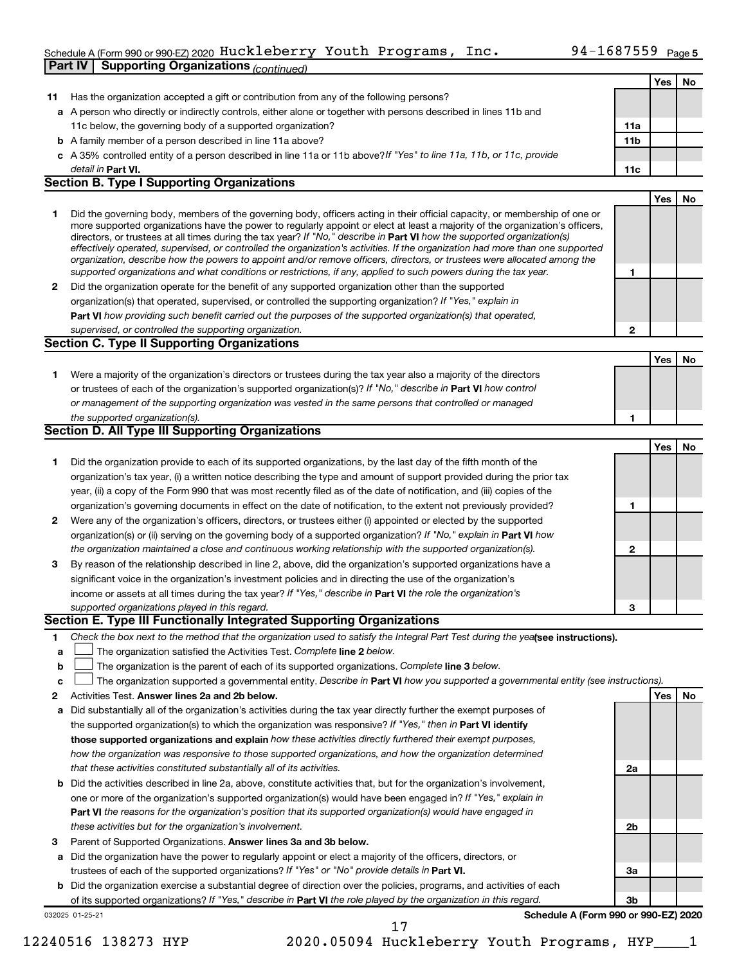#### Schedule A (Form 990 or 990-EZ) 2020 <code>Huckleberry Youth Programs, Inc. 94-1687559</code> <code>Page 5</code> **Part IV | Supporting Organizations** *(continued)*

|                  |                                                                                                                                                                                                                                                                                                                                                                                                                                                                                                                                                                                                                                                                                                                                                                          |     | Yes | No |
|------------------|--------------------------------------------------------------------------------------------------------------------------------------------------------------------------------------------------------------------------------------------------------------------------------------------------------------------------------------------------------------------------------------------------------------------------------------------------------------------------------------------------------------------------------------------------------------------------------------------------------------------------------------------------------------------------------------------------------------------------------------------------------------------------|-----|-----|----|
| 11               | Has the organization accepted a gift or contribution from any of the following persons?                                                                                                                                                                                                                                                                                                                                                                                                                                                                                                                                                                                                                                                                                  |     |     |    |
|                  | a A person who directly or indirectly controls, either alone or together with persons described in lines 11b and                                                                                                                                                                                                                                                                                                                                                                                                                                                                                                                                                                                                                                                         |     |     |    |
|                  | 11c below, the governing body of a supported organization?                                                                                                                                                                                                                                                                                                                                                                                                                                                                                                                                                                                                                                                                                                               | 11a |     |    |
|                  | <b>b</b> A family member of a person described in line 11a above?                                                                                                                                                                                                                                                                                                                                                                                                                                                                                                                                                                                                                                                                                                        | 11b |     |    |
|                  | c A 35% controlled entity of a person described in line 11a or 11b above? If "Yes" to line 11a, 11b, or 11c, provide                                                                                                                                                                                                                                                                                                                                                                                                                                                                                                                                                                                                                                                     |     |     |    |
|                  | detail in Part VI.                                                                                                                                                                                                                                                                                                                                                                                                                                                                                                                                                                                                                                                                                                                                                       | 11c |     |    |
|                  | <b>Section B. Type I Supporting Organizations</b>                                                                                                                                                                                                                                                                                                                                                                                                                                                                                                                                                                                                                                                                                                                        |     |     |    |
|                  |                                                                                                                                                                                                                                                                                                                                                                                                                                                                                                                                                                                                                                                                                                                                                                          |     | Yes | No |
| 1                | Did the governing body, members of the governing body, officers acting in their official capacity, or membership of one or<br>more supported organizations have the power to regularly appoint or elect at least a majority of the organization's officers,<br>directors, or trustees at all times during the tax year? If "No," describe in Part VI how the supported organization(s)<br>effectively operated, supervised, or controlled the organization's activities. If the organization had more than one supported<br>organization, describe how the powers to appoint and/or remove officers, directors, or trustees were allocated among the<br>supported organizations and what conditions or restrictions, if any, applied to such powers during the tax year. | 1   |     |    |
| 2                | Did the organization operate for the benefit of any supported organization other than the supported                                                                                                                                                                                                                                                                                                                                                                                                                                                                                                                                                                                                                                                                      |     |     |    |
|                  | organization(s) that operated, supervised, or controlled the supporting organization? If "Yes," explain in                                                                                                                                                                                                                                                                                                                                                                                                                                                                                                                                                                                                                                                               |     |     |    |
|                  | Part VI how providing such benefit carried out the purposes of the supported organization(s) that operated,                                                                                                                                                                                                                                                                                                                                                                                                                                                                                                                                                                                                                                                              |     |     |    |
|                  | supervised, or controlled the supporting organization.                                                                                                                                                                                                                                                                                                                                                                                                                                                                                                                                                                                                                                                                                                                   | 2   |     |    |
|                  | Section C. Type II Supporting Organizations                                                                                                                                                                                                                                                                                                                                                                                                                                                                                                                                                                                                                                                                                                                              |     |     |    |
|                  |                                                                                                                                                                                                                                                                                                                                                                                                                                                                                                                                                                                                                                                                                                                                                                          |     | Yes | No |
| 1                | Were a majority of the organization's directors or trustees during the tax year also a majority of the directors<br>or trustees of each of the organization's supported organization(s)? If "No," describe in Part VI how control<br>or management of the supporting organization was vested in the same persons that controlled or managed<br>the supported organization(s).                                                                                                                                                                                                                                                                                                                                                                                            | 1   |     |    |
|                  | <b>Section D. All Type III Supporting Organizations</b>                                                                                                                                                                                                                                                                                                                                                                                                                                                                                                                                                                                                                                                                                                                  |     |     |    |
|                  |                                                                                                                                                                                                                                                                                                                                                                                                                                                                                                                                                                                                                                                                                                                                                                          |     | Yes | No |
| 1                | Did the organization provide to each of its supported organizations, by the last day of the fifth month of the<br>organization's tax year, (i) a written notice describing the type and amount of support provided during the prior tax<br>year, (ii) a copy of the Form 990 that was most recently filed as of the date of notification, and (iii) copies of the                                                                                                                                                                                                                                                                                                                                                                                                        |     |     |    |
|                  | organization's governing documents in effect on the date of notification, to the extent not previously provided?                                                                                                                                                                                                                                                                                                                                                                                                                                                                                                                                                                                                                                                         | 1   |     |    |
| 2                | Were any of the organization's officers, directors, or trustees either (i) appointed or elected by the supported                                                                                                                                                                                                                                                                                                                                                                                                                                                                                                                                                                                                                                                         |     |     |    |
|                  | organization(s) or (ii) serving on the governing body of a supported organization? If "No," explain in Part VI how                                                                                                                                                                                                                                                                                                                                                                                                                                                                                                                                                                                                                                                       |     |     |    |
|                  | the organization maintained a close and continuous working relationship with the supported organization(s).                                                                                                                                                                                                                                                                                                                                                                                                                                                                                                                                                                                                                                                              | 2   |     |    |
| 3                | By reason of the relationship described in line 2, above, did the organization's supported organizations have a                                                                                                                                                                                                                                                                                                                                                                                                                                                                                                                                                                                                                                                          |     |     |    |
|                  | significant voice in the organization's investment policies and in directing the use of the organization's                                                                                                                                                                                                                                                                                                                                                                                                                                                                                                                                                                                                                                                               |     |     |    |
|                  | income or assets at all times during the tax year? If "Yes," describe in Part VI the role the organization's                                                                                                                                                                                                                                                                                                                                                                                                                                                                                                                                                                                                                                                             |     |     |    |
|                  | supported organizations played in this regard.<br>Section E. Type III Functionally Integrated Supporting Organizations                                                                                                                                                                                                                                                                                                                                                                                                                                                                                                                                                                                                                                                   | 3   |     |    |
|                  |                                                                                                                                                                                                                                                                                                                                                                                                                                                                                                                                                                                                                                                                                                                                                                          |     |     |    |
| 1<br>а<br>b<br>c | Check the box next to the method that the organization used to satisfy the Integral Part Test during the yealsee instructions).<br>The organization satisfied the Activities Test. Complete line 2 below.<br>The organization is the parent of each of its supported organizations. Complete line 3 below.<br>The organization supported a governmental entity. Describe in Part VI how you supported a governmental entity (see instructions).                                                                                                                                                                                                                                                                                                                          |     |     |    |
| 2                | Activities Test. Answer lines 2a and 2b below.                                                                                                                                                                                                                                                                                                                                                                                                                                                                                                                                                                                                                                                                                                                           |     | Yes | No |
| а                | Did substantially all of the organization's activities during the tax year directly further the exempt purposes of<br>the supported organization(s) to which the organization was responsive? If "Yes," then in Part VI identify<br>those supported organizations and explain how these activities directly furthered their exempt purposes,                                                                                                                                                                                                                                                                                                                                                                                                                             |     |     |    |
|                  | how the organization was responsive to those supported organizations, and how the organization determined                                                                                                                                                                                                                                                                                                                                                                                                                                                                                                                                                                                                                                                                |     |     |    |
|                  | that these activities constituted substantially all of its activities.                                                                                                                                                                                                                                                                                                                                                                                                                                                                                                                                                                                                                                                                                                   | 2a  |     |    |
| b                | Did the activities described in line 2a, above, constitute activities that, but for the organization's involvement,                                                                                                                                                                                                                                                                                                                                                                                                                                                                                                                                                                                                                                                      |     |     |    |
|                  | one or more of the organization's supported organization(s) would have been engaged in? If "Yes," explain in<br><b>Part VI</b> the reasons for the organization's position that its supported organization(s) would have engaged in                                                                                                                                                                                                                                                                                                                                                                                                                                                                                                                                      |     |     |    |
|                  | these activities but for the organization's involvement.                                                                                                                                                                                                                                                                                                                                                                                                                                                                                                                                                                                                                                                                                                                 | 2b  |     |    |
| з                | Parent of Supported Organizations. Answer lines 3a and 3b below.                                                                                                                                                                                                                                                                                                                                                                                                                                                                                                                                                                                                                                                                                                         |     |     |    |
| а                | Did the organization have the power to regularly appoint or elect a majority of the officers, directors, or                                                                                                                                                                                                                                                                                                                                                                                                                                                                                                                                                                                                                                                              |     |     |    |
|                  | trustees of each of the supported organizations? If "Yes" or "No" provide details in Part VI.                                                                                                                                                                                                                                                                                                                                                                                                                                                                                                                                                                                                                                                                            | За  |     |    |
|                  | <b>b</b> Did the organization exercise a substantial degree of direction over the policies, programs, and activities of each                                                                                                                                                                                                                                                                                                                                                                                                                                                                                                                                                                                                                                             |     |     |    |
|                  | of its supported organizations? If "Yes," describe in Part VI the role played by the organization in this regard.                                                                                                                                                                                                                                                                                                                                                                                                                                                                                                                                                                                                                                                        | 3b  |     |    |
|                  | Schedule A (Form 990 or 990-EZ) 2020<br>032025 01-25-21                                                                                                                                                                                                                                                                                                                                                                                                                                                                                                                                                                                                                                                                                                                  |     |     |    |
|                  | 17                                                                                                                                                                                                                                                                                                                                                                                                                                                                                                                                                                                                                                                                                                                                                                       |     |     |    |

12240516 138273 HYP 2020.05094 Huckleberry Youth Programs, HYP\_\_\_\_1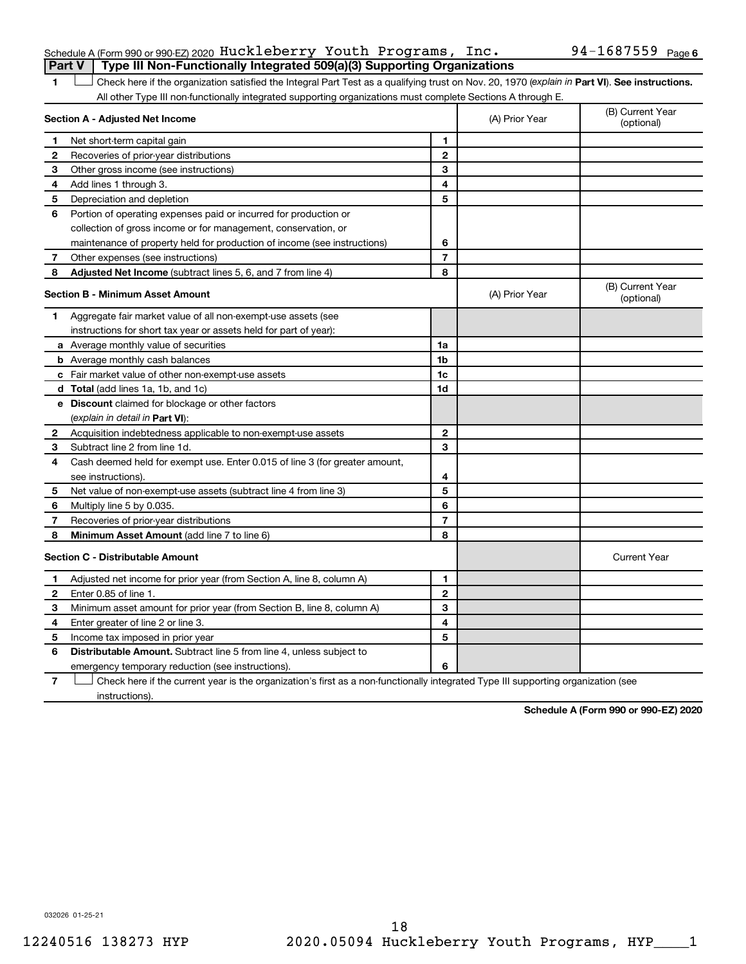|  | Schedule A (Form 990 or 990-EZ) 2020 Huckleberry Youth Programs, $Inc.$               | $94 - 1687559$ $_{\text{Page 6}}$ |  |
|--|---------------------------------------------------------------------------------------|-----------------------------------|--|
|  | <b>Part V</b> Type III Non-Functionally Integrated 509(a)(3) Supporting Organizations |                                   |  |

1 **Letter See instructions.** Check here if the organization satisfied the Integral Part Test as a qualifying trust on Nov. 20, 1970 (*explain in* Part **VI**). See instructions. All other Type III non-functionally integrated supporting organizations must complete Sections A through E.

|              | Section A - Adjusted Net Income                                             | (A) Prior Year | (B) Current Year<br>(optional) |                                |
|--------------|-----------------------------------------------------------------------------|----------------|--------------------------------|--------------------------------|
| 1            | Net short-term capital gain                                                 | 1              |                                |                                |
| $\mathbf{2}$ | Recoveries of prior-year distributions                                      | $\mathbf{2}$   |                                |                                |
| 3            | Other gross income (see instructions)                                       | 3              |                                |                                |
| 4            | Add lines 1 through 3.                                                      | 4              |                                |                                |
| 5            | Depreciation and depletion                                                  | 5              |                                |                                |
| 6            | Portion of operating expenses paid or incurred for production or            |                |                                |                                |
|              | collection of gross income or for management, conservation, or              |                |                                |                                |
|              | maintenance of property held for production of income (see instructions)    | 6              |                                |                                |
| 7            | Other expenses (see instructions)                                           | $\overline{7}$ |                                |                                |
| 8            | Adjusted Net Income (subtract lines 5, 6, and 7 from line 4)                | 8              |                                |                                |
|              | <b>Section B - Minimum Asset Amount</b>                                     |                | (A) Prior Year                 | (B) Current Year<br>(optional) |
| 1.           | Aggregate fair market value of all non-exempt-use assets (see               |                |                                |                                |
|              | instructions for short tax year or assets held for part of year):           |                |                                |                                |
|              | a Average monthly value of securities                                       | 1a             |                                |                                |
|              | <b>b</b> Average monthly cash balances                                      | 1b             |                                |                                |
|              | c Fair market value of other non-exempt-use assets                          | 1c             |                                |                                |
|              | d Total (add lines 1a, 1b, and 1c)                                          | 1d             |                                |                                |
|              | e Discount claimed for blockage or other factors                            |                |                                |                                |
|              | (explain in detail in <b>Part VI</b> ):                                     |                |                                |                                |
| $\mathbf{2}$ | Acquisition indebtedness applicable to non-exempt-use assets                | $\mathbf{2}$   |                                |                                |
| 3            | Subtract line 2 from line 1d.                                               | 3              |                                |                                |
| 4            | Cash deemed held for exempt use. Enter 0.015 of line 3 (for greater amount, |                |                                |                                |
|              | see instructions).                                                          | 4              |                                |                                |
| 5            | Net value of non-exempt-use assets (subtract line 4 from line 3)            | 5              |                                |                                |
| 6            | Multiply line 5 by 0.035.                                                   | 6              |                                |                                |
| 7            | Recoveries of prior-year distributions                                      | $\overline{7}$ |                                |                                |
| 8            | <b>Minimum Asset Amount (add line 7 to line 6)</b>                          | 8              |                                |                                |
|              | <b>Section C - Distributable Amount</b>                                     |                |                                | <b>Current Year</b>            |
| 1            | Adjusted net income for prior year (from Section A, line 8, column A)       | 1              |                                |                                |
| $\mathbf{2}$ | Enter 0.85 of line 1.                                                       | $\mathbf{2}$   |                                |                                |
| 3            | Minimum asset amount for prior year (from Section B, line 8, column A)      | 3              |                                |                                |
| 4            | Enter greater of line 2 or line 3.                                          | 4              |                                |                                |
| 5            | Income tax imposed in prior year                                            | 5              |                                |                                |
| 6            | Distributable Amount. Subtract line 5 from line 4, unless subject to        |                |                                |                                |
|              | emergency temporary reduction (see instructions).                           | 6              |                                |                                |
|              |                                                                             |                |                                |                                |

**7** Check here if the current year is the organization's first as a non-functionally integrated Type III supporting organization (see † instructions).

**Schedule A (Form 990 or 990-EZ) 2020**

032026 01-25-21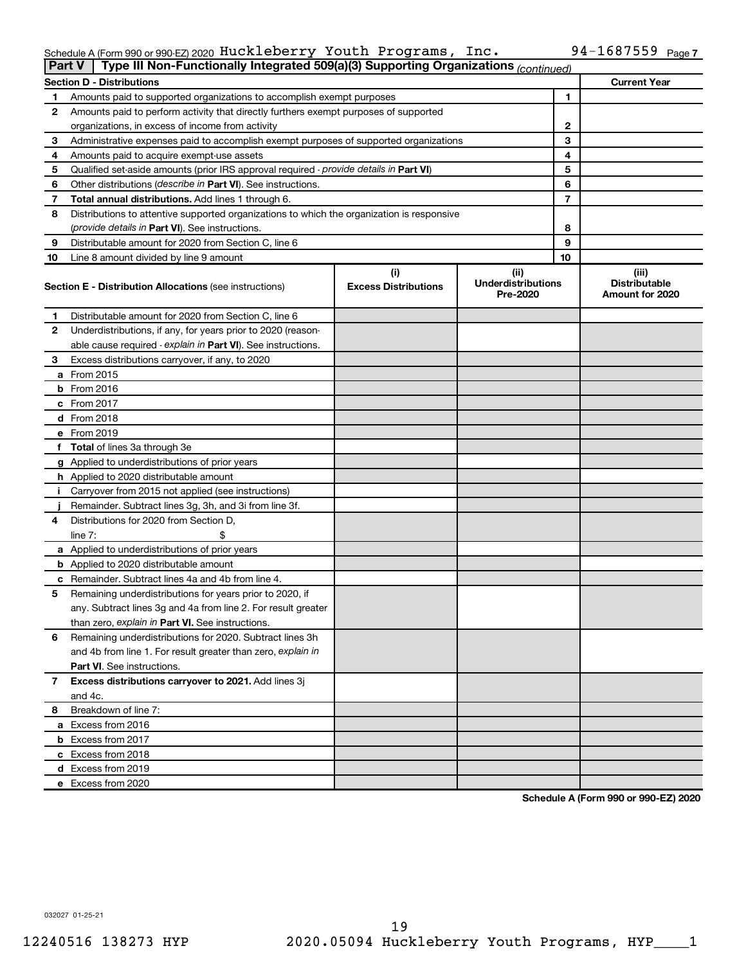#### Schedule A (Form 990 or 990-EZ) 2020 <code>Huckleberry</code> Youth Programs, Inc.  $94-168$  / 559  $^{\circ}$  Page Huckleberry Youth Programs, Inc. 94-1687559

|    | Type III Non-Functionally Integrated 509(a)(3) Supporting Organizations (continued)<br><b>Part V</b> |                                    |                                                |    |                                                  |  |  |
|----|------------------------------------------------------------------------------------------------------|------------------------------------|------------------------------------------------|----|--------------------------------------------------|--|--|
|    | <b>Current Year</b><br><b>Section D - Distributions</b>                                              |                                    |                                                |    |                                                  |  |  |
| 1  | Amounts paid to supported organizations to accomplish exempt purposes                                |                                    |                                                | 1  |                                                  |  |  |
| 2  | Amounts paid to perform activity that directly furthers exempt purposes of supported                 |                                    |                                                |    |                                                  |  |  |
|    | organizations, in excess of income from activity                                                     |                                    |                                                | 2  |                                                  |  |  |
| 3  | Administrative expenses paid to accomplish exempt purposes of supported organizations                |                                    |                                                | 3  |                                                  |  |  |
| 4  | Amounts paid to acquire exempt-use assets                                                            |                                    |                                                | 4  |                                                  |  |  |
| 5  | Qualified set-aside amounts (prior IRS approval required - provide details in Part VI)               |                                    |                                                | 5  |                                                  |  |  |
| 6  | Other distributions ( <i>describe in Part VI</i> ). See instructions.                                |                                    |                                                | 6  |                                                  |  |  |
| 7  | Total annual distributions. Add lines 1 through 6.                                                   |                                    |                                                | 7  |                                                  |  |  |
| 8  | Distributions to attentive supported organizations to which the organization is responsive           |                                    |                                                |    |                                                  |  |  |
|    | (provide details in Part VI). See instructions.                                                      |                                    |                                                | 8  |                                                  |  |  |
| 9  | Distributable amount for 2020 from Section C, line 6                                                 |                                    |                                                | 9  |                                                  |  |  |
| 10 | Line 8 amount divided by line 9 amount                                                               |                                    |                                                | 10 |                                                  |  |  |
|    | <b>Section E - Distribution Allocations (see instructions)</b>                                       | (i)<br><b>Excess Distributions</b> | (iii)<br><b>Underdistributions</b><br>Pre-2020 |    | (iii)<br><b>Distributable</b><br>Amount for 2020 |  |  |
| 1  | Distributable amount for 2020 from Section C, line 6                                                 |                                    |                                                |    |                                                  |  |  |
| 2  | Underdistributions, if any, for years prior to 2020 (reason-                                         |                                    |                                                |    |                                                  |  |  |
|    | able cause required - explain in Part VI). See instructions.                                         |                                    |                                                |    |                                                  |  |  |
| 3  | Excess distributions carryover, if any, to 2020                                                      |                                    |                                                |    |                                                  |  |  |
|    | a From 2015                                                                                          |                                    |                                                |    |                                                  |  |  |
|    | <b>b</b> From 2016                                                                                   |                                    |                                                |    |                                                  |  |  |
|    | c From 2017                                                                                          |                                    |                                                |    |                                                  |  |  |
|    | <b>d</b> From 2018                                                                                   |                                    |                                                |    |                                                  |  |  |
|    | e From 2019                                                                                          |                                    |                                                |    |                                                  |  |  |
|    | f Total of lines 3a through 3e                                                                       |                                    |                                                |    |                                                  |  |  |
|    | g Applied to underdistributions of prior years                                                       |                                    |                                                |    |                                                  |  |  |
|    | <b>h</b> Applied to 2020 distributable amount                                                        |                                    |                                                |    |                                                  |  |  |
| Ť. | Carryover from 2015 not applied (see instructions)                                                   |                                    |                                                |    |                                                  |  |  |
|    | Remainder. Subtract lines 3g, 3h, and 3i from line 3f.                                               |                                    |                                                |    |                                                  |  |  |
| 4  | Distributions for 2020 from Section D,                                                               |                                    |                                                |    |                                                  |  |  |
|    | line $7:$                                                                                            |                                    |                                                |    |                                                  |  |  |
|    | a Applied to underdistributions of prior years                                                       |                                    |                                                |    |                                                  |  |  |
|    | <b>b</b> Applied to 2020 distributable amount                                                        |                                    |                                                |    |                                                  |  |  |
|    | <b>c</b> Remainder. Subtract lines 4a and 4b from line 4.                                            |                                    |                                                |    |                                                  |  |  |
| 5  | Remaining underdistributions for years prior to 2020, if                                             |                                    |                                                |    |                                                  |  |  |
|    | any. Subtract lines 3g and 4a from line 2. For result greater                                        |                                    |                                                |    |                                                  |  |  |
|    | than zero, explain in Part VI. See instructions.                                                     |                                    |                                                |    |                                                  |  |  |
| 6  | Remaining underdistributions for 2020. Subtract lines 3h                                             |                                    |                                                |    |                                                  |  |  |
|    | and 4b from line 1. For result greater than zero, explain in                                         |                                    |                                                |    |                                                  |  |  |
|    | <b>Part VI.</b> See instructions.                                                                    |                                    |                                                |    |                                                  |  |  |
| 7  | Excess distributions carryover to 2021. Add lines 3j                                                 |                                    |                                                |    |                                                  |  |  |
|    | and 4c.                                                                                              |                                    |                                                |    |                                                  |  |  |
| 8  | Breakdown of line 7:                                                                                 |                                    |                                                |    |                                                  |  |  |
|    | a Excess from 2016                                                                                   |                                    |                                                |    |                                                  |  |  |
|    | <b>b</b> Excess from 2017                                                                            |                                    |                                                |    |                                                  |  |  |
|    | c Excess from 2018                                                                                   |                                    |                                                |    |                                                  |  |  |
|    | d Excess from 2019                                                                                   |                                    |                                                |    |                                                  |  |  |
|    | e Excess from 2020                                                                                   |                                    |                                                |    |                                                  |  |  |

**Schedule A (Form 990 or 990-EZ) 2020**

032027 01-25-21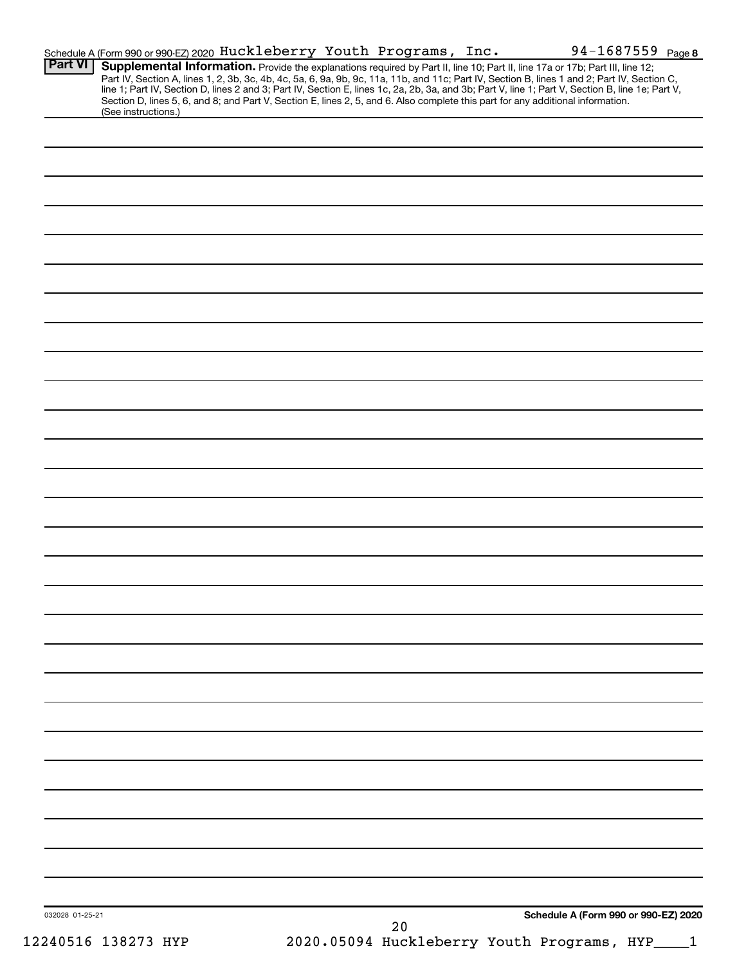|                | Schedule A (Form 990 or 990-EZ) 2020 Huckleberry Youth Programs, Inc.                                                                                                                                                                                                                   |  |  | 94-1687559 Page 8                                                                                                                                                                                                                                                                                |
|----------------|-----------------------------------------------------------------------------------------------------------------------------------------------------------------------------------------------------------------------------------------------------------------------------------------|--|--|--------------------------------------------------------------------------------------------------------------------------------------------------------------------------------------------------------------------------------------------------------------------------------------------------|
| <b>Part VI</b> | Supplemental Information. Provide the explanations required by Part II, line 10; Part II, line 17a or 17b; Part III, line 12;<br>Section D, lines 5, 6, and 8; and Part V, Section E, lines 2, 5, and 6. Also complete this part for any additional information.<br>(See instructions.) |  |  | Part IV, Section A, lines 1, 2, 3b, 3c, 4b, 4c, 5a, 6, 9a, 9b, 9c, 11a, 11b, and 11c; Part IV, Section B, lines 1 and 2; Part IV, Section C,<br>line 1; Part IV, Section D, lines 2 and 3; Part IV, Section E, lines 1c, 2a, 2b, 3a, and 3b; Part V, line 1; Part V, Section B, line 1e; Part V, |
|                |                                                                                                                                                                                                                                                                                         |  |  |                                                                                                                                                                                                                                                                                                  |
|                |                                                                                                                                                                                                                                                                                         |  |  |                                                                                                                                                                                                                                                                                                  |
|                |                                                                                                                                                                                                                                                                                         |  |  |                                                                                                                                                                                                                                                                                                  |
|                |                                                                                                                                                                                                                                                                                         |  |  |                                                                                                                                                                                                                                                                                                  |
|                |                                                                                                                                                                                                                                                                                         |  |  |                                                                                                                                                                                                                                                                                                  |
|                |                                                                                                                                                                                                                                                                                         |  |  |                                                                                                                                                                                                                                                                                                  |
|                |                                                                                                                                                                                                                                                                                         |  |  |                                                                                                                                                                                                                                                                                                  |
|                |                                                                                                                                                                                                                                                                                         |  |  |                                                                                                                                                                                                                                                                                                  |
|                |                                                                                                                                                                                                                                                                                         |  |  |                                                                                                                                                                                                                                                                                                  |
|                |                                                                                                                                                                                                                                                                                         |  |  |                                                                                                                                                                                                                                                                                                  |
|                |                                                                                                                                                                                                                                                                                         |  |  |                                                                                                                                                                                                                                                                                                  |
|                |                                                                                                                                                                                                                                                                                         |  |  |                                                                                                                                                                                                                                                                                                  |
|                |                                                                                                                                                                                                                                                                                         |  |  |                                                                                                                                                                                                                                                                                                  |
|                |                                                                                                                                                                                                                                                                                         |  |  |                                                                                                                                                                                                                                                                                                  |
|                |                                                                                                                                                                                                                                                                                         |  |  |                                                                                                                                                                                                                                                                                                  |
|                |                                                                                                                                                                                                                                                                                         |  |  |                                                                                                                                                                                                                                                                                                  |
|                |                                                                                                                                                                                                                                                                                         |  |  |                                                                                                                                                                                                                                                                                                  |
|                |                                                                                                                                                                                                                                                                                         |  |  |                                                                                                                                                                                                                                                                                                  |
|                |                                                                                                                                                                                                                                                                                         |  |  |                                                                                                                                                                                                                                                                                                  |
|                |                                                                                                                                                                                                                                                                                         |  |  |                                                                                                                                                                                                                                                                                                  |
|                |                                                                                                                                                                                                                                                                                         |  |  |                                                                                                                                                                                                                                                                                                  |
|                |                                                                                                                                                                                                                                                                                         |  |  |                                                                                                                                                                                                                                                                                                  |
|                |                                                                                                                                                                                                                                                                                         |  |  |                                                                                                                                                                                                                                                                                                  |
|                |                                                                                                                                                                                                                                                                                         |  |  |                                                                                                                                                                                                                                                                                                  |
|                |                                                                                                                                                                                                                                                                                         |  |  |                                                                                                                                                                                                                                                                                                  |
|                |                                                                                                                                                                                                                                                                                         |  |  |                                                                                                                                                                                                                                                                                                  |
|                |                                                                                                                                                                                                                                                                                         |  |  |                                                                                                                                                                                                                                                                                                  |
|                |                                                                                                                                                                                                                                                                                         |  |  |                                                                                                                                                                                                                                                                                                  |
|                |                                                                                                                                                                                                                                                                                         |  |  |                                                                                                                                                                                                                                                                                                  |
|                |                                                                                                                                                                                                                                                                                         |  |  |                                                                                                                                                                                                                                                                                                  |
|                |                                                                                                                                                                                                                                                                                         |  |  |                                                                                                                                                                                                                                                                                                  |
|                |                                                                                                                                                                                                                                                                                         |  |  |                                                                                                                                                                                                                                                                                                  |
|                |                                                                                                                                                                                                                                                                                         |  |  |                                                                                                                                                                                                                                                                                                  |
|                |                                                                                                                                                                                                                                                                                         |  |  |                                                                                                                                                                                                                                                                                                  |
|                |                                                                                                                                                                                                                                                                                         |  |  |                                                                                                                                                                                                                                                                                                  |
|                |                                                                                                                                                                                                                                                                                         |  |  |                                                                                                                                                                                                                                                                                                  |
|                |                                                                                                                                                                                                                                                                                         |  |  |                                                                                                                                                                                                                                                                                                  |
|                |                                                                                                                                                                                                                                                                                         |  |  |                                                                                                                                                                                                                                                                                                  |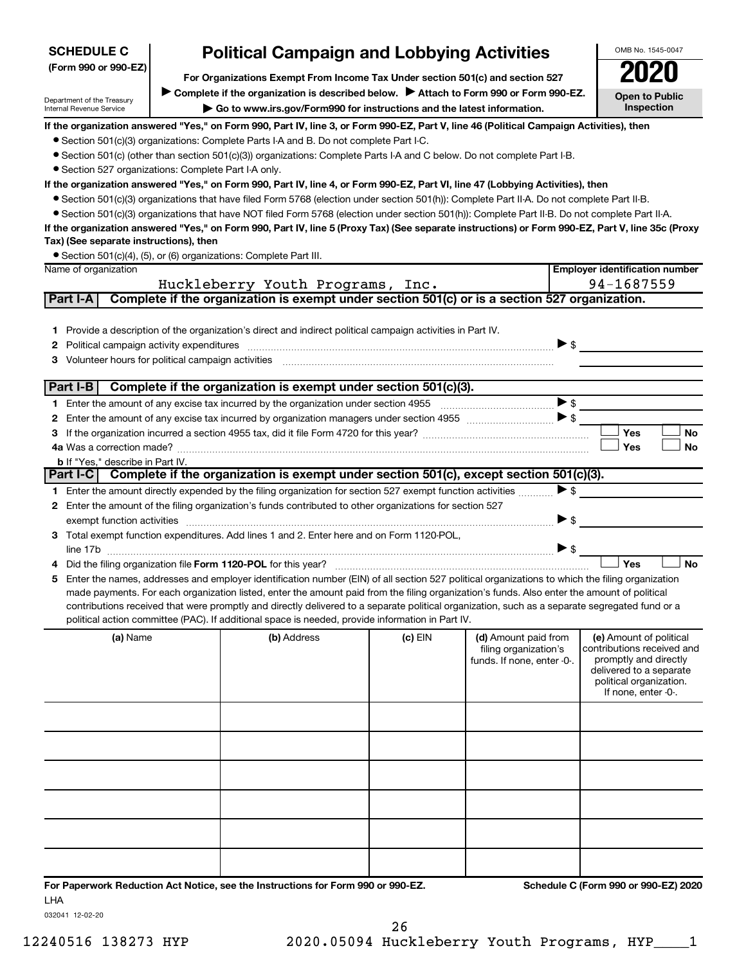| OMB No. 1545-0047<br><b>Political Campaign and Lobbying Activities</b><br><b>SCHEDULE C</b>                                                    |  |                                                                                                                                                                                                                                                                                                                                                                                                                                                                                                                                                                                                                                                                                                                                                                                                                                                                                                                                                                                                                                                                 |           |                                                                             |                          |                                                                                                                                                             |  |
|------------------------------------------------------------------------------------------------------------------------------------------------|--|-----------------------------------------------------------------------------------------------------------------------------------------------------------------------------------------------------------------------------------------------------------------------------------------------------------------------------------------------------------------------------------------------------------------------------------------------------------------------------------------------------------------------------------------------------------------------------------------------------------------------------------------------------------------------------------------------------------------------------------------------------------------------------------------------------------------------------------------------------------------------------------------------------------------------------------------------------------------------------------------------------------------------------------------------------------------|-----------|-----------------------------------------------------------------------------|--------------------------|-------------------------------------------------------------------------------------------------------------------------------------------------------------|--|
| (Form 990 or 990-EZ)                                                                                                                           |  |                                                                                                                                                                                                                                                                                                                                                                                                                                                                                                                                                                                                                                                                                                                                                                                                                                                                                                                                                                                                                                                                 |           |                                                                             |                          |                                                                                                                                                             |  |
|                                                                                                                                                |  | For Organizations Exempt From Income Tax Under section 501(c) and section 527<br>Complete if the organization is described below. > Attach to Form 990 or Form 990-EZ.                                                                                                                                                                                                                                                                                                                                                                                                                                                                                                                                                                                                                                                                                                                                                                                                                                                                                          |           |                                                                             |                          | <b>Open to Public</b>                                                                                                                                       |  |
| Department of the Treasury<br>Inspection<br>Go to www.irs.gov/Form990 for instructions and the latest information.<br>Internal Revenue Service |  |                                                                                                                                                                                                                                                                                                                                                                                                                                                                                                                                                                                                                                                                                                                                                                                                                                                                                                                                                                                                                                                                 |           |                                                                             |                          |                                                                                                                                                             |  |
| • Section 527 organizations: Complete Part I-A only.<br>Tax) (See separate instructions), then<br>Name of organization                         |  | If the organization answered "Yes," on Form 990, Part IV, line 3, or Form 990-EZ, Part V, line 46 (Political Campaign Activities), then<br>• Section 501(c)(3) organizations: Complete Parts I-A and B. Do not complete Part I-C.<br>● Section 501(c) (other than section 501(c)(3)) organizations: Complete Parts I-A and C below. Do not complete Part I-B.<br>If the organization answered "Yes," on Form 990, Part IV, line 4, or Form 990-EZ, Part VI, line 47 (Lobbying Activities), then<br>• Section 501(c)(3) organizations that have filed Form 5768 (election under section 501(h)): Complete Part II-A. Do not complete Part II-B.<br>• Section 501(c)(3) organizations that have NOT filed Form 5768 (election under section 501(h)): Complete Part II-B. Do not complete Part II-A.<br>If the organization answered "Yes," on Form 990, Part IV, line 5 (Proxy Tax) (See separate instructions) or Form 990-EZ, Part V, line 35c (Proxy<br>• Section 501(c)(4), (5), or (6) organizations: Complete Part III.<br>Huckleberry Youth Programs, Inc. |           |                                                                             |                          | <b>Employer identification number</b><br>94-1687559                                                                                                         |  |
| Part I-A                                                                                                                                       |  | Complete if the organization is exempt under section 501(c) or is a section 527 organization.                                                                                                                                                                                                                                                                                                                                                                                                                                                                                                                                                                                                                                                                                                                                                                                                                                                                                                                                                                   |           |                                                                             |                          |                                                                                                                                                             |  |
| 2<br>Volunteer hours for political campaign activities<br>з                                                                                    |  | 1 Provide a description of the organization's direct and indirect political campaign activities in Part IV.                                                                                                                                                                                                                                                                                                                                                                                                                                                                                                                                                                                                                                                                                                                                                                                                                                                                                                                                                     |           |                                                                             | $\triangleright$ \$      |                                                                                                                                                             |  |
| Part I-B                                                                                                                                       |  | Complete if the organization is exempt under section 501(c)(3).                                                                                                                                                                                                                                                                                                                                                                                                                                                                                                                                                                                                                                                                                                                                                                                                                                                                                                                                                                                                 |           |                                                                             |                          |                                                                                                                                                             |  |
|                                                                                                                                                |  |                                                                                                                                                                                                                                                                                                                                                                                                                                                                                                                                                                                                                                                                                                                                                                                                                                                                                                                                                                                                                                                                 |           |                                                                             | >                        |                                                                                                                                                             |  |
| 2                                                                                                                                              |  |                                                                                                                                                                                                                                                                                                                                                                                                                                                                                                                                                                                                                                                                                                                                                                                                                                                                                                                                                                                                                                                                 |           |                                                                             |                          |                                                                                                                                                             |  |
| з                                                                                                                                              |  |                                                                                                                                                                                                                                                                                                                                                                                                                                                                                                                                                                                                                                                                                                                                                                                                                                                                                                                                                                                                                                                                 |           |                                                                             |                          | Yes<br><b>No</b>                                                                                                                                            |  |
|                                                                                                                                                |  |                                                                                                                                                                                                                                                                                                                                                                                                                                                                                                                                                                                                                                                                                                                                                                                                                                                                                                                                                                                                                                                                 |           |                                                                             |                          | Yes<br>No                                                                                                                                                   |  |
| <b>b</b> If "Yes," describe in Part IV.                                                                                                        |  |                                                                                                                                                                                                                                                                                                                                                                                                                                                                                                                                                                                                                                                                                                                                                                                                                                                                                                                                                                                                                                                                 |           |                                                                             |                          |                                                                                                                                                             |  |
|                                                                                                                                                |  | Part I-C Complete if the organization is exempt under section $501(c)$ , except section $501(c)(3)$ .                                                                                                                                                                                                                                                                                                                                                                                                                                                                                                                                                                                                                                                                                                                                                                                                                                                                                                                                                           |           |                                                                             |                          |                                                                                                                                                             |  |
|                                                                                                                                                |  | 1 Enter the amount directly expended by the filing organization for section 527 exempt function activities                                                                                                                                                                                                                                                                                                                                                                                                                                                                                                                                                                                                                                                                                                                                                                                                                                                                                                                                                      |           |                                                                             | $\blacktriangleright$ \$ |                                                                                                                                                             |  |
| 2                                                                                                                                              |  | Enter the amount of the filing organization's funds contributed to other organizations for section 527                                                                                                                                                                                                                                                                                                                                                                                                                                                                                                                                                                                                                                                                                                                                                                                                                                                                                                                                                          |           |                                                                             | ▶ \$                     |                                                                                                                                                             |  |
| 3.                                                                                                                                             |  | Total exempt function expenditures. Add lines 1 and 2. Enter here and on Form 1120-POL,                                                                                                                                                                                                                                                                                                                                                                                                                                                                                                                                                                                                                                                                                                                                                                                                                                                                                                                                                                         |           |                                                                             |                          |                                                                                                                                                             |  |
|                                                                                                                                                |  |                                                                                                                                                                                                                                                                                                                                                                                                                                                                                                                                                                                                                                                                                                                                                                                                                                                                                                                                                                                                                                                                 |           |                                                                             | $\triangleright$ \$      |                                                                                                                                                             |  |
| 4                                                                                                                                              |  | Did the filing organization file Form 1120-POL for this year?                                                                                                                                                                                                                                                                                                                                                                                                                                                                                                                                                                                                                                                                                                                                                                                                                                                                                                                                                                                                   |           |                                                                             |                          | <b>No</b><br>Yes                                                                                                                                            |  |
| 5                                                                                                                                              |  | Enter the names, addresses and employer identification number (EIN) of all section 527 political organizations to which the filing organization                                                                                                                                                                                                                                                                                                                                                                                                                                                                                                                                                                                                                                                                                                                                                                                                                                                                                                                 |           |                                                                             |                          |                                                                                                                                                             |  |
|                                                                                                                                                |  | made payments. For each organization listed, enter the amount paid from the filing organization's funds. Also enter the amount of political                                                                                                                                                                                                                                                                                                                                                                                                                                                                                                                                                                                                                                                                                                                                                                                                                                                                                                                     |           |                                                                             |                          |                                                                                                                                                             |  |
|                                                                                                                                                |  | contributions received that were promptly and directly delivered to a separate political organization, such as a separate segregated fund or a                                                                                                                                                                                                                                                                                                                                                                                                                                                                                                                                                                                                                                                                                                                                                                                                                                                                                                                  |           |                                                                             |                          |                                                                                                                                                             |  |
|                                                                                                                                                |  | political action committee (PAC). If additional space is needed, provide information in Part IV.                                                                                                                                                                                                                                                                                                                                                                                                                                                                                                                                                                                                                                                                                                                                                                                                                                                                                                                                                                |           |                                                                             |                          |                                                                                                                                                             |  |
| (a) Name                                                                                                                                       |  | (b) Address                                                                                                                                                                                                                                                                                                                                                                                                                                                                                                                                                                                                                                                                                                                                                                                                                                                                                                                                                                                                                                                     | $(c)$ EIN | (d) Amount paid from<br>filing organization's<br>funds. If none, enter -0-. |                          | (e) Amount of political<br>contributions received and<br>promptly and directly<br>delivered to a separate<br>political organization.<br>If none, enter -0-. |  |
|                                                                                                                                                |  |                                                                                                                                                                                                                                                                                                                                                                                                                                                                                                                                                                                                                                                                                                                                                                                                                                                                                                                                                                                                                                                                 |           |                                                                             |                          |                                                                                                                                                             |  |
|                                                                                                                                                |  |                                                                                                                                                                                                                                                                                                                                                                                                                                                                                                                                                                                                                                                                                                                                                                                                                                                                                                                                                                                                                                                                 |           |                                                                             |                          |                                                                                                                                                             |  |
|                                                                                                                                                |  |                                                                                                                                                                                                                                                                                                                                                                                                                                                                                                                                                                                                                                                                                                                                                                                                                                                                                                                                                                                                                                                                 |           |                                                                             |                          |                                                                                                                                                             |  |
|                                                                                                                                                |  |                                                                                                                                                                                                                                                                                                                                                                                                                                                                                                                                                                                                                                                                                                                                                                                                                                                                                                                                                                                                                                                                 |           |                                                                             |                          |                                                                                                                                                             |  |
|                                                                                                                                                |  |                                                                                                                                                                                                                                                                                                                                                                                                                                                                                                                                                                                                                                                                                                                                                                                                                                                                                                                                                                                                                                                                 |           |                                                                             |                          |                                                                                                                                                             |  |
|                                                                                                                                                |  |                                                                                                                                                                                                                                                                                                                                                                                                                                                                                                                                                                                                                                                                                                                                                                                                                                                                                                                                                                                                                                                                 |           |                                                                             |                          |                                                                                                                                                             |  |
|                                                                                                                                                |  |                                                                                                                                                                                                                                                                                                                                                                                                                                                                                                                                                                                                                                                                                                                                                                                                                                                                                                                                                                                                                                                                 |           |                                                                             |                          |                                                                                                                                                             |  |
|                                                                                                                                                |  |                                                                                                                                                                                                                                                                                                                                                                                                                                                                                                                                                                                                                                                                                                                                                                                                                                                                                                                                                                                                                                                                 |           |                                                                             |                          |                                                                                                                                                             |  |
|                                                                                                                                                |  |                                                                                                                                                                                                                                                                                                                                                                                                                                                                                                                                                                                                                                                                                                                                                                                                                                                                                                                                                                                                                                                                 |           |                                                                             |                          |                                                                                                                                                             |  |
|                                                                                                                                                |  |                                                                                                                                                                                                                                                                                                                                                                                                                                                                                                                                                                                                                                                                                                                                                                                                                                                                                                                                                                                                                                                                 |           |                                                                             |                          |                                                                                                                                                             |  |
|                                                                                                                                                |  | For Deparwork Reduction Act Notice, see the Instructions for Form 000 or 000-F7                                                                                                                                                                                                                                                                                                                                                                                                                                                                                                                                                                                                                                                                                                                                                                                                                                                                                                                                                                                 |           |                                                                             |                          | Schedule C (Form 990 or 990-F7) 2020                                                                                                                        |  |

**For Paperwork Reduction Act Notice, see the Instructions for Form 990 or 990-EZ. Schedule C (Form 990 or 990-EZ) 2020** LHA

032041 12-02-20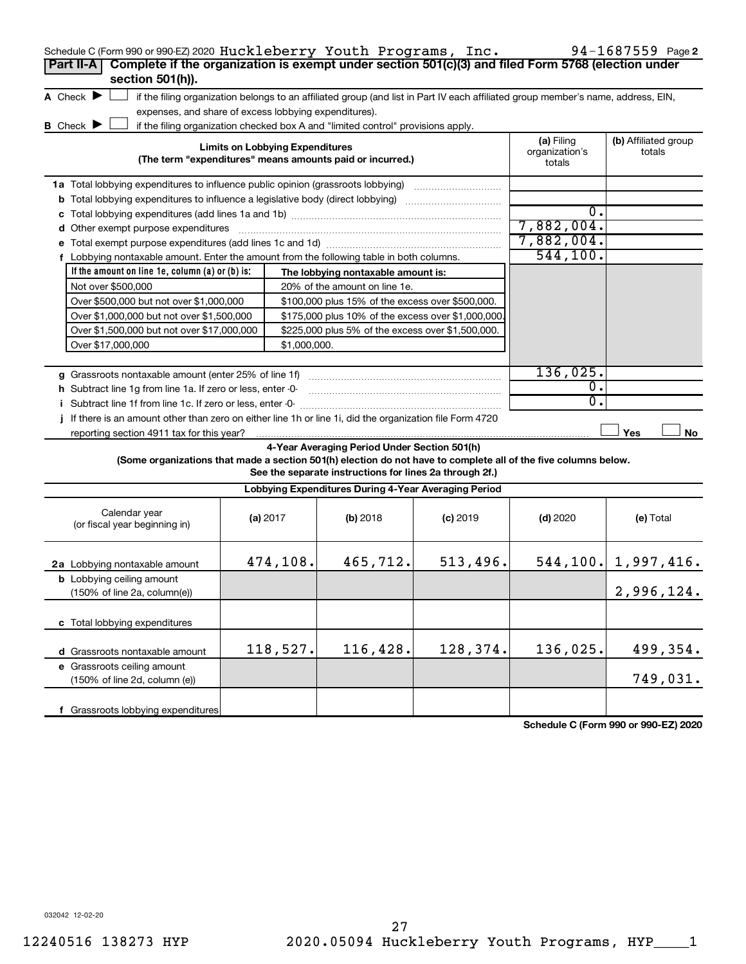| Schedule C (Form 990 or 990-EZ) 2020 Huckleberry Youth Programs, Inc.                                           |  |                                        |                                                                                                         |                                                                                                                                   |                                        | 94-1687559 Page 2              |  |  |
|-----------------------------------------------------------------------------------------------------------------|--|----------------------------------------|---------------------------------------------------------------------------------------------------------|-----------------------------------------------------------------------------------------------------------------------------------|----------------------------------------|--------------------------------|--|--|
| Complete if the organization is exempt under section 501(c)(3) and filed Form 5768 (election under<br>Part II-A |  |                                        |                                                                                                         |                                                                                                                                   |                                        |                                |  |  |
| section 501(h)).                                                                                                |  |                                        |                                                                                                         |                                                                                                                                   |                                        |                                |  |  |
| A Check $\blacktriangleright$                                                                                   |  |                                        |                                                                                                         | if the filing organization belongs to an affiliated group (and list in Part IV each affiliated group member's name, address, EIN, |                                        |                                |  |  |
| expenses, and share of excess lobbying expenditures).                                                           |  |                                        |                                                                                                         |                                                                                                                                   |                                        |                                |  |  |
| <b>B</b> Check $\blacktriangleright$                                                                            |  |                                        | if the filing organization checked box A and "limited control" provisions apply.                        |                                                                                                                                   |                                        |                                |  |  |
|                                                                                                                 |  | <b>Limits on Lobbying Expenditures</b> | (The term "expenditures" means amounts paid or incurred.)                                               |                                                                                                                                   | (a) Filing<br>organization's<br>totals | (b) Affiliated group<br>totals |  |  |
| 1a Total lobbying expenditures to influence public opinion (grassroots lobbying)                                |  |                                        |                                                                                                         |                                                                                                                                   |                                        |                                |  |  |
| <b>b</b> Total lobbying expenditures to influence a legislative body (direct lobbying) <i>manumanomous</i>      |  |                                        |                                                                                                         |                                                                                                                                   |                                        |                                |  |  |
| с                                                                                                               |  |                                        |                                                                                                         |                                                                                                                                   | 0.                                     |                                |  |  |
| d Other exempt purpose expenditures                                                                             |  |                                        |                                                                                                         |                                                                                                                                   | 7,882,004.                             |                                |  |  |
|                                                                                                                 |  |                                        |                                                                                                         |                                                                                                                                   | 7,882,004.                             |                                |  |  |
| f Lobbying nontaxable amount. Enter the amount from the following table in both columns.                        |  |                                        |                                                                                                         |                                                                                                                                   | 544, 100.                              |                                |  |  |
| If the amount on line 1e, column $(a)$ or $(b)$ is:                                                             |  |                                        | The lobbying nontaxable amount is:                                                                      |                                                                                                                                   |                                        |                                |  |  |
| Not over \$500,000                                                                                              |  |                                        | 20% of the amount on line 1e.                                                                           |                                                                                                                                   |                                        |                                |  |  |
| Over \$500,000 but not over \$1,000,000                                                                         |  |                                        | \$100,000 plus 15% of the excess over \$500,000.                                                        |                                                                                                                                   |                                        |                                |  |  |
| Over \$1,000,000 but not over \$1,500,000                                                                       |  |                                        | \$175,000 plus 10% of the excess over \$1,000,000                                                       |                                                                                                                                   |                                        |                                |  |  |
| Over \$1,500,000 but not over \$17,000,000                                                                      |  |                                        | \$225,000 plus 5% of the excess over \$1,500,000.                                                       |                                                                                                                                   |                                        |                                |  |  |
| Over \$17,000,000                                                                                               |  | \$1,000,000.                           |                                                                                                         |                                                                                                                                   |                                        |                                |  |  |
|                                                                                                                 |  |                                        |                                                                                                         |                                                                                                                                   |                                        |                                |  |  |
| g Grassroots nontaxable amount (enter 25% of line 1f)                                                           |  |                                        |                                                                                                         |                                                                                                                                   | 136,025.                               |                                |  |  |
| h Subtract line 1g from line 1a. If zero or less, enter -0-                                                     |  |                                        |                                                                                                         |                                                                                                                                   | 0.                                     |                                |  |  |
| i Subtract line 1f from line 1c. If zero or less, enter -0-                                                     |  |                                        |                                                                                                         |                                                                                                                                   | 0.                                     |                                |  |  |
| If there is an amount other than zero on either line 1h or line 1i, did the organization file Form 4720         |  |                                        |                                                                                                         |                                                                                                                                   |                                        |                                |  |  |
| reporting section 4911 tax for this year?                                                                       |  |                                        |                                                                                                         |                                                                                                                                   |                                        | Yes<br>No                      |  |  |
| (Some organizations that made a section 501(h) election do not have to complete all of the five columns below.  |  |                                        | 4-Year Averaging Period Under Section 501(h)<br>See the separate instructions for lines 2a through 2f.) |                                                                                                                                   |                                        |                                |  |  |
|                                                                                                                 |  |                                        | Lobbying Expenditures During 4-Year Averaging Period                                                    |                                                                                                                                   |                                        |                                |  |  |
| Calendar year<br>(or fiscal year beginning in)                                                                  |  | (a) 2017                               | (b) 2018                                                                                                | $(c)$ 2019                                                                                                                        | $(d)$ 2020                             | (e) Total                      |  |  |
| 2a Lobbying nontaxable amount                                                                                   |  | 474,108.                               | 465,712.                                                                                                | 513,496.                                                                                                                          |                                        | $544, 100$ . 1,997,416.        |  |  |
| <b>b</b> Lobbying ceiling amount<br>(150% of line 2a, column(e))                                                |  |                                        |                                                                                                         |                                                                                                                                   |                                        | 2,996,124.                     |  |  |
| c Total lobbying expenditures                                                                                   |  |                                        |                                                                                                         |                                                                                                                                   |                                        |                                |  |  |
| d Grassroots nontaxable amount                                                                                  |  | 118,527.                               | 116,428.                                                                                                | 128,374.                                                                                                                          | 136,025.                               | 499,354.                       |  |  |
| e Grassroots ceiling amount                                                                                     |  |                                        |                                                                                                         |                                                                                                                                   |                                        |                                |  |  |
| (150% of line 2d, column (e))                                                                                   |  |                                        |                                                                                                         |                                                                                                                                   |                                        | 749,031.                       |  |  |
| f Grassroots lobbying expenditures                                                                              |  |                                        |                                                                                                         |                                                                                                                                   |                                        |                                |  |  |

**Schedule C (Form 990 or 990-EZ) 2020**

032042 12-02-20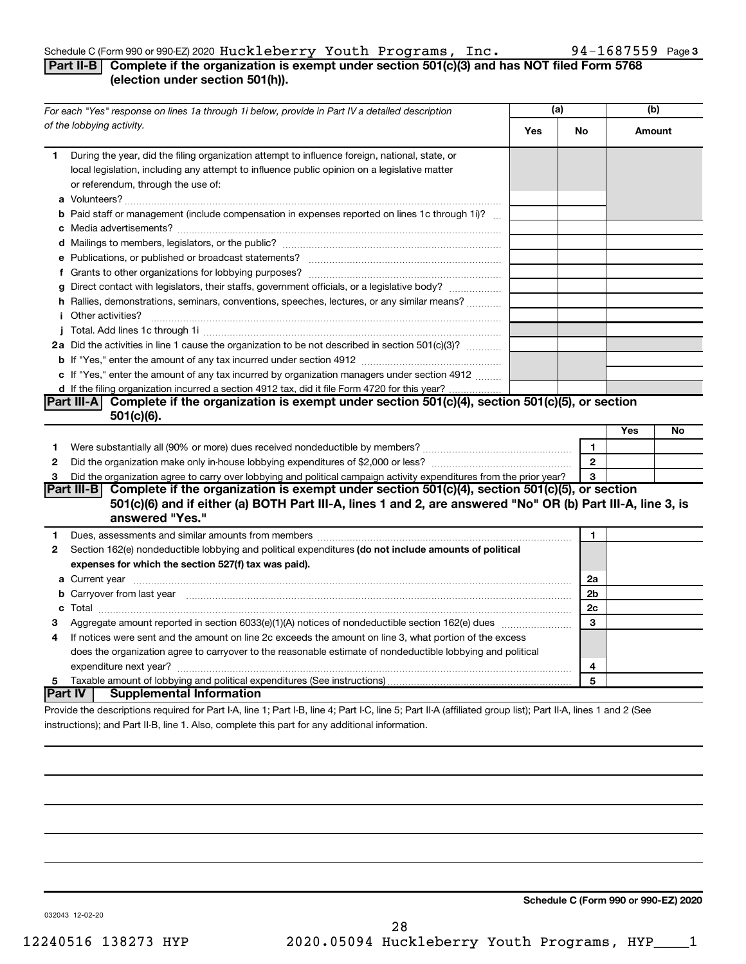#### Schedule C (Form 990 or 990-EZ) 2020  ${\tt Huckleberry}$   ${\tt Youth\ Programs}$  ,  ${\tt Inc.}$  94-1687559 <code>Page</code>

#### **Part II-B Complete if the organization is exempt under section 501(c)(3) and has NOT filed Form 5768 (election under section 501(h)).**

|    | For each "Yes" response on lines 1a through 1i below, provide in Part IV a detailed description                                                                                                                                            | (a) |                | (b)    |    |
|----|--------------------------------------------------------------------------------------------------------------------------------------------------------------------------------------------------------------------------------------------|-----|----------------|--------|----|
|    | of the lobbying activity.                                                                                                                                                                                                                  | Yes | No             | Amount |    |
| 1. | During the year, did the filing organization attempt to influence foreign, national, state, or<br>local legislation, including any attempt to influence public opinion on a legislative matter<br>or referendum, through the use of:       |     |                |        |    |
|    | <b>b</b> Paid staff or management (include compensation in expenses reported on lines 1c through 1i)?                                                                                                                                      |     |                |        |    |
|    |                                                                                                                                                                                                                                            |     |                |        |    |
|    |                                                                                                                                                                                                                                            |     |                |        |    |
|    |                                                                                                                                                                                                                                            |     |                |        |    |
|    | g Direct contact with legislators, their staffs, government officials, or a legislative body?                                                                                                                                              |     |                |        |    |
|    | h Rallies, demonstrations, seminars, conventions, speeches, lectures, or any similar means?                                                                                                                                                |     |                |        |    |
|    | <i>i</i> Other activities?                                                                                                                                                                                                                 |     |                |        |    |
|    |                                                                                                                                                                                                                                            |     |                |        |    |
|    | 2a Did the activities in line 1 cause the organization to be not described in section 501(c)(3)?                                                                                                                                           |     |                |        |    |
|    |                                                                                                                                                                                                                                            |     |                |        |    |
|    | c If "Yes," enter the amount of any tax incurred by organization managers under section 4912                                                                                                                                               |     |                |        |    |
|    | d If the filing organization incurred a section 4912 tax, did it file Form 4720 for this year?                                                                                                                                             |     |                |        |    |
|    | Part III-A Complete if the organization is exempt under section 501(c)(4), section 501(c)(5), or section                                                                                                                                   |     |                |        |    |
|    | $501(c)(6)$ .                                                                                                                                                                                                                              |     |                |        |    |
|    |                                                                                                                                                                                                                                            |     |                | Yes    | No |
| 1  |                                                                                                                                                                                                                                            |     | 1              |        |    |
| 2  |                                                                                                                                                                                                                                            |     | $\overline{2}$ |        |    |
| 3  | Did the organization agree to carry over lobbying and political campaign activity expenditures from the prior year?                                                                                                                        |     | 3              |        |    |
|    | Part III-B Complete if the organization is exempt under section 501(c)(4), section 501(c)(5), or section<br>501(c)(6) and if either (a) BOTH Part III-A, lines 1 and 2, are answered "No" OR (b) Part III-A, line 3, is<br>answered "Yes." |     |                |        |    |
| 1  |                                                                                                                                                                                                                                            |     | 1              |        |    |
| 2  | Section 162(e) nondeductible lobbying and political expenditures (do not include amounts of political                                                                                                                                      |     |                |        |    |
|    | expenses for which the section 527(f) tax was paid).                                                                                                                                                                                       |     |                |        |    |
|    |                                                                                                                                                                                                                                            |     | 2a             |        |    |
|    | b Carryover from last year manufactured and content to content the content of the content of the content of the content of the content of the content of the content of the content of the content of the content of the conte             |     | 2b             |        |    |
|    |                                                                                                                                                                                                                                            |     | 2c             |        |    |
| 3  |                                                                                                                                                                                                                                            |     | 3              |        |    |
| 4  | If notices were sent and the amount on line 2c exceeds the amount on line 3, what portion of the excess                                                                                                                                    |     |                |        |    |
|    | does the organization agree to carryover to the reasonable estimate of nondeductible lobbying and political                                                                                                                                |     |                |        |    |
|    |                                                                                                                                                                                                                                            |     | 4              |        |    |
| 5  |                                                                                                                                                                                                                                            |     | 5              |        |    |
|    | ∣Part IV ⊺<br><b>Supplemental Information</b>                                                                                                                                                                                              |     |                |        |    |
|    | Provide the descriptions required for Part I-A, line 1; Part I-B, line 4; Part I-C, line 5; Part II-A (affiliated group list); Part II-A, lines 1 and 2 (See                                                                               |     |                |        |    |

instructions); and Part II-B, line 1. Also, complete this part for any additional information.

**Schedule C (Form 990 or 990-EZ) 2020**

032043 12-02-20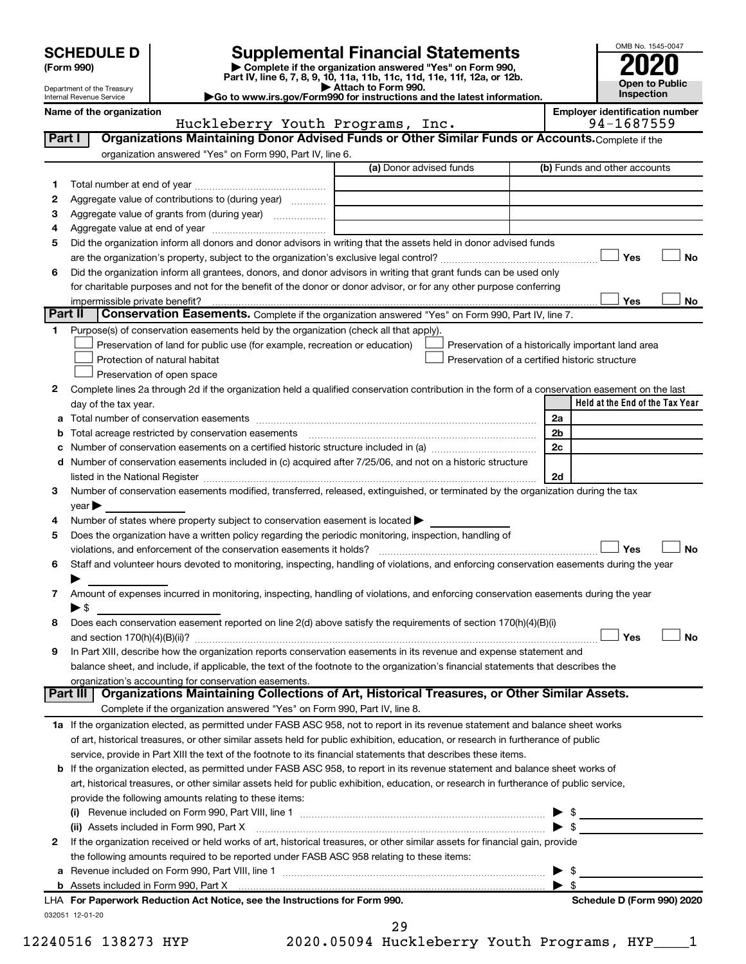| (Form 990) |  |
|------------|--|
|------------|--|

# **SCHEDULE D Supplemental Financial Statements**<br> **Form 990 2020**<br> **Part IV** line 6.7.8.9.10, 11a, 11b, 11d, 11d, 11d, 11d, 11d, 12a, 0r, 12b

**(Form 990) | Complete if the organization answered "Yes" on Form 990, Part IV, line 6, 7, 8, 9, 10, 11a, 11b, 11c, 11d, 11e, 11f, 12a, or 12b.**

**| Attach to Form 990. |Go to www.irs.gov/Form990 for instructions and the latest information.**



Department of the Treasury Internal Revenue Service

Name of the organization<br>**Huckleberry Youth Programs, Inc.** 194-1687559 Huckleberry Youth Programs, Inc.

|         |                                                                                                                                                                                                                               | (a) Donor advised funds | (b) Funds and other accounts                       |
|---------|-------------------------------------------------------------------------------------------------------------------------------------------------------------------------------------------------------------------------------|-------------------------|----------------------------------------------------|
| 1       |                                                                                                                                                                                                                               |                         |                                                    |
| 2       | Aggregate value of contributions to (during year)                                                                                                                                                                             |                         |                                                    |
| З       |                                                                                                                                                                                                                               |                         |                                                    |
| 4       |                                                                                                                                                                                                                               |                         |                                                    |
| 5       | Did the organization inform all donors and donor advisors in writing that the assets held in donor advised funds                                                                                                              |                         |                                                    |
|         |                                                                                                                                                                                                                               |                         | Yes<br>No                                          |
| 6       | Did the organization inform all grantees, donors, and donor advisors in writing that grant funds can be used only                                                                                                             |                         |                                                    |
|         | for charitable purposes and not for the benefit of the donor or donor advisor, or for any other purpose conferring                                                                                                            |                         |                                                    |
|         |                                                                                                                                                                                                                               |                         | Yes<br>No                                          |
| Part II | Conservation Easements. Complete if the organization answered "Yes" on Form 990, Part IV, line 7.                                                                                                                             |                         |                                                    |
| 1.      | Purpose(s) of conservation easements held by the organization (check all that apply).                                                                                                                                         |                         |                                                    |
|         | Preservation of land for public use (for example, recreation or education)                                                                                                                                                    |                         | Preservation of a historically important land area |
|         | Protection of natural habitat                                                                                                                                                                                                 |                         | Preservation of a certified historic structure     |
|         | Preservation of open space                                                                                                                                                                                                    |                         |                                                    |
| 2       | Complete lines 2a through 2d if the organization held a qualified conservation contribution in the form of a conservation easement on the last                                                                                |                         |                                                    |
|         | day of the tax year.                                                                                                                                                                                                          |                         | Held at the End of the Tax Year                    |
| а       |                                                                                                                                                                                                                               |                         | 2a                                                 |
|         |                                                                                                                                                                                                                               |                         | 2 <sub>b</sub>                                     |
|         |                                                                                                                                                                                                                               |                         | 2c                                                 |
| d       | Number of conservation easements included in (c) acquired after 7/25/06, and not on a historic structure                                                                                                                      |                         |                                                    |
|         | listed in the National Register [111] Marshall Register [11] Marshall Register [11] Marshall Register [11] Marshall Register [11] Marshall Register [11] Marshall Register [11] Marshall Register [11] Marshall Register [11] |                         | 2d                                                 |
| 3       | Number of conservation easements modified, transferred, released, extinguished, or terminated by the organization during the tax                                                                                              |                         |                                                    |
|         | year                                                                                                                                                                                                                          |                         |                                                    |
| 4       | Number of states where property subject to conservation easement is located >                                                                                                                                                 |                         |                                                    |
| 5       | Does the organization have a written policy regarding the periodic monitoring, inspection, handling of                                                                                                                        |                         |                                                    |
|         |                                                                                                                                                                                                                               |                         |                                                    |
|         |                                                                                                                                                                                                                               |                         | Yes                                                |
| 6       | Staff and volunteer hours devoted to monitoring, inspecting, handling of violations, and enforcing conservation easements during the year                                                                                     |                         |                                                    |
|         |                                                                                                                                                                                                                               |                         | No                                                 |
| 7       | Amount of expenses incurred in monitoring, inspecting, handling of violations, and enforcing conservation easements during the year                                                                                           |                         |                                                    |
|         | $\blacktriangleright$ \$                                                                                                                                                                                                      |                         |                                                    |
| 8       | Does each conservation easement reported on line 2(d) above satisfy the requirements of section 170(h)(4)(B)(i)                                                                                                               |                         |                                                    |
|         |                                                                                                                                                                                                                               |                         | Yes                                                |
| 9       | In Part XIII, describe how the organization reports conservation easements in its revenue and expense statement and                                                                                                           |                         |                                                    |
|         | balance sheet, and include, if applicable, the text of the footnote to the organization's financial statements that describes the                                                                                             |                         |                                                    |
|         | organization's accounting for conservation easements.                                                                                                                                                                         |                         |                                                    |
|         | Organizations Maintaining Collections of Art, Historical Treasures, or Other Similar Assets.<br>Part III                                                                                                                      |                         |                                                    |
|         | Complete if the organization answered "Yes" on Form 990, Part IV, line 8.                                                                                                                                                     |                         |                                                    |
|         | 1a If the organization elected, as permitted under FASB ASC 958, not to report in its revenue statement and balance sheet works                                                                                               |                         |                                                    |
|         | of art, historical treasures, or other similar assets held for public exhibition, education, or research in furtherance of public                                                                                             |                         |                                                    |
|         | service, provide in Part XIII the text of the footnote to its financial statements that describes these items.                                                                                                                |                         |                                                    |
|         | b If the organization elected, as permitted under FASB ASC 958, to report in its revenue statement and balance sheet works of                                                                                                 |                         |                                                    |
|         | art, historical treasures, or other similar assets held for public exhibition, education, or research in furtherance of public service,                                                                                       |                         |                                                    |
|         | provide the following amounts relating to these items:                                                                                                                                                                        |                         |                                                    |
|         |                                                                                                                                                                                                                               |                         |                                                    |
|         | (ii) Assets included in Form 990, Part X                                                                                                                                                                                      |                         | $\blacktriangleright$ \$                           |
| 2       | If the organization received or held works of art, historical treasures, or other similar assets for financial gain, provide                                                                                                  |                         |                                                    |
|         | the following amounts required to be reported under FASB ASC 958 relating to these items:                                                                                                                                     |                         |                                                    |
| а       |                                                                                                                                                                                                                               |                         | $\blacktriangleright$ \$                           |
|         |                                                                                                                                                                                                                               |                         | $\blacktriangleright$ s                            |
|         | LHA For Paperwork Reduction Act Notice, see the Instructions for Form 990.                                                                                                                                                    |                         | No<br>Schedule D (Form 990) 2020                   |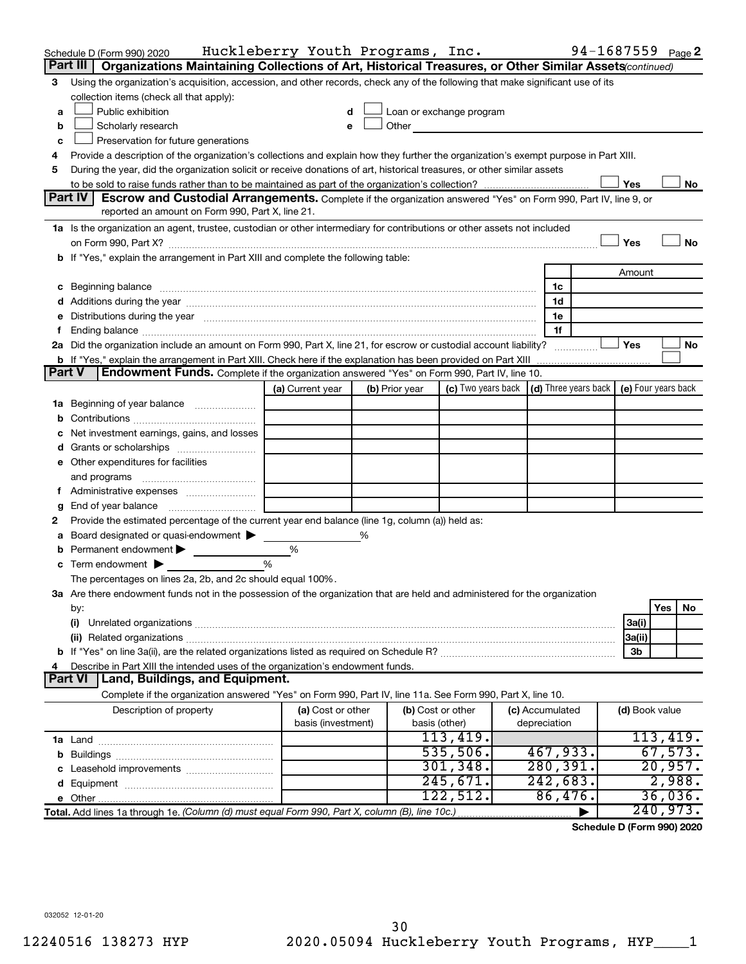| Using the organization's acquisition, accession, and other records, check any of the following that make significant use of its<br>3<br>collection items (check all that apply):<br>Public exhibition<br>Loan or exchange program<br>a<br><u> 1980 - Jan Barbarat, prima prima prima prima prima prima prima prima prima prima prima prima prima prima pri</u><br>Other<br>Scholarly research<br>b<br>Preservation for future generations<br>c<br>Provide a description of the organization's collections and explain how they further the organization's exempt purpose in Part XIII.<br>4<br>During the year, did the organization solicit or receive donations of art, historical treasures, or other similar assets<br>5<br>Yes<br>No<br>Part IV<br><b>Escrow and Custodial Arrangements.</b> Complete if the organization answered "Yes" on Form 990, Part IV, line 9, or<br>reported an amount on Form 990, Part X, line 21.<br>1a Is the organization an agent, trustee, custodian or other intermediary for contributions or other assets not included<br>Yes<br>No<br>b If "Yes," explain the arrangement in Part XIII and complete the following table:<br>Amount<br>c Beginning balance measurements and the contract of the contract of the contract of the contract of the contract of the contract of the contract of the contract of the contract of the contract of the contract of the contr<br>1c<br>1d<br>Distributions during the year manufactured and an account of the year manufactured and the year manufactured and the year manufactured and the year manufactured and the year manufactured and the year manufactured and the y<br>1e<br>е<br>1f<br>f.<br>2a Did the organization include an amount on Form 990, Part X, line 21, for escrow or custodial account liability?<br>Yes<br>No<br>b If "Yes," explain the arrangement in Part XIII. Check here if the explanation has been provided on Part XIII<br>Endowment Funds. Complete if the organization answered "Yes" on Form 990, Part IV, line 10.<br><b>Part V</b><br>(c) Two years back $\vert$ (d) Three years back $\vert$ (e) Four years back<br>(a) Current year<br>(b) Prior year<br><b>1a</b> Beginning of year balance<br>b<br>Net investment earnings, gains, and losses<br>c<br>Grants or scholarships<br>d<br>e Other expenditures for facilities<br>and programs<br>Administrative expenses<br>g<br>Provide the estimated percentage of the current year end balance (line 1g, column (a)) held as:<br>2<br>Board designated or quasi-endowment<br>%<br>а<br>Permanent endowment<br>%<br>b<br>%<br>Term endowment $\blacktriangleright$<br>с<br>The percentages on lines 2a, 2b, and 2c should equal 100%.<br>3a Are there endowment funds not in the possession of the organization that are held and administered for the organization<br>Yes<br>No<br>by:<br>(i)<br>3a(i)<br>3a(ii)<br>3b<br>Describe in Part XIII the intended uses of the organization's endowment funds.<br>4<br><b>Part VI</b><br>Land, Buildings, and Equipment.<br>Complete if the organization answered "Yes" on Form 990, Part IV, line 11a. See Form 990, Part X, line 10.<br>(a) Cost or other<br>(b) Cost or other<br>Description of property<br>(c) Accumulated<br>(d) Book value<br>basis (investment)<br>depreciation<br>basis (other)<br>113,419.<br>113,419.<br>535,506.<br>67,573.<br>467,933.<br>280, 391.<br>301, 348.<br>20,957.<br>242,683.<br>245,671.<br>2,988.<br>d<br>122,512.<br>86,476.<br>36,036.<br>240,973.<br>Total. Add lines 1a through 1e. (Column (d) must equal Form 990, Part X, column (B), line 10c.) | Schedule D (Form 990) 2020<br>Organizations Maintaining Collections of Art, Historical Treasures, or Other Similar Assets (continued)<br>Part III | Huckleberry Youth Programs, Inc. |  |  |  |  |  |  |  | 94-1687559 <sub>Page</sub> 2 |  |
|------------------------------------------------------------------------------------------------------------------------------------------------------------------------------------------------------------------------------------------------------------------------------------------------------------------------------------------------------------------------------------------------------------------------------------------------------------------------------------------------------------------------------------------------------------------------------------------------------------------------------------------------------------------------------------------------------------------------------------------------------------------------------------------------------------------------------------------------------------------------------------------------------------------------------------------------------------------------------------------------------------------------------------------------------------------------------------------------------------------------------------------------------------------------------------------------------------------------------------------------------------------------------------------------------------------------------------------------------------------------------------------------------------------------------------------------------------------------------------------------------------------------------------------------------------------------------------------------------------------------------------------------------------------------------------------------------------------------------------------------------------------------------------------------------------------------------------------------------------------------------------------------------------------------------------------------------------------------------------------------------------------------------------------------------------------------------------------------------------------------------------------------------------------------------------------------------------------------------------------------------------------------------------------------------------------------------------------------------------------------------------------------------------------------------------------------------------------------------------------------------------------------------------------------------------------------------------------------------------------------------------------------------------------------------------------------------------------------------------------------------------------------------------------------------------------------------------------------------------------------------------------------------------------------------------------------------------------------------------------------------------------------------------------------------------------------------------------------------------------------------------------------------------------------------------------------------------------------------------------------------------------------------------------------------------------------------------------------------------------------------------------------------------------------------------------------------------------------------------------------------------------------------------------------------------------------------------------------------------------|---------------------------------------------------------------------------------------------------------------------------------------------------|----------------------------------|--|--|--|--|--|--|--|------------------------------|--|
|                                                                                                                                                                                                                                                                                                                                                                                                                                                                                                                                                                                                                                                                                                                                                                                                                                                                                                                                                                                                                                                                                                                                                                                                                                                                                                                                                                                                                                                                                                                                                                                                                                                                                                                                                                                                                                                                                                                                                                                                                                                                                                                                                                                                                                                                                                                                                                                                                                                                                                                                                                                                                                                                                                                                                                                                                                                                                                                                                                                                                                                                                                                                                                                                                                                                                                                                                                                                                                                                                                                                                                                                                  |                                                                                                                                                   |                                  |  |  |  |  |  |  |  |                              |  |
|                                                                                                                                                                                                                                                                                                                                                                                                                                                                                                                                                                                                                                                                                                                                                                                                                                                                                                                                                                                                                                                                                                                                                                                                                                                                                                                                                                                                                                                                                                                                                                                                                                                                                                                                                                                                                                                                                                                                                                                                                                                                                                                                                                                                                                                                                                                                                                                                                                                                                                                                                                                                                                                                                                                                                                                                                                                                                                                                                                                                                                                                                                                                                                                                                                                                                                                                                                                                                                                                                                                                                                                                                  |                                                                                                                                                   |                                  |  |  |  |  |  |  |  |                              |  |
|                                                                                                                                                                                                                                                                                                                                                                                                                                                                                                                                                                                                                                                                                                                                                                                                                                                                                                                                                                                                                                                                                                                                                                                                                                                                                                                                                                                                                                                                                                                                                                                                                                                                                                                                                                                                                                                                                                                                                                                                                                                                                                                                                                                                                                                                                                                                                                                                                                                                                                                                                                                                                                                                                                                                                                                                                                                                                                                                                                                                                                                                                                                                                                                                                                                                                                                                                                                                                                                                                                                                                                                                                  |                                                                                                                                                   |                                  |  |  |  |  |  |  |  |                              |  |
|                                                                                                                                                                                                                                                                                                                                                                                                                                                                                                                                                                                                                                                                                                                                                                                                                                                                                                                                                                                                                                                                                                                                                                                                                                                                                                                                                                                                                                                                                                                                                                                                                                                                                                                                                                                                                                                                                                                                                                                                                                                                                                                                                                                                                                                                                                                                                                                                                                                                                                                                                                                                                                                                                                                                                                                                                                                                                                                                                                                                                                                                                                                                                                                                                                                                                                                                                                                                                                                                                                                                                                                                                  |                                                                                                                                                   |                                  |  |  |  |  |  |  |  |                              |  |
|                                                                                                                                                                                                                                                                                                                                                                                                                                                                                                                                                                                                                                                                                                                                                                                                                                                                                                                                                                                                                                                                                                                                                                                                                                                                                                                                                                                                                                                                                                                                                                                                                                                                                                                                                                                                                                                                                                                                                                                                                                                                                                                                                                                                                                                                                                                                                                                                                                                                                                                                                                                                                                                                                                                                                                                                                                                                                                                                                                                                                                                                                                                                                                                                                                                                                                                                                                                                                                                                                                                                                                                                                  |                                                                                                                                                   |                                  |  |  |  |  |  |  |  |                              |  |
|                                                                                                                                                                                                                                                                                                                                                                                                                                                                                                                                                                                                                                                                                                                                                                                                                                                                                                                                                                                                                                                                                                                                                                                                                                                                                                                                                                                                                                                                                                                                                                                                                                                                                                                                                                                                                                                                                                                                                                                                                                                                                                                                                                                                                                                                                                                                                                                                                                                                                                                                                                                                                                                                                                                                                                                                                                                                                                                                                                                                                                                                                                                                                                                                                                                                                                                                                                                                                                                                                                                                                                                                                  |                                                                                                                                                   |                                  |  |  |  |  |  |  |  |                              |  |
|                                                                                                                                                                                                                                                                                                                                                                                                                                                                                                                                                                                                                                                                                                                                                                                                                                                                                                                                                                                                                                                                                                                                                                                                                                                                                                                                                                                                                                                                                                                                                                                                                                                                                                                                                                                                                                                                                                                                                                                                                                                                                                                                                                                                                                                                                                                                                                                                                                                                                                                                                                                                                                                                                                                                                                                                                                                                                                                                                                                                                                                                                                                                                                                                                                                                                                                                                                                                                                                                                                                                                                                                                  |                                                                                                                                                   |                                  |  |  |  |  |  |  |  |                              |  |
|                                                                                                                                                                                                                                                                                                                                                                                                                                                                                                                                                                                                                                                                                                                                                                                                                                                                                                                                                                                                                                                                                                                                                                                                                                                                                                                                                                                                                                                                                                                                                                                                                                                                                                                                                                                                                                                                                                                                                                                                                                                                                                                                                                                                                                                                                                                                                                                                                                                                                                                                                                                                                                                                                                                                                                                                                                                                                                                                                                                                                                                                                                                                                                                                                                                                                                                                                                                                                                                                                                                                                                                                                  |                                                                                                                                                   |                                  |  |  |  |  |  |  |  |                              |  |
|                                                                                                                                                                                                                                                                                                                                                                                                                                                                                                                                                                                                                                                                                                                                                                                                                                                                                                                                                                                                                                                                                                                                                                                                                                                                                                                                                                                                                                                                                                                                                                                                                                                                                                                                                                                                                                                                                                                                                                                                                                                                                                                                                                                                                                                                                                                                                                                                                                                                                                                                                                                                                                                                                                                                                                                                                                                                                                                                                                                                                                                                                                                                                                                                                                                                                                                                                                                                                                                                                                                                                                                                                  |                                                                                                                                                   |                                  |  |  |  |  |  |  |  |                              |  |
|                                                                                                                                                                                                                                                                                                                                                                                                                                                                                                                                                                                                                                                                                                                                                                                                                                                                                                                                                                                                                                                                                                                                                                                                                                                                                                                                                                                                                                                                                                                                                                                                                                                                                                                                                                                                                                                                                                                                                                                                                                                                                                                                                                                                                                                                                                                                                                                                                                                                                                                                                                                                                                                                                                                                                                                                                                                                                                                                                                                                                                                                                                                                                                                                                                                                                                                                                                                                                                                                                                                                                                                                                  |                                                                                                                                                   |                                  |  |  |  |  |  |  |  |                              |  |
|                                                                                                                                                                                                                                                                                                                                                                                                                                                                                                                                                                                                                                                                                                                                                                                                                                                                                                                                                                                                                                                                                                                                                                                                                                                                                                                                                                                                                                                                                                                                                                                                                                                                                                                                                                                                                                                                                                                                                                                                                                                                                                                                                                                                                                                                                                                                                                                                                                                                                                                                                                                                                                                                                                                                                                                                                                                                                                                                                                                                                                                                                                                                                                                                                                                                                                                                                                                                                                                                                                                                                                                                                  |                                                                                                                                                   |                                  |  |  |  |  |  |  |  |                              |  |
|                                                                                                                                                                                                                                                                                                                                                                                                                                                                                                                                                                                                                                                                                                                                                                                                                                                                                                                                                                                                                                                                                                                                                                                                                                                                                                                                                                                                                                                                                                                                                                                                                                                                                                                                                                                                                                                                                                                                                                                                                                                                                                                                                                                                                                                                                                                                                                                                                                                                                                                                                                                                                                                                                                                                                                                                                                                                                                                                                                                                                                                                                                                                                                                                                                                                                                                                                                                                                                                                                                                                                                                                                  |                                                                                                                                                   |                                  |  |  |  |  |  |  |  |                              |  |
|                                                                                                                                                                                                                                                                                                                                                                                                                                                                                                                                                                                                                                                                                                                                                                                                                                                                                                                                                                                                                                                                                                                                                                                                                                                                                                                                                                                                                                                                                                                                                                                                                                                                                                                                                                                                                                                                                                                                                                                                                                                                                                                                                                                                                                                                                                                                                                                                                                                                                                                                                                                                                                                                                                                                                                                                                                                                                                                                                                                                                                                                                                                                                                                                                                                                                                                                                                                                                                                                                                                                                                                                                  |                                                                                                                                                   |                                  |  |  |  |  |  |  |  |                              |  |
|                                                                                                                                                                                                                                                                                                                                                                                                                                                                                                                                                                                                                                                                                                                                                                                                                                                                                                                                                                                                                                                                                                                                                                                                                                                                                                                                                                                                                                                                                                                                                                                                                                                                                                                                                                                                                                                                                                                                                                                                                                                                                                                                                                                                                                                                                                                                                                                                                                                                                                                                                                                                                                                                                                                                                                                                                                                                                                                                                                                                                                                                                                                                                                                                                                                                                                                                                                                                                                                                                                                                                                                                                  |                                                                                                                                                   |                                  |  |  |  |  |  |  |  |                              |  |
|                                                                                                                                                                                                                                                                                                                                                                                                                                                                                                                                                                                                                                                                                                                                                                                                                                                                                                                                                                                                                                                                                                                                                                                                                                                                                                                                                                                                                                                                                                                                                                                                                                                                                                                                                                                                                                                                                                                                                                                                                                                                                                                                                                                                                                                                                                                                                                                                                                                                                                                                                                                                                                                                                                                                                                                                                                                                                                                                                                                                                                                                                                                                                                                                                                                                                                                                                                                                                                                                                                                                                                                                                  |                                                                                                                                                   |                                  |  |  |  |  |  |  |  |                              |  |
|                                                                                                                                                                                                                                                                                                                                                                                                                                                                                                                                                                                                                                                                                                                                                                                                                                                                                                                                                                                                                                                                                                                                                                                                                                                                                                                                                                                                                                                                                                                                                                                                                                                                                                                                                                                                                                                                                                                                                                                                                                                                                                                                                                                                                                                                                                                                                                                                                                                                                                                                                                                                                                                                                                                                                                                                                                                                                                                                                                                                                                                                                                                                                                                                                                                                                                                                                                                                                                                                                                                                                                                                                  |                                                                                                                                                   |                                  |  |  |  |  |  |  |  |                              |  |
|                                                                                                                                                                                                                                                                                                                                                                                                                                                                                                                                                                                                                                                                                                                                                                                                                                                                                                                                                                                                                                                                                                                                                                                                                                                                                                                                                                                                                                                                                                                                                                                                                                                                                                                                                                                                                                                                                                                                                                                                                                                                                                                                                                                                                                                                                                                                                                                                                                                                                                                                                                                                                                                                                                                                                                                                                                                                                                                                                                                                                                                                                                                                                                                                                                                                                                                                                                                                                                                                                                                                                                                                                  |                                                                                                                                                   |                                  |  |  |  |  |  |  |  |                              |  |
|                                                                                                                                                                                                                                                                                                                                                                                                                                                                                                                                                                                                                                                                                                                                                                                                                                                                                                                                                                                                                                                                                                                                                                                                                                                                                                                                                                                                                                                                                                                                                                                                                                                                                                                                                                                                                                                                                                                                                                                                                                                                                                                                                                                                                                                                                                                                                                                                                                                                                                                                                                                                                                                                                                                                                                                                                                                                                                                                                                                                                                                                                                                                                                                                                                                                                                                                                                                                                                                                                                                                                                                                                  |                                                                                                                                                   |                                  |  |  |  |  |  |  |  |                              |  |
|                                                                                                                                                                                                                                                                                                                                                                                                                                                                                                                                                                                                                                                                                                                                                                                                                                                                                                                                                                                                                                                                                                                                                                                                                                                                                                                                                                                                                                                                                                                                                                                                                                                                                                                                                                                                                                                                                                                                                                                                                                                                                                                                                                                                                                                                                                                                                                                                                                                                                                                                                                                                                                                                                                                                                                                                                                                                                                                                                                                                                                                                                                                                                                                                                                                                                                                                                                                                                                                                                                                                                                                                                  |                                                                                                                                                   |                                  |  |  |  |  |  |  |  |                              |  |
|                                                                                                                                                                                                                                                                                                                                                                                                                                                                                                                                                                                                                                                                                                                                                                                                                                                                                                                                                                                                                                                                                                                                                                                                                                                                                                                                                                                                                                                                                                                                                                                                                                                                                                                                                                                                                                                                                                                                                                                                                                                                                                                                                                                                                                                                                                                                                                                                                                                                                                                                                                                                                                                                                                                                                                                                                                                                                                                                                                                                                                                                                                                                                                                                                                                                                                                                                                                                                                                                                                                                                                                                                  |                                                                                                                                                   |                                  |  |  |  |  |  |  |  |                              |  |
|                                                                                                                                                                                                                                                                                                                                                                                                                                                                                                                                                                                                                                                                                                                                                                                                                                                                                                                                                                                                                                                                                                                                                                                                                                                                                                                                                                                                                                                                                                                                                                                                                                                                                                                                                                                                                                                                                                                                                                                                                                                                                                                                                                                                                                                                                                                                                                                                                                                                                                                                                                                                                                                                                                                                                                                                                                                                                                                                                                                                                                                                                                                                                                                                                                                                                                                                                                                                                                                                                                                                                                                                                  |                                                                                                                                                   |                                  |  |  |  |  |  |  |  |                              |  |
|                                                                                                                                                                                                                                                                                                                                                                                                                                                                                                                                                                                                                                                                                                                                                                                                                                                                                                                                                                                                                                                                                                                                                                                                                                                                                                                                                                                                                                                                                                                                                                                                                                                                                                                                                                                                                                                                                                                                                                                                                                                                                                                                                                                                                                                                                                                                                                                                                                                                                                                                                                                                                                                                                                                                                                                                                                                                                                                                                                                                                                                                                                                                                                                                                                                                                                                                                                                                                                                                                                                                                                                                                  |                                                                                                                                                   |                                  |  |  |  |  |  |  |  |                              |  |
|                                                                                                                                                                                                                                                                                                                                                                                                                                                                                                                                                                                                                                                                                                                                                                                                                                                                                                                                                                                                                                                                                                                                                                                                                                                                                                                                                                                                                                                                                                                                                                                                                                                                                                                                                                                                                                                                                                                                                                                                                                                                                                                                                                                                                                                                                                                                                                                                                                                                                                                                                                                                                                                                                                                                                                                                                                                                                                                                                                                                                                                                                                                                                                                                                                                                                                                                                                                                                                                                                                                                                                                                                  |                                                                                                                                                   |                                  |  |  |  |  |  |  |  |                              |  |
|                                                                                                                                                                                                                                                                                                                                                                                                                                                                                                                                                                                                                                                                                                                                                                                                                                                                                                                                                                                                                                                                                                                                                                                                                                                                                                                                                                                                                                                                                                                                                                                                                                                                                                                                                                                                                                                                                                                                                                                                                                                                                                                                                                                                                                                                                                                                                                                                                                                                                                                                                                                                                                                                                                                                                                                                                                                                                                                                                                                                                                                                                                                                                                                                                                                                                                                                                                                                                                                                                                                                                                                                                  |                                                                                                                                                   |                                  |  |  |  |  |  |  |  |                              |  |
|                                                                                                                                                                                                                                                                                                                                                                                                                                                                                                                                                                                                                                                                                                                                                                                                                                                                                                                                                                                                                                                                                                                                                                                                                                                                                                                                                                                                                                                                                                                                                                                                                                                                                                                                                                                                                                                                                                                                                                                                                                                                                                                                                                                                                                                                                                                                                                                                                                                                                                                                                                                                                                                                                                                                                                                                                                                                                                                                                                                                                                                                                                                                                                                                                                                                                                                                                                                                                                                                                                                                                                                                                  |                                                                                                                                                   |                                  |  |  |  |  |  |  |  |                              |  |
|                                                                                                                                                                                                                                                                                                                                                                                                                                                                                                                                                                                                                                                                                                                                                                                                                                                                                                                                                                                                                                                                                                                                                                                                                                                                                                                                                                                                                                                                                                                                                                                                                                                                                                                                                                                                                                                                                                                                                                                                                                                                                                                                                                                                                                                                                                                                                                                                                                                                                                                                                                                                                                                                                                                                                                                                                                                                                                                                                                                                                                                                                                                                                                                                                                                                                                                                                                                                                                                                                                                                                                                                                  |                                                                                                                                                   |                                  |  |  |  |  |  |  |  |                              |  |
|                                                                                                                                                                                                                                                                                                                                                                                                                                                                                                                                                                                                                                                                                                                                                                                                                                                                                                                                                                                                                                                                                                                                                                                                                                                                                                                                                                                                                                                                                                                                                                                                                                                                                                                                                                                                                                                                                                                                                                                                                                                                                                                                                                                                                                                                                                                                                                                                                                                                                                                                                                                                                                                                                                                                                                                                                                                                                                                                                                                                                                                                                                                                                                                                                                                                                                                                                                                                                                                                                                                                                                                                                  |                                                                                                                                                   |                                  |  |  |  |  |  |  |  |                              |  |
|                                                                                                                                                                                                                                                                                                                                                                                                                                                                                                                                                                                                                                                                                                                                                                                                                                                                                                                                                                                                                                                                                                                                                                                                                                                                                                                                                                                                                                                                                                                                                                                                                                                                                                                                                                                                                                                                                                                                                                                                                                                                                                                                                                                                                                                                                                                                                                                                                                                                                                                                                                                                                                                                                                                                                                                                                                                                                                                                                                                                                                                                                                                                                                                                                                                                                                                                                                                                                                                                                                                                                                                                                  |                                                                                                                                                   |                                  |  |  |  |  |  |  |  |                              |  |
|                                                                                                                                                                                                                                                                                                                                                                                                                                                                                                                                                                                                                                                                                                                                                                                                                                                                                                                                                                                                                                                                                                                                                                                                                                                                                                                                                                                                                                                                                                                                                                                                                                                                                                                                                                                                                                                                                                                                                                                                                                                                                                                                                                                                                                                                                                                                                                                                                                                                                                                                                                                                                                                                                                                                                                                                                                                                                                                                                                                                                                                                                                                                                                                                                                                                                                                                                                                                                                                                                                                                                                                                                  |                                                                                                                                                   |                                  |  |  |  |  |  |  |  |                              |  |
|                                                                                                                                                                                                                                                                                                                                                                                                                                                                                                                                                                                                                                                                                                                                                                                                                                                                                                                                                                                                                                                                                                                                                                                                                                                                                                                                                                                                                                                                                                                                                                                                                                                                                                                                                                                                                                                                                                                                                                                                                                                                                                                                                                                                                                                                                                                                                                                                                                                                                                                                                                                                                                                                                                                                                                                                                                                                                                                                                                                                                                                                                                                                                                                                                                                                                                                                                                                                                                                                                                                                                                                                                  |                                                                                                                                                   |                                  |  |  |  |  |  |  |  |                              |  |
|                                                                                                                                                                                                                                                                                                                                                                                                                                                                                                                                                                                                                                                                                                                                                                                                                                                                                                                                                                                                                                                                                                                                                                                                                                                                                                                                                                                                                                                                                                                                                                                                                                                                                                                                                                                                                                                                                                                                                                                                                                                                                                                                                                                                                                                                                                                                                                                                                                                                                                                                                                                                                                                                                                                                                                                                                                                                                                                                                                                                                                                                                                                                                                                                                                                                                                                                                                                                                                                                                                                                                                                                                  |                                                                                                                                                   |                                  |  |  |  |  |  |  |  |                              |  |
|                                                                                                                                                                                                                                                                                                                                                                                                                                                                                                                                                                                                                                                                                                                                                                                                                                                                                                                                                                                                                                                                                                                                                                                                                                                                                                                                                                                                                                                                                                                                                                                                                                                                                                                                                                                                                                                                                                                                                                                                                                                                                                                                                                                                                                                                                                                                                                                                                                                                                                                                                                                                                                                                                                                                                                                                                                                                                                                                                                                                                                                                                                                                                                                                                                                                                                                                                                                                                                                                                                                                                                                                                  |                                                                                                                                                   |                                  |  |  |  |  |  |  |  |                              |  |
|                                                                                                                                                                                                                                                                                                                                                                                                                                                                                                                                                                                                                                                                                                                                                                                                                                                                                                                                                                                                                                                                                                                                                                                                                                                                                                                                                                                                                                                                                                                                                                                                                                                                                                                                                                                                                                                                                                                                                                                                                                                                                                                                                                                                                                                                                                                                                                                                                                                                                                                                                                                                                                                                                                                                                                                                                                                                                                                                                                                                                                                                                                                                                                                                                                                                                                                                                                                                                                                                                                                                                                                                                  |                                                                                                                                                   |                                  |  |  |  |  |  |  |  |                              |  |
|                                                                                                                                                                                                                                                                                                                                                                                                                                                                                                                                                                                                                                                                                                                                                                                                                                                                                                                                                                                                                                                                                                                                                                                                                                                                                                                                                                                                                                                                                                                                                                                                                                                                                                                                                                                                                                                                                                                                                                                                                                                                                                                                                                                                                                                                                                                                                                                                                                                                                                                                                                                                                                                                                                                                                                                                                                                                                                                                                                                                                                                                                                                                                                                                                                                                                                                                                                                                                                                                                                                                                                                                                  |                                                                                                                                                   |                                  |  |  |  |  |  |  |  |                              |  |
|                                                                                                                                                                                                                                                                                                                                                                                                                                                                                                                                                                                                                                                                                                                                                                                                                                                                                                                                                                                                                                                                                                                                                                                                                                                                                                                                                                                                                                                                                                                                                                                                                                                                                                                                                                                                                                                                                                                                                                                                                                                                                                                                                                                                                                                                                                                                                                                                                                                                                                                                                                                                                                                                                                                                                                                                                                                                                                                                                                                                                                                                                                                                                                                                                                                                                                                                                                                                                                                                                                                                                                                                                  |                                                                                                                                                   |                                  |  |  |  |  |  |  |  |                              |  |
|                                                                                                                                                                                                                                                                                                                                                                                                                                                                                                                                                                                                                                                                                                                                                                                                                                                                                                                                                                                                                                                                                                                                                                                                                                                                                                                                                                                                                                                                                                                                                                                                                                                                                                                                                                                                                                                                                                                                                                                                                                                                                                                                                                                                                                                                                                                                                                                                                                                                                                                                                                                                                                                                                                                                                                                                                                                                                                                                                                                                                                                                                                                                                                                                                                                                                                                                                                                                                                                                                                                                                                                                                  |                                                                                                                                                   |                                  |  |  |  |  |  |  |  |                              |  |
|                                                                                                                                                                                                                                                                                                                                                                                                                                                                                                                                                                                                                                                                                                                                                                                                                                                                                                                                                                                                                                                                                                                                                                                                                                                                                                                                                                                                                                                                                                                                                                                                                                                                                                                                                                                                                                                                                                                                                                                                                                                                                                                                                                                                                                                                                                                                                                                                                                                                                                                                                                                                                                                                                                                                                                                                                                                                                                                                                                                                                                                                                                                                                                                                                                                                                                                                                                                                                                                                                                                                                                                                                  |                                                                                                                                                   |                                  |  |  |  |  |  |  |  |                              |  |
|                                                                                                                                                                                                                                                                                                                                                                                                                                                                                                                                                                                                                                                                                                                                                                                                                                                                                                                                                                                                                                                                                                                                                                                                                                                                                                                                                                                                                                                                                                                                                                                                                                                                                                                                                                                                                                                                                                                                                                                                                                                                                                                                                                                                                                                                                                                                                                                                                                                                                                                                                                                                                                                                                                                                                                                                                                                                                                                                                                                                                                                                                                                                                                                                                                                                                                                                                                                                                                                                                                                                                                                                                  |                                                                                                                                                   |                                  |  |  |  |  |  |  |  |                              |  |
|                                                                                                                                                                                                                                                                                                                                                                                                                                                                                                                                                                                                                                                                                                                                                                                                                                                                                                                                                                                                                                                                                                                                                                                                                                                                                                                                                                                                                                                                                                                                                                                                                                                                                                                                                                                                                                                                                                                                                                                                                                                                                                                                                                                                                                                                                                                                                                                                                                                                                                                                                                                                                                                                                                                                                                                                                                                                                                                                                                                                                                                                                                                                                                                                                                                                                                                                                                                                                                                                                                                                                                                                                  |                                                                                                                                                   |                                  |  |  |  |  |  |  |  |                              |  |
|                                                                                                                                                                                                                                                                                                                                                                                                                                                                                                                                                                                                                                                                                                                                                                                                                                                                                                                                                                                                                                                                                                                                                                                                                                                                                                                                                                                                                                                                                                                                                                                                                                                                                                                                                                                                                                                                                                                                                                                                                                                                                                                                                                                                                                                                                                                                                                                                                                                                                                                                                                                                                                                                                                                                                                                                                                                                                                                                                                                                                                                                                                                                                                                                                                                                                                                                                                                                                                                                                                                                                                                                                  |                                                                                                                                                   |                                  |  |  |  |  |  |  |  |                              |  |
|                                                                                                                                                                                                                                                                                                                                                                                                                                                                                                                                                                                                                                                                                                                                                                                                                                                                                                                                                                                                                                                                                                                                                                                                                                                                                                                                                                                                                                                                                                                                                                                                                                                                                                                                                                                                                                                                                                                                                                                                                                                                                                                                                                                                                                                                                                                                                                                                                                                                                                                                                                                                                                                                                                                                                                                                                                                                                                                                                                                                                                                                                                                                                                                                                                                                                                                                                                                                                                                                                                                                                                                                                  |                                                                                                                                                   |                                  |  |  |  |  |  |  |  |                              |  |
|                                                                                                                                                                                                                                                                                                                                                                                                                                                                                                                                                                                                                                                                                                                                                                                                                                                                                                                                                                                                                                                                                                                                                                                                                                                                                                                                                                                                                                                                                                                                                                                                                                                                                                                                                                                                                                                                                                                                                                                                                                                                                                                                                                                                                                                                                                                                                                                                                                                                                                                                                                                                                                                                                                                                                                                                                                                                                                                                                                                                                                                                                                                                                                                                                                                                                                                                                                                                                                                                                                                                                                                                                  |                                                                                                                                                   |                                  |  |  |  |  |  |  |  |                              |  |
|                                                                                                                                                                                                                                                                                                                                                                                                                                                                                                                                                                                                                                                                                                                                                                                                                                                                                                                                                                                                                                                                                                                                                                                                                                                                                                                                                                                                                                                                                                                                                                                                                                                                                                                                                                                                                                                                                                                                                                                                                                                                                                                                                                                                                                                                                                                                                                                                                                                                                                                                                                                                                                                                                                                                                                                                                                                                                                                                                                                                                                                                                                                                                                                                                                                                                                                                                                                                                                                                                                                                                                                                                  |                                                                                                                                                   |                                  |  |  |  |  |  |  |  |                              |  |
|                                                                                                                                                                                                                                                                                                                                                                                                                                                                                                                                                                                                                                                                                                                                                                                                                                                                                                                                                                                                                                                                                                                                                                                                                                                                                                                                                                                                                                                                                                                                                                                                                                                                                                                                                                                                                                                                                                                                                                                                                                                                                                                                                                                                                                                                                                                                                                                                                                                                                                                                                                                                                                                                                                                                                                                                                                                                                                                                                                                                                                                                                                                                                                                                                                                                                                                                                                                                                                                                                                                                                                                                                  |                                                                                                                                                   |                                  |  |  |  |  |  |  |  |                              |  |
|                                                                                                                                                                                                                                                                                                                                                                                                                                                                                                                                                                                                                                                                                                                                                                                                                                                                                                                                                                                                                                                                                                                                                                                                                                                                                                                                                                                                                                                                                                                                                                                                                                                                                                                                                                                                                                                                                                                                                                                                                                                                                                                                                                                                                                                                                                                                                                                                                                                                                                                                                                                                                                                                                                                                                                                                                                                                                                                                                                                                                                                                                                                                                                                                                                                                                                                                                                                                                                                                                                                                                                                                                  |                                                                                                                                                   |                                  |  |  |  |  |  |  |  |                              |  |
|                                                                                                                                                                                                                                                                                                                                                                                                                                                                                                                                                                                                                                                                                                                                                                                                                                                                                                                                                                                                                                                                                                                                                                                                                                                                                                                                                                                                                                                                                                                                                                                                                                                                                                                                                                                                                                                                                                                                                                                                                                                                                                                                                                                                                                                                                                                                                                                                                                                                                                                                                                                                                                                                                                                                                                                                                                                                                                                                                                                                                                                                                                                                                                                                                                                                                                                                                                                                                                                                                                                                                                                                                  |                                                                                                                                                   |                                  |  |  |  |  |  |  |  |                              |  |
|                                                                                                                                                                                                                                                                                                                                                                                                                                                                                                                                                                                                                                                                                                                                                                                                                                                                                                                                                                                                                                                                                                                                                                                                                                                                                                                                                                                                                                                                                                                                                                                                                                                                                                                                                                                                                                                                                                                                                                                                                                                                                                                                                                                                                                                                                                                                                                                                                                                                                                                                                                                                                                                                                                                                                                                                                                                                                                                                                                                                                                                                                                                                                                                                                                                                                                                                                                                                                                                                                                                                                                                                                  |                                                                                                                                                   |                                  |  |  |  |  |  |  |  |                              |  |
|                                                                                                                                                                                                                                                                                                                                                                                                                                                                                                                                                                                                                                                                                                                                                                                                                                                                                                                                                                                                                                                                                                                                                                                                                                                                                                                                                                                                                                                                                                                                                                                                                                                                                                                                                                                                                                                                                                                                                                                                                                                                                                                                                                                                                                                                                                                                                                                                                                                                                                                                                                                                                                                                                                                                                                                                                                                                                                                                                                                                                                                                                                                                                                                                                                                                                                                                                                                                                                                                                                                                                                                                                  |                                                                                                                                                   |                                  |  |  |  |  |  |  |  |                              |  |
|                                                                                                                                                                                                                                                                                                                                                                                                                                                                                                                                                                                                                                                                                                                                                                                                                                                                                                                                                                                                                                                                                                                                                                                                                                                                                                                                                                                                                                                                                                                                                                                                                                                                                                                                                                                                                                                                                                                                                                                                                                                                                                                                                                                                                                                                                                                                                                                                                                                                                                                                                                                                                                                                                                                                                                                                                                                                                                                                                                                                                                                                                                                                                                                                                                                                                                                                                                                                                                                                                                                                                                                                                  |                                                                                                                                                   |                                  |  |  |  |  |  |  |  |                              |  |

**Schedule D (Form 990) 2020**

032052 12-01-20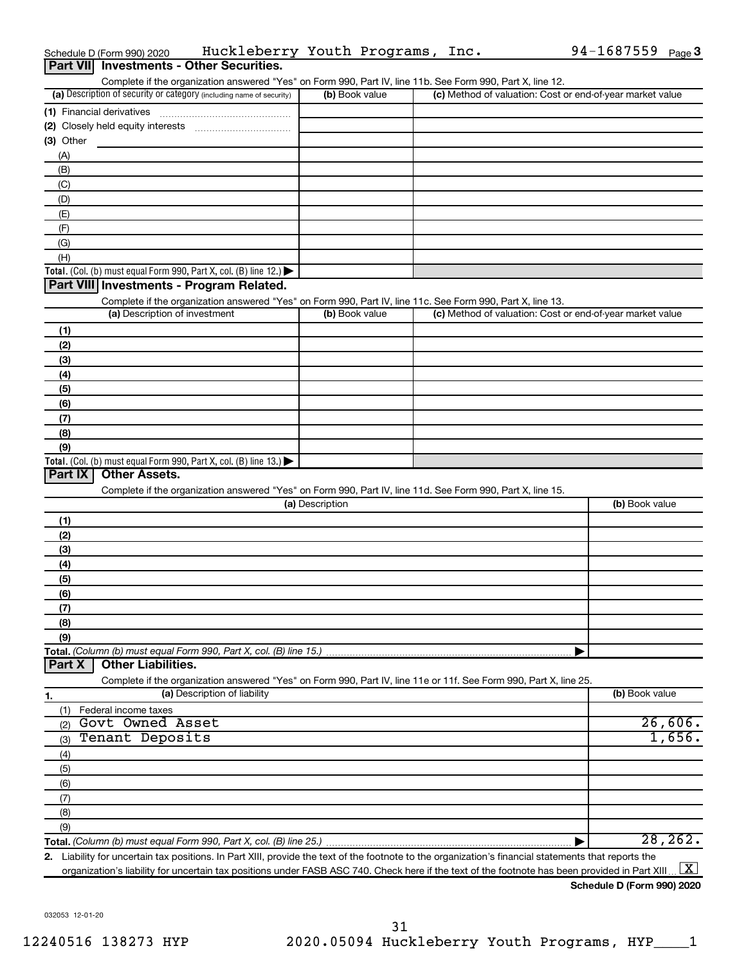|                  | Schedule D (Form 990) 2020               | Huckleberry Youth Programs, Inc.                                                                                                                  |                 |                | 94-1687559 Page 3                                                                                                                                    |
|------------------|------------------------------------------|---------------------------------------------------------------------------------------------------------------------------------------------------|-----------------|----------------|------------------------------------------------------------------------------------------------------------------------------------------------------|
| <b>Part VIII</b> |                                          | <b>Investments - Other Securities.</b>                                                                                                            |                 |                |                                                                                                                                                      |
|                  |                                          | Complete if the organization answered "Yes" on Form 990, Part IV, line 11b. See Form 990, Part X, line 12.                                        |                 |                |                                                                                                                                                      |
|                  |                                          | (a) Description of security or category (including name of security)                                                                              |                 | (b) Book value | (c) Method of valuation: Cost or end-of-year market value                                                                                            |
|                  | (1) Financial derivatives                |                                                                                                                                                   |                 |                |                                                                                                                                                      |
|                  |                                          |                                                                                                                                                   |                 |                |                                                                                                                                                      |
| $(3)$ Other      |                                          |                                                                                                                                                   |                 |                |                                                                                                                                                      |
| (A)              |                                          |                                                                                                                                                   |                 |                |                                                                                                                                                      |
| (B)              |                                          |                                                                                                                                                   |                 |                |                                                                                                                                                      |
| (C)              |                                          |                                                                                                                                                   |                 |                |                                                                                                                                                      |
| (D)              |                                          |                                                                                                                                                   |                 |                |                                                                                                                                                      |
| (E)              |                                          |                                                                                                                                                   |                 |                |                                                                                                                                                      |
| (F)              |                                          |                                                                                                                                                   |                 |                |                                                                                                                                                      |
| (G)              |                                          |                                                                                                                                                   |                 |                |                                                                                                                                                      |
| (H)              |                                          |                                                                                                                                                   |                 |                |                                                                                                                                                      |
|                  |                                          | <b>Total.</b> (Col. (b) must equal Form 990, Part X, col. (B) line 12.) $\blacktriangleright$<br>Part VIII Investments - Program Related.         |                 |                |                                                                                                                                                      |
|                  |                                          | Complete if the organization answered "Yes" on Form 990, Part IV, line 11c. See Form 990, Part X, line 13.                                        |                 |                |                                                                                                                                                      |
|                  | (a) Description of investment            |                                                                                                                                                   |                 | (b) Book value | (c) Method of valuation: Cost or end-of-year market value                                                                                            |
| (1)              |                                          |                                                                                                                                                   |                 |                |                                                                                                                                                      |
| (2)              |                                          |                                                                                                                                                   |                 |                |                                                                                                                                                      |
| (3)              |                                          |                                                                                                                                                   |                 |                |                                                                                                                                                      |
| (4)              |                                          |                                                                                                                                                   |                 |                |                                                                                                                                                      |
| (5)              |                                          |                                                                                                                                                   |                 |                |                                                                                                                                                      |
| (6)              |                                          |                                                                                                                                                   |                 |                |                                                                                                                                                      |
| (7)              |                                          |                                                                                                                                                   |                 |                |                                                                                                                                                      |
| (8)              |                                          |                                                                                                                                                   |                 |                |                                                                                                                                                      |
| (9)              |                                          |                                                                                                                                                   |                 |                |                                                                                                                                                      |
|                  |                                          | <b>Total.</b> (Col. (b) must equal Form 990, Part X, col. (B) line 13.) $\blacktriangleright$                                                     |                 |                |                                                                                                                                                      |
| Part IX          | <b>Other Assets.</b>                     |                                                                                                                                                   |                 |                |                                                                                                                                                      |
|                  |                                          | Complete if the organization answered "Yes" on Form 990, Part IV, line 11d. See Form 990, Part X, line 15.                                        |                 |                |                                                                                                                                                      |
|                  |                                          |                                                                                                                                                   | (a) Description |                | (b) Book value                                                                                                                                       |
| (1)              |                                          |                                                                                                                                                   |                 |                |                                                                                                                                                      |
| (2)              |                                          |                                                                                                                                                   |                 |                |                                                                                                                                                      |
| (3)              |                                          |                                                                                                                                                   |                 |                |                                                                                                                                                      |
| (4)              |                                          |                                                                                                                                                   |                 |                |                                                                                                                                                      |
| (5)              |                                          |                                                                                                                                                   |                 |                |                                                                                                                                                      |
| (6)              |                                          |                                                                                                                                                   |                 |                |                                                                                                                                                      |
| (7)              |                                          |                                                                                                                                                   |                 |                |                                                                                                                                                      |
| (8)              |                                          |                                                                                                                                                   |                 |                |                                                                                                                                                      |
| (9)              |                                          |                                                                                                                                                   |                 |                |                                                                                                                                                      |
| Part X           | <b>Other Liabilities.</b>                | Total. (Column (b) must equal Form 990, Part X, col. (B) line 15.)                                                                                |                 |                |                                                                                                                                                      |
|                  |                                          |                                                                                                                                                   |                 |                |                                                                                                                                                      |
|                  |                                          | Complete if the organization answered "Yes" on Form 990, Part IV, line 11e or 11f. See Form 990, Part X, line 25.<br>(a) Description of liability |                 |                | (b) Book value                                                                                                                                       |
| 1.               |                                          |                                                                                                                                                   |                 |                |                                                                                                                                                      |
| (1)              | Federal income taxes<br>Govt Owned Asset |                                                                                                                                                   |                 |                | 26,606.                                                                                                                                              |
| (2)<br>(3)       | Tenant Deposits                          |                                                                                                                                                   |                 |                | 1,656.                                                                                                                                               |
|                  |                                          |                                                                                                                                                   |                 |                |                                                                                                                                                      |
| (4)<br>(5)       |                                          |                                                                                                                                                   |                 |                |                                                                                                                                                      |
| (6)              |                                          |                                                                                                                                                   |                 |                |                                                                                                                                                      |
| (7)              |                                          |                                                                                                                                                   |                 |                |                                                                                                                                                      |
| (8)              |                                          |                                                                                                                                                   |                 |                |                                                                                                                                                      |
| (9)              |                                          |                                                                                                                                                   |                 |                |                                                                                                                                                      |
|                  |                                          | Total. (Column (b) must equal Form 990, Part X, col. (B) line 25.)                                                                                |                 |                | 28, 262.                                                                                                                                             |
|                  |                                          |                                                                                                                                                   |                 |                | 2. Liability for uncertain tax positions. In Part XIII, provide the text of the footnote to the organization's financial statements that reports the |

organization's liability for uncertain tax positions under FASB ASC 740. Check here if the text of the footnote has been provided in Part XIII ...  $\fbox{\bf X}$ 

032053 12-01-20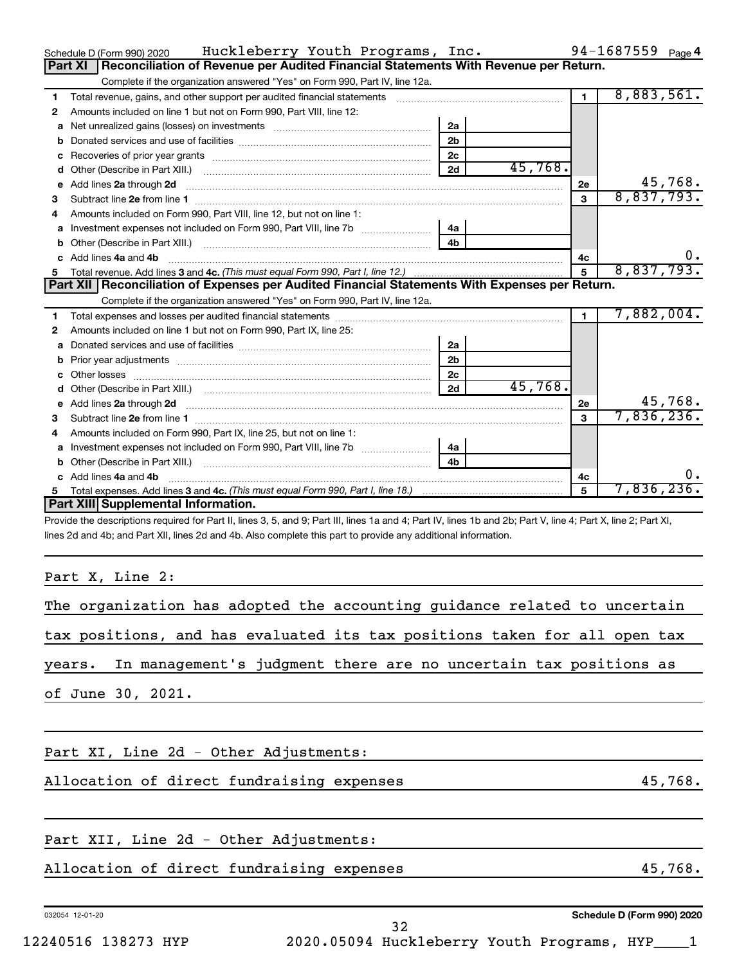|    | Huckleberry Youth Programs, Inc.<br>Schedule D (Form 990) 2020                                                                                                                                                                     |                |         |                | 94-1687559 $_{Page 4}$ |
|----|------------------------------------------------------------------------------------------------------------------------------------------------------------------------------------------------------------------------------------|----------------|---------|----------------|------------------------|
|    | Reconciliation of Revenue per Audited Financial Statements With Revenue per Return.<br>Part XI                                                                                                                                     |                |         |                |                        |
|    | Complete if the organization answered "Yes" on Form 990, Part IV, line 12a.                                                                                                                                                        |                |         |                |                        |
| 1  | Total revenue, gains, and other support per audited financial statements                                                                                                                                                           |                |         | $\blacksquare$ | 8,883,561.             |
| 2  | Amounts included on line 1 but not on Form 990, Part VIII, line 12:                                                                                                                                                                |                |         |                |                        |
| a  |                                                                                                                                                                                                                                    | 2a             |         |                |                        |
| b  |                                                                                                                                                                                                                                    | 2 <sub>b</sub> |         |                |                        |
|    |                                                                                                                                                                                                                                    | 2 <sub>c</sub> |         |                |                        |
| d  |                                                                                                                                                                                                                                    | 2d             | 45,768. |                |                        |
| e  | Add lines 2a through 2d                                                                                                                                                                                                            |                |         | 2e             | 45,768.                |
| З  |                                                                                                                                                                                                                                    |                |         | 3              | 8,837,793.             |
| 4  | Amounts included on Form 990, Part VIII, line 12, but not on line 1:                                                                                                                                                               |                |         |                |                        |
| a  | Investment expenses not included on Form 990, Part VIII, line 7b [100] [100] [100] [100] [100] [100] [100] [10                                                                                                                     | 4a             |         |                |                        |
| b  |                                                                                                                                                                                                                                    | 4 <sub>h</sub> |         |                |                        |
|    | c Add lines 4a and 4b                                                                                                                                                                                                              |                |         | 4c             | 0.                     |
| 5. |                                                                                                                                                                                                                                    |                |         |                | 8,837,793.             |
|    | Part XII   Reconciliation of Expenses per Audited Financial Statements With Expenses per Return.                                                                                                                                   |                |         |                |                        |
|    | Complete if the organization answered "Yes" on Form 990, Part IV, line 12a.                                                                                                                                                        |                |         |                |                        |
| 1  |                                                                                                                                                                                                                                    |                |         |                | 7,882,004.             |
| 2  | Amounts included on line 1 but not on Form 990, Part IX, line 25:                                                                                                                                                                  |                |         |                |                        |
| a  |                                                                                                                                                                                                                                    | 2a             |         |                |                        |
| b  |                                                                                                                                                                                                                                    | 2 <sub>b</sub> |         |                |                        |
| c  |                                                                                                                                                                                                                                    | 2c             |         |                |                        |
| d  |                                                                                                                                                                                                                                    | 2d             | 45,768. |                |                        |
| е  | Add lines 2a through 2d <b>contained a contained a contained a contained a</b> contained a contained a contained a contained a contact a contact a contact a contact a contact a contact a contact a contact a contact a contact a |                |         | 2e             | 45,768.                |
| 3  |                                                                                                                                                                                                                                    |                |         | 3              | 7,836,236.             |
| 4  | Amounts included on Form 990, Part IX, line 25, but not on line 1:                                                                                                                                                                 |                |         |                |                        |
|    |                                                                                                                                                                                                                                    | 4a             |         |                |                        |
| b  |                                                                                                                                                                                                                                    | 4 <sub>h</sub> |         |                |                        |
| c. | Add lines 4a and 4b                                                                                                                                                                                                                |                |         | 4c             | 0.                     |
| 5. |                                                                                                                                                                                                                                    |                |         | 5              | 7,836,236.             |
|    | Part XIII Supplemental Information.                                                                                                                                                                                                |                |         |                |                        |
|    | Provide the descriptions required for Part II, lines 3, 5, and 0; Part III, lines 1a and 4; Part IV, lines 1b and 2b; Part V, line 4; Part Y, line 2; Part YI                                                                      |                |         |                |                        |

Provide the descriptions required for Part II, lines 3, 5, and 9; Part III, lines 1a and 4; Part IV, lines 1b and 2b; Part V, line 4; Part X, line 2; Part XI, lines 2d and 4b; and Part XII, lines 2d and 4b. Also complete this part to provide any additional information.

Part X, Line 2:

|  |                   |  | The organization has adopted the accounting guidance related to uncertain |  |  |  |  |  |  |
|--|-------------------|--|---------------------------------------------------------------------------|--|--|--|--|--|--|
|  |                   |  | tax positions, and has evaluated its tax positions taken for all open tax |  |  |  |  |  |  |
|  |                   |  | years. In management's judgment there are no uncertain tax positions as   |  |  |  |  |  |  |
|  | of June 30, 2021. |  |                                                                           |  |  |  |  |  |  |
|  |                   |  |                                                                           |  |  |  |  |  |  |

Part XI, Line 2d - Other Adjustments:

Allocation of direct fundraising expenses 45,768.

#### Part XII, Line 2d - Other Adjustments:

### Allocation of direct fundraising expenses 45,768.

032054 12-01-20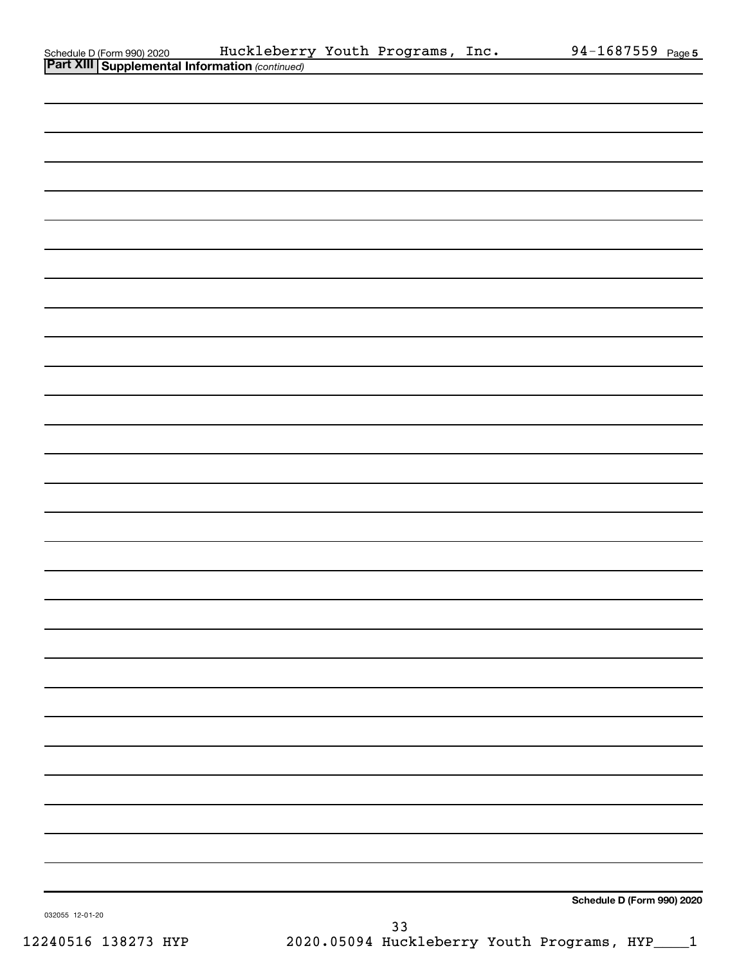|                                                                                                | Huckleberry Youth Programs, Inc. |    | 94-1687559 Page 5          |
|------------------------------------------------------------------------------------------------|----------------------------------|----|----------------------------|
| Schedule D (Form 990) 2020 Huckleberr<br><b>Part XIII Supplemental Information</b> (continued) |                                  |    |                            |
|                                                                                                |                                  |    |                            |
|                                                                                                |                                  |    |                            |
|                                                                                                |                                  |    |                            |
|                                                                                                |                                  |    |                            |
|                                                                                                |                                  |    |                            |
|                                                                                                |                                  |    |                            |
|                                                                                                |                                  |    |                            |
|                                                                                                |                                  |    |                            |
|                                                                                                |                                  |    |                            |
|                                                                                                |                                  |    |                            |
|                                                                                                |                                  |    |                            |
|                                                                                                |                                  |    |                            |
|                                                                                                |                                  |    |                            |
|                                                                                                |                                  |    |                            |
|                                                                                                |                                  |    |                            |
|                                                                                                |                                  |    |                            |
|                                                                                                |                                  |    |                            |
|                                                                                                |                                  |    |                            |
|                                                                                                |                                  |    |                            |
|                                                                                                |                                  |    |                            |
|                                                                                                |                                  |    |                            |
|                                                                                                |                                  |    |                            |
|                                                                                                |                                  |    |                            |
|                                                                                                |                                  |    |                            |
|                                                                                                |                                  |    |                            |
|                                                                                                |                                  |    |                            |
|                                                                                                |                                  |    |                            |
|                                                                                                |                                  |    |                            |
|                                                                                                |                                  |    |                            |
|                                                                                                |                                  |    |                            |
|                                                                                                |                                  |    |                            |
|                                                                                                |                                  |    |                            |
|                                                                                                |                                  |    |                            |
|                                                                                                |                                  |    |                            |
|                                                                                                |                                  |    |                            |
|                                                                                                |                                  |    |                            |
|                                                                                                |                                  |    |                            |
|                                                                                                |                                  |    |                            |
|                                                                                                |                                  |    |                            |
|                                                                                                |                                  |    |                            |
|                                                                                                |                                  |    |                            |
|                                                                                                |                                  |    |                            |
|                                                                                                |                                  |    |                            |
|                                                                                                |                                  |    |                            |
|                                                                                                |                                  |    |                            |
|                                                                                                |                                  |    |                            |
|                                                                                                |                                  |    |                            |
|                                                                                                |                                  |    |                            |
|                                                                                                |                                  |    |                            |
|                                                                                                |                                  |    |                            |
|                                                                                                |                                  |    |                            |
|                                                                                                |                                  |    | Schedule D (Form 990) 2020 |
| 032055 12-01-20                                                                                |                                  |    |                            |
|                                                                                                |                                  | 33 |                            |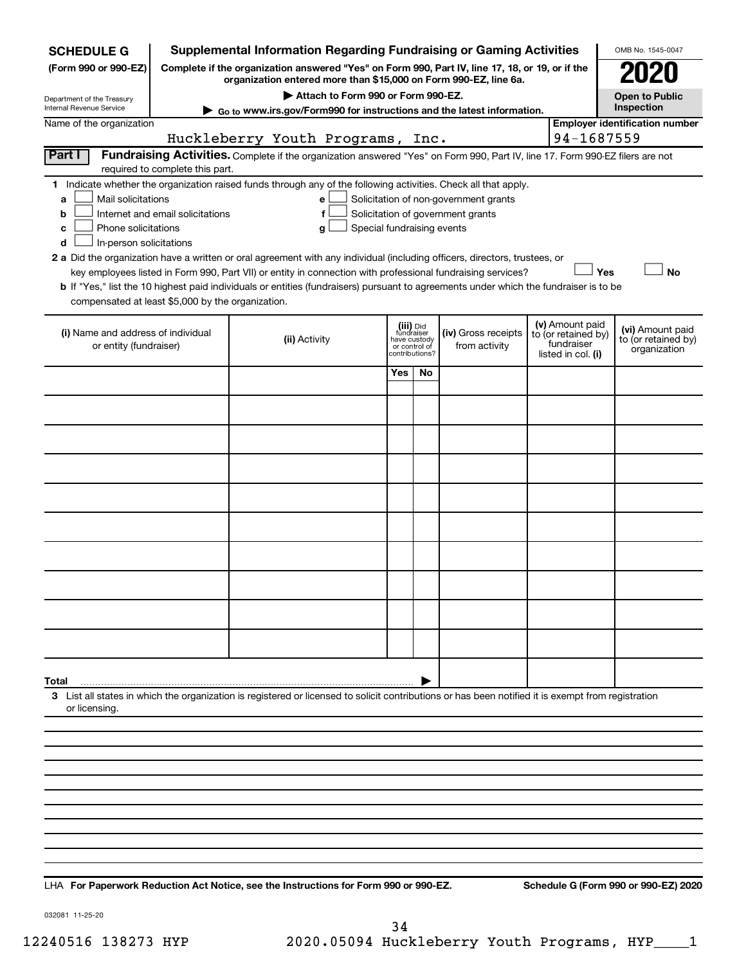| <b>SCHEDULE G</b>                                                                                                                                                                                                                                                                                                                                                                                             |                                                                                                                                                                                                                                                                                                                                                        | <b>Supplemental Information Regarding Fundraising or Gaming Activities</b>                                                                         |                            |                                              |                                      |  |                                                                            | OMB No. 1545-0047                                       |  |  |  |  |
|---------------------------------------------------------------------------------------------------------------------------------------------------------------------------------------------------------------------------------------------------------------------------------------------------------------------------------------------------------------------------------------------------------------|--------------------------------------------------------------------------------------------------------------------------------------------------------------------------------------------------------------------------------------------------------------------------------------------------------------------------------------------------------|----------------------------------------------------------------------------------------------------------------------------------------------------|----------------------------|----------------------------------------------|--------------------------------------|--|----------------------------------------------------------------------------|---------------------------------------------------------|--|--|--|--|
| (Form 990 or 990-EZ)                                                                                                                                                                                                                                                                                                                                                                                          |                                                                                                                                                                                                                                                                                                                                                        | Complete if the organization answered "Yes" on Form 990, Part IV, line 17, 18, or 19, or if the                                                    |                            |                                              |                                      |  |                                                                            |                                                         |  |  |  |  |
| Department of the Treasury                                                                                                                                                                                                                                                                                                                                                                                    |                                                                                                                                                                                                                                                                                                                                                        | organization entered more than \$15,000 on Form 990-EZ, line 6a.<br>Attach to Form 990 or Form 990-EZ.                                             |                            |                                              |                                      |  |                                                                            | <b>Open to Public</b>                                   |  |  |  |  |
| Internal Revenue Service                                                                                                                                                                                                                                                                                                                                                                                      |                                                                                                                                                                                                                                                                                                                                                        | Go to www.irs.gov/Form990 for instructions and the latest information.                                                                             |                            |                                              |                                      |  |                                                                            | Inspection                                              |  |  |  |  |
| Name of the organization                                                                                                                                                                                                                                                                                                                                                                                      |                                                                                                                                                                                                                                                                                                                                                        |                                                                                                                                                    |                            |                                              |                                      |  |                                                                            | <b>Employer identification number</b>                   |  |  |  |  |
|                                                                                                                                                                                                                                                                                                                                                                                                               |                                                                                                                                                                                                                                                                                                                                                        | Huckleberry Youth Programs, Inc.                                                                                                                   |                            |                                              |                                      |  | 94-1687559                                                                 |                                                         |  |  |  |  |
| Part I                                                                                                                                                                                                                                                                                                                                                                                                        | required to complete this part.                                                                                                                                                                                                                                                                                                                        | Fundraising Activities. Complete if the organization answered "Yes" on Form 990, Part IV, line 17. Form 990-EZ filers are not                      |                            |                                              |                                      |  |                                                                            |                                                         |  |  |  |  |
| a<br>b<br>c<br>d                                                                                                                                                                                                                                                                                                                                                                                              | 1 Indicate whether the organization raised funds through any of the following activities. Check all that apply.<br>Mail solicitations<br>Solicitation of non-government grants<br>e<br>Internet and email solicitations<br>f<br>Solicitation of government grants<br>Phone solicitations<br>Special fundraising events<br>g<br>In-person solicitations |                                                                                                                                                    |                            |                                              |                                      |  |                                                                            |                                                         |  |  |  |  |
| 2 a Did the organization have a written or oral agreement with any individual (including officers, directors, trustees, or<br>Yes<br><b>No</b><br>key employees listed in Form 990, Part VII) or entity in connection with professional fundraising services?<br><b>b</b> If "Yes," list the 10 highest paid individuals or entities (fundraisers) pursuant to agreements under which the fundraiser is to be |                                                                                                                                                                                                                                                                                                                                                        |                                                                                                                                                    |                            |                                              |                                      |  |                                                                            |                                                         |  |  |  |  |
| compensated at least \$5,000 by the organization.                                                                                                                                                                                                                                                                                                                                                             |                                                                                                                                                                                                                                                                                                                                                        |                                                                                                                                                    |                            |                                              |                                      |  |                                                                            |                                                         |  |  |  |  |
| (i) Name and address of individual<br>or entity (fundraiser)                                                                                                                                                                                                                                                                                                                                                  |                                                                                                                                                                                                                                                                                                                                                        | (ii) Activity                                                                                                                                      | fundraiser<br>have custody | (iii) Did<br>or control of<br>contributions? | (iv) Gross receipts<br>from activity |  | (v) Amount paid<br>to (or retained by)<br>fundraiser<br>listed in col. (i) | (vi) Amount paid<br>to (or retained by)<br>organization |  |  |  |  |
|                                                                                                                                                                                                                                                                                                                                                                                                               |                                                                                                                                                                                                                                                                                                                                                        |                                                                                                                                                    | <b>Yes</b>                 | No                                           |                                      |  |                                                                            |                                                         |  |  |  |  |
|                                                                                                                                                                                                                                                                                                                                                                                                               |                                                                                                                                                                                                                                                                                                                                                        |                                                                                                                                                    |                            |                                              |                                      |  |                                                                            |                                                         |  |  |  |  |
|                                                                                                                                                                                                                                                                                                                                                                                                               |                                                                                                                                                                                                                                                                                                                                                        |                                                                                                                                                    |                            |                                              |                                      |  |                                                                            |                                                         |  |  |  |  |
|                                                                                                                                                                                                                                                                                                                                                                                                               |                                                                                                                                                                                                                                                                                                                                                        |                                                                                                                                                    |                            |                                              |                                      |  |                                                                            |                                                         |  |  |  |  |
|                                                                                                                                                                                                                                                                                                                                                                                                               |                                                                                                                                                                                                                                                                                                                                                        |                                                                                                                                                    |                            |                                              |                                      |  |                                                                            |                                                         |  |  |  |  |
|                                                                                                                                                                                                                                                                                                                                                                                                               |                                                                                                                                                                                                                                                                                                                                                        |                                                                                                                                                    |                            |                                              |                                      |  |                                                                            |                                                         |  |  |  |  |
|                                                                                                                                                                                                                                                                                                                                                                                                               |                                                                                                                                                                                                                                                                                                                                                        |                                                                                                                                                    |                            |                                              |                                      |  |                                                                            |                                                         |  |  |  |  |
|                                                                                                                                                                                                                                                                                                                                                                                                               |                                                                                                                                                                                                                                                                                                                                                        |                                                                                                                                                    |                            |                                              |                                      |  |                                                                            |                                                         |  |  |  |  |
|                                                                                                                                                                                                                                                                                                                                                                                                               |                                                                                                                                                                                                                                                                                                                                                        |                                                                                                                                                    |                            |                                              |                                      |  |                                                                            |                                                         |  |  |  |  |
|                                                                                                                                                                                                                                                                                                                                                                                                               |                                                                                                                                                                                                                                                                                                                                                        |                                                                                                                                                    |                            |                                              |                                      |  |                                                                            |                                                         |  |  |  |  |
| Total                                                                                                                                                                                                                                                                                                                                                                                                         |                                                                                                                                                                                                                                                                                                                                                        |                                                                                                                                                    |                            |                                              |                                      |  |                                                                            |                                                         |  |  |  |  |
| or licensing.                                                                                                                                                                                                                                                                                                                                                                                                 |                                                                                                                                                                                                                                                                                                                                                        | 3 List all states in which the organization is registered or licensed to solicit contributions or has been notified it is exempt from registration |                            |                                              |                                      |  |                                                                            |                                                         |  |  |  |  |
|                                                                                                                                                                                                                                                                                                                                                                                                               |                                                                                                                                                                                                                                                                                                                                                        |                                                                                                                                                    |                            |                                              |                                      |  |                                                                            |                                                         |  |  |  |  |
|                                                                                                                                                                                                                                                                                                                                                                                                               |                                                                                                                                                                                                                                                                                                                                                        |                                                                                                                                                    |                            |                                              |                                      |  |                                                                            |                                                         |  |  |  |  |
|                                                                                                                                                                                                                                                                                                                                                                                                               |                                                                                                                                                                                                                                                                                                                                                        |                                                                                                                                                    |                            |                                              |                                      |  |                                                                            |                                                         |  |  |  |  |
|                                                                                                                                                                                                                                                                                                                                                                                                               |                                                                                                                                                                                                                                                                                                                                                        |                                                                                                                                                    |                            |                                              |                                      |  |                                                                            |                                                         |  |  |  |  |
|                                                                                                                                                                                                                                                                                                                                                                                                               |                                                                                                                                                                                                                                                                                                                                                        |                                                                                                                                                    |                            |                                              |                                      |  |                                                                            |                                                         |  |  |  |  |
|                                                                                                                                                                                                                                                                                                                                                                                                               |                                                                                                                                                                                                                                                                                                                                                        |                                                                                                                                                    |                            |                                              |                                      |  |                                                                            |                                                         |  |  |  |  |
|                                                                                                                                                                                                                                                                                                                                                                                                               |                                                                                                                                                                                                                                                                                                                                                        |                                                                                                                                                    |                            |                                              |                                      |  |                                                                            |                                                         |  |  |  |  |
|                                                                                                                                                                                                                                                                                                                                                                                                               |                                                                                                                                                                                                                                                                                                                                                        |                                                                                                                                                    |                            |                                              |                                      |  |                                                                            |                                                         |  |  |  |  |

**For Paperwork Reduction Act Notice, see the Instructions for Form 990 or 990-EZ. Schedule G (Form 990 or 990-EZ) 2020** LHA

032081 11-25-20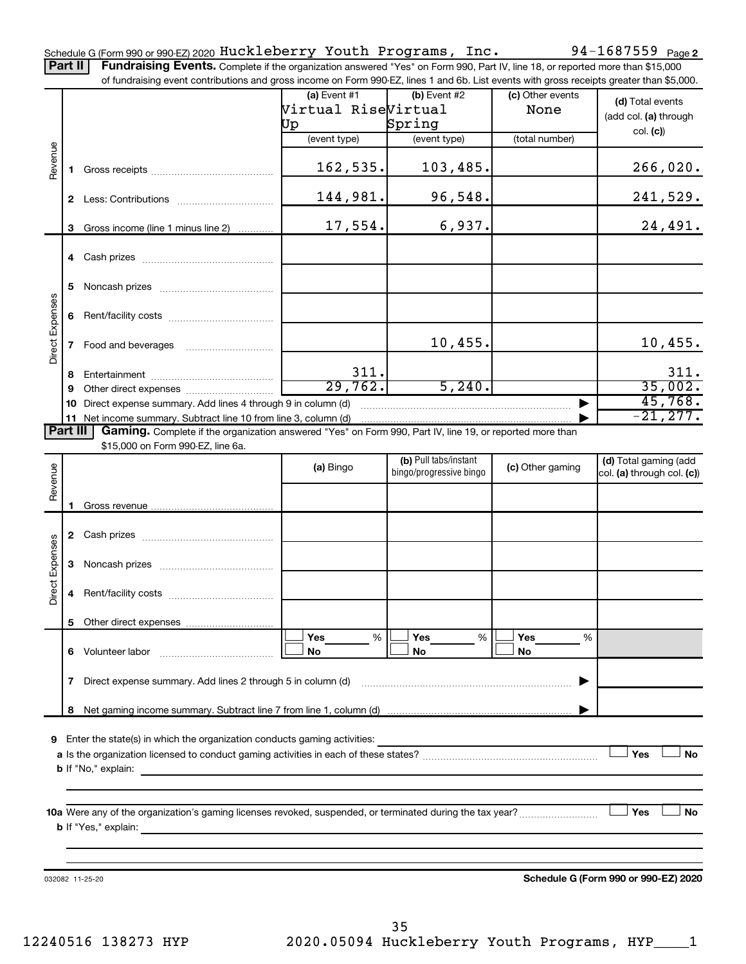Part II | Fundraising Events. Complete if the organization answered "Yes" on Form 990, Part IV, line 18, or reported more than \$15,000 of fundraising event contributions and gross income on Form 990-EZ, lines 1 and 6b. List events with gross receipts greater than \$5,000.

|                        |             | of fundraising event contributions and gross income on Form 990-EZ, lines T and 6D. List events with gross receipts greater than \$5,000.                                                                                                 |                     |                                                  |                  |                                                     |
|------------------------|-------------|-------------------------------------------------------------------------------------------------------------------------------------------------------------------------------------------------------------------------------------------|---------------------|--------------------------------------------------|------------------|-----------------------------------------------------|
|                        |             |                                                                                                                                                                                                                                           | $(a)$ Event #1      | $(b)$ Event #2                                   | (c) Other events | (d) Total events                                    |
|                        |             |                                                                                                                                                                                                                                           | Virtual RiseVirtual |                                                  | None             |                                                     |
|                        |             |                                                                                                                                                                                                                                           | Uр                  | Spring                                           |                  | (add col. (a) through                               |
|                        |             |                                                                                                                                                                                                                                           | (event type)        | (event type)                                     | (total number)   | col. (c)                                            |
|                        |             |                                                                                                                                                                                                                                           |                     |                                                  |                  |                                                     |
| Revenue                | 1.          |                                                                                                                                                                                                                                           | 162,535.            | 103,485.                                         |                  | 266,020.                                            |
|                        |             |                                                                                                                                                                                                                                           |                     |                                                  |                  |                                                     |
|                        |             |                                                                                                                                                                                                                                           | 144,981.            | 96,548.                                          |                  | 241,529.                                            |
|                        | 3           | Gross income (line 1 minus line 2)                                                                                                                                                                                                        | 17,554.             | 6,937.                                           |                  | 24,491.                                             |
|                        |             |                                                                                                                                                                                                                                           |                     |                                                  |                  |                                                     |
|                        | 5.          |                                                                                                                                                                                                                                           |                     |                                                  |                  |                                                     |
|                        | 6           |                                                                                                                                                                                                                                           |                     |                                                  |                  |                                                     |
| Direct Expenses        | $7^{\circ}$ |                                                                                                                                                                                                                                           |                     | 10,455.                                          |                  | 10,455.                                             |
|                        |             |                                                                                                                                                                                                                                           |                     |                                                  |                  | 311.                                                |
|                        | 8           |                                                                                                                                                                                                                                           | 311.<br>29,762.     |                                                  |                  |                                                     |
|                        | 9           |                                                                                                                                                                                                                                           |                     | 5,240.                                           |                  | 35,002.                                             |
|                        |             | 10 Direct expense summary. Add lines 4 through 9 in column (d)                                                                                                                                                                            |                     |                                                  |                  | 45,768.                                             |
|                        |             |                                                                                                                                                                                                                                           |                     |                                                  |                  | $-21, 277.$                                         |
| Part III               |             | Gaming. Complete if the organization answered "Yes" on Form 990, Part IV, line 19, or reported more than                                                                                                                                  |                     |                                                  |                  |                                                     |
|                        |             | \$15,000 on Form 990-EZ, line 6a.                                                                                                                                                                                                         |                     |                                                  |                  |                                                     |
| Revenue                |             |                                                                                                                                                                                                                                           | (a) Bingo           | (b) Pull tabs/instant<br>bingo/progressive bingo | (c) Other gaming | (d) Total gaming (add<br>col. (a) through col. (c)) |
|                        |             |                                                                                                                                                                                                                                           |                     |                                                  |                  |                                                     |
|                        | 1.          |                                                                                                                                                                                                                                           |                     |                                                  |                  |                                                     |
|                        |             |                                                                                                                                                                                                                                           |                     |                                                  |                  |                                                     |
|                        |             |                                                                                                                                                                                                                                           |                     |                                                  |                  |                                                     |
|                        |             |                                                                                                                                                                                                                                           |                     |                                                  |                  |                                                     |
|                        | 3           |                                                                                                                                                                                                                                           |                     |                                                  |                  |                                                     |
| <b>Direct Expenses</b> |             |                                                                                                                                                                                                                                           |                     |                                                  |                  |                                                     |
|                        | 4           |                                                                                                                                                                                                                                           |                     |                                                  |                  |                                                     |
|                        |             |                                                                                                                                                                                                                                           |                     |                                                  |                  |                                                     |
|                        |             |                                                                                                                                                                                                                                           |                     |                                                  |                  |                                                     |
|                        |             |                                                                                                                                                                                                                                           | Yes<br>%            | Yes<br>%                                         | Yes<br>%         |                                                     |
|                        |             |                                                                                                                                                                                                                                           | No                  | No                                               | No               |                                                     |
|                        |             |                                                                                                                                                                                                                                           |                     |                                                  |                  |                                                     |
|                        | 7           | Direct expense summary. Add lines 2 through 5 in column (d)                                                                                                                                                                               |                     |                                                  |                  |                                                     |
|                        |             |                                                                                                                                                                                                                                           |                     |                                                  |                  |                                                     |
|                        | 8           |                                                                                                                                                                                                                                           |                     |                                                  |                  |                                                     |
|                        |             |                                                                                                                                                                                                                                           |                     |                                                  |                  |                                                     |
|                        |             | 9 Enter the state(s) in which the organization conducts gaming activities:                                                                                                                                                                |                     |                                                  |                  |                                                     |
|                        |             |                                                                                                                                                                                                                                           |                     |                                                  |                  | Yes<br>No                                           |
|                        |             |                                                                                                                                                                                                                                           |                     |                                                  |                  |                                                     |
|                        |             |                                                                                                                                                                                                                                           |                     |                                                  |                  |                                                     |
|                        |             |                                                                                                                                                                                                                                           |                     |                                                  |                  |                                                     |
|                        |             |                                                                                                                                                                                                                                           |                     |                                                  |                  | <b>」Yes</b><br>No                                   |
|                        |             | <b>b</b> If "Yes," explain: <u>contract and a set of the set of the set of the set of the set of the set of the set of the set of the set of the set of the set of the set of the set of the set of the set of the set of the set of </u> |                     |                                                  |                  |                                                     |
|                        |             |                                                                                                                                                                                                                                           |                     |                                                  |                  |                                                     |
|                        |             |                                                                                                                                                                                                                                           |                     |                                                  |                  |                                                     |
|                        |             |                                                                                                                                                                                                                                           |                     |                                                  |                  |                                                     |
|                        |             | 032082 11-25-20                                                                                                                                                                                                                           |                     |                                                  |                  | Schedule G (Form 990 or 990-EZ) 2020                |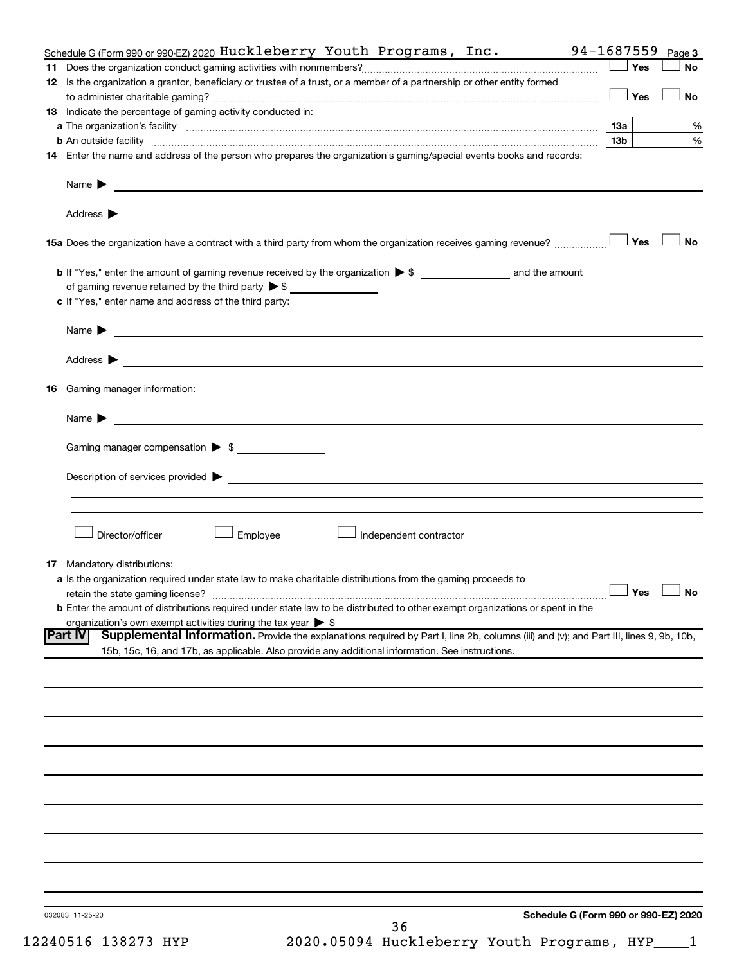| Schedule G (Form 990 or 990 EZ) 2020 Huckleberry Youth Programs, Inc.                                                                                                                                               | 94-1687559           | Page 3    |
|---------------------------------------------------------------------------------------------------------------------------------------------------------------------------------------------------------------------|----------------------|-----------|
|                                                                                                                                                                                                                     | ∫ Yes                | <b>No</b> |
| 12 Is the organization a grantor, beneficiary or trustee of a trust, or a member of a partnership or other entity formed                                                                                            |                      |           |
|                                                                                                                                                                                                                     | <b>」Yes</b>          | <b>No</b> |
| 13 Indicate the percentage of gaming activity conducted in:                                                                                                                                                         |                      |           |
|                                                                                                                                                                                                                     |                      | %         |
|                                                                                                                                                                                                                     | 13 <sub>b</sub>      | %         |
| 14 Enter the name and address of the person who prepares the organization's gaming/special events books and records:                                                                                                |                      |           |
|                                                                                                                                                                                                                     |                      |           |
| Address ><br><u>and the contract of the contract of the contract of the contract of the contract of the contract of the contract of</u>                                                                             |                      |           |
|                                                                                                                                                                                                                     |                      | <b>No</b> |
|                                                                                                                                                                                                                     |                      |           |
| of gaming revenue retained by the third party $\triangleright$ \$                                                                                                                                                   |                      |           |
| c If "Yes," enter name and address of the third party:                                                                                                                                                              |                      |           |
| Name $\blacktriangleright$ $\lrcorner$                                                                                                                                                                              |                      |           |
| Address $\blacktriangleright$<br><u>and the contract of the contract of the contract of the contract of the contract of the contract of</u>                                                                         |                      |           |
|                                                                                                                                                                                                                     |                      |           |
| 16 Gaming manager information:                                                                                                                                                                                      |                      |           |
| <u> 1989 - Johann Barnett, fransk politiker (d. 1989)</u><br>Name $\blacktriangleright$                                                                                                                             |                      |           |
| Gaming manager compensation > \$                                                                                                                                                                                    |                      |           |
|                                                                                                                                                                                                                     |                      |           |
|                                                                                                                                                                                                                     |                      |           |
|                                                                                                                                                                                                                     |                      |           |
| Director/officer<br>Employee<br>Independent contractor                                                                                                                                                              |                      |           |
|                                                                                                                                                                                                                     |                      |           |
| <b>17</b> Mandatory distributions:                                                                                                                                                                                  |                      |           |
| a Is the organization required under state law to make charitable distributions from the gaming proceeds to                                                                                                         | $\Box$ Yes $\Box$ No |           |
|                                                                                                                                                                                                                     |                      |           |
| <b>b</b> Enter the amount of distributions required under state law to be distributed to other exempt organizations or spent in the<br>organization's own exempt activities during the tax year $\triangleright$ \$ |                      |           |
| Supplemental Information. Provide the explanations required by Part I, line 2b, columns (iii) and (v); and Part III, lines 9, 9b, 10b,<br><b>Part IV</b>                                                            |                      |           |
| 15b, 15c, 16, and 17b, as applicable. Also provide any additional information. See instructions.                                                                                                                    |                      |           |
|                                                                                                                                                                                                                     |                      |           |
|                                                                                                                                                                                                                     |                      |           |
|                                                                                                                                                                                                                     |                      |           |
|                                                                                                                                                                                                                     |                      |           |
|                                                                                                                                                                                                                     |                      |           |
|                                                                                                                                                                                                                     |                      |           |
|                                                                                                                                                                                                                     |                      |           |
|                                                                                                                                                                                                                     |                      |           |
|                                                                                                                                                                                                                     |                      |           |
|                                                                                                                                                                                                                     |                      |           |
|                                                                                                                                                                                                                     |                      |           |
|                                                                                                                                                                                                                     |                      |           |
| Schedule G (Form 990 or 990-EZ) 2020<br>032083 11-25-20                                                                                                                                                             |                      |           |
| 36                                                                                                                                                                                                                  |                      |           |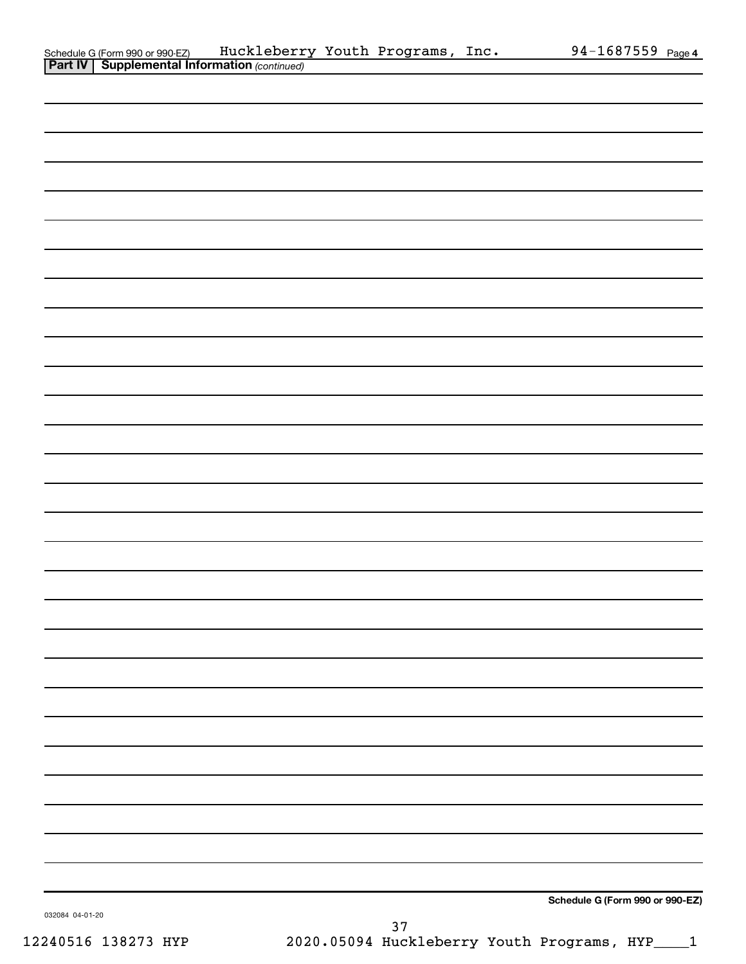| Schedule G (Form 990 or 990-EZ)                       | Huckleberry Youth Programs, |  | , Inc. | 94-1687559 $_{Page 4}$ |  |
|-------------------------------------------------------|-----------------------------|--|--------|------------------------|--|
| <b>Part IV   Supplemental Information (continued)</b> |                             |  |        |                        |  |

| . <b>.</b> 1<br><b>Ouppicinental information</b> (commaca) |               |                                 |
|------------------------------------------------------------|---------------|---------------------------------|
|                                                            |               |                                 |
|                                                            |               |                                 |
|                                                            |               |                                 |
|                                                            |               |                                 |
|                                                            |               |                                 |
|                                                            |               |                                 |
|                                                            |               |                                 |
|                                                            |               |                                 |
|                                                            |               |                                 |
|                                                            |               |                                 |
|                                                            |               |                                 |
|                                                            |               |                                 |
|                                                            |               |                                 |
|                                                            |               |                                 |
|                                                            |               |                                 |
|                                                            |               |                                 |
|                                                            |               |                                 |
|                                                            |               |                                 |
|                                                            |               |                                 |
|                                                            |               |                                 |
|                                                            |               |                                 |
|                                                            |               |                                 |
|                                                            |               |                                 |
|                                                            |               |                                 |
|                                                            |               |                                 |
|                                                            |               |                                 |
|                                                            |               |                                 |
|                                                            |               |                                 |
|                                                            |               |                                 |
| 032084 04-01-20                                            | $\sim$ $\sim$ | Schedule G (Form 990 or 990-EZ) |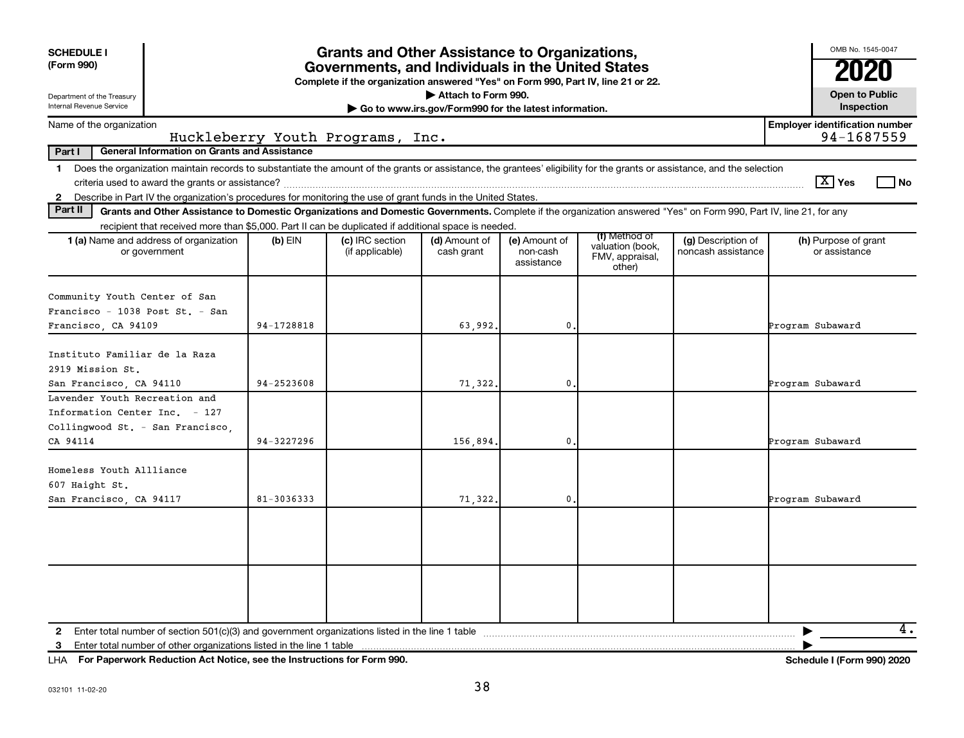| <b>SCHEDULE I</b>                                                                                                                                                                                                                                                                             | <b>Grants and Other Assistance to Organizations,</b> |                                                                                                                                       |                                                                              |                                         |                                                                |                                          |                                                     |  |  |  |  |
|-----------------------------------------------------------------------------------------------------------------------------------------------------------------------------------------------------------------------------------------------------------------------------------------------|------------------------------------------------------|---------------------------------------------------------------------------------------------------------------------------------------|------------------------------------------------------------------------------|-----------------------------------------|----------------------------------------------------------------|------------------------------------------|-----------------------------------------------------|--|--|--|--|
| (Form 990)                                                                                                                                                                                                                                                                                    |                                                      | Governments, and Individuals in the United States<br>Complete if the organization answered "Yes" on Form 990, Part IV, line 21 or 22. |                                                                              |                                         |                                                                |                                          |                                                     |  |  |  |  |
| Department of the Treasury<br>Internal Revenue Service                                                                                                                                                                                                                                        |                                                      |                                                                                                                                       | Attach to Form 990.<br>Go to www.irs.gov/Form990 for the latest information. |                                         |                                                                |                                          | <b>Open to Public</b><br>Inspection                 |  |  |  |  |
| Name of the organization                                                                                                                                                                                                                                                                      |                                                      | Huckleberry Youth Programs, Inc.                                                                                                      |                                                                              |                                         |                                                                |                                          | <b>Employer identification number</b><br>94-1687559 |  |  |  |  |
| <b>General Information on Grants and Assistance</b><br>Part I                                                                                                                                                                                                                                 |                                                      |                                                                                                                                       |                                                                              |                                         |                                                                |                                          |                                                     |  |  |  |  |
| 1 Does the organization maintain records to substantiate the amount of the grants or assistance, the grantees' eligibility for the grants or assistance, and the selection<br>2 Describe in Part IV the organization's procedures for monitoring the use of grant funds in the United States. |                                                      |                                                                                                                                       |                                                                              |                                         |                                                                |                                          | $\sqrt{X}$ Yes<br>l No                              |  |  |  |  |
| Part II<br>Grants and Other Assistance to Domestic Organizations and Domestic Governments. Complete if the organization answered "Yes" on Form 990, Part IV, line 21, for any                                                                                                                 |                                                      |                                                                                                                                       |                                                                              |                                         |                                                                |                                          |                                                     |  |  |  |  |
| recipient that received more than \$5,000. Part II can be duplicated if additional space is needed.                                                                                                                                                                                           |                                                      |                                                                                                                                       |                                                                              |                                         |                                                                |                                          |                                                     |  |  |  |  |
| <b>1 (a)</b> Name and address of organization<br>or government                                                                                                                                                                                                                                | $(b)$ EIN                                            | (c) IRC section<br>(if applicable)                                                                                                    | (d) Amount of<br>cash grant                                                  | (e) Amount of<br>non-cash<br>assistance | (f) Method of<br>valuation (book,<br>FMV, appraisal,<br>other) | (g) Description of<br>noncash assistance | (h) Purpose of grant<br>or assistance               |  |  |  |  |
| Community Youth Center of San                                                                                                                                                                                                                                                                 |                                                      |                                                                                                                                       |                                                                              |                                         |                                                                |                                          |                                                     |  |  |  |  |
| Francisco - 1038 Post St. - San                                                                                                                                                                                                                                                               |                                                      |                                                                                                                                       |                                                                              |                                         |                                                                |                                          |                                                     |  |  |  |  |
| Francisco, CA 94109                                                                                                                                                                                                                                                                           | 94-1728818                                           |                                                                                                                                       | 63,992.                                                                      | $\mathbf{0}$                            |                                                                |                                          | Program Subaward                                    |  |  |  |  |
| Instituto Familiar de la Raza<br>2919 Mission St.                                                                                                                                                                                                                                             |                                                      |                                                                                                                                       |                                                                              |                                         |                                                                |                                          |                                                     |  |  |  |  |
| San Francisco, CA 94110                                                                                                                                                                                                                                                                       | 94-2523608                                           |                                                                                                                                       | 71,322.                                                                      | $\mathbf 0$                             |                                                                |                                          | Program Subaward                                    |  |  |  |  |
| Lavender Youth Recreation and<br>Information Center Inc. - 127<br>Collingwood St. - San Francisco,                                                                                                                                                                                            |                                                      |                                                                                                                                       |                                                                              |                                         |                                                                |                                          |                                                     |  |  |  |  |
| CA 94114                                                                                                                                                                                                                                                                                      | 94-3227296                                           |                                                                                                                                       | 156,894.                                                                     | $\mathbf{0}$                            |                                                                |                                          | Program Subaward                                    |  |  |  |  |
| Homeless Youth Allliance<br>607 Haight St.                                                                                                                                                                                                                                                    | 81-3036333                                           |                                                                                                                                       |                                                                              |                                         |                                                                |                                          |                                                     |  |  |  |  |
| San Francisco, CA 94117                                                                                                                                                                                                                                                                       |                                                      |                                                                                                                                       | 71,322.                                                                      | $\mathbf{0}$                            |                                                                |                                          | Program Subaward                                    |  |  |  |  |
|                                                                                                                                                                                                                                                                                               |                                                      |                                                                                                                                       |                                                                              |                                         |                                                                |                                          |                                                     |  |  |  |  |
| Enter total number of other organizations listed in the line 1 table<br>3                                                                                                                                                                                                                     |                                                      |                                                                                                                                       |                                                                              |                                         |                                                                |                                          | 4.                                                  |  |  |  |  |

**For Paperwork Reduction Act Notice, see the Instructions for Form 990. Schedule I (Form 990) 2020** LHA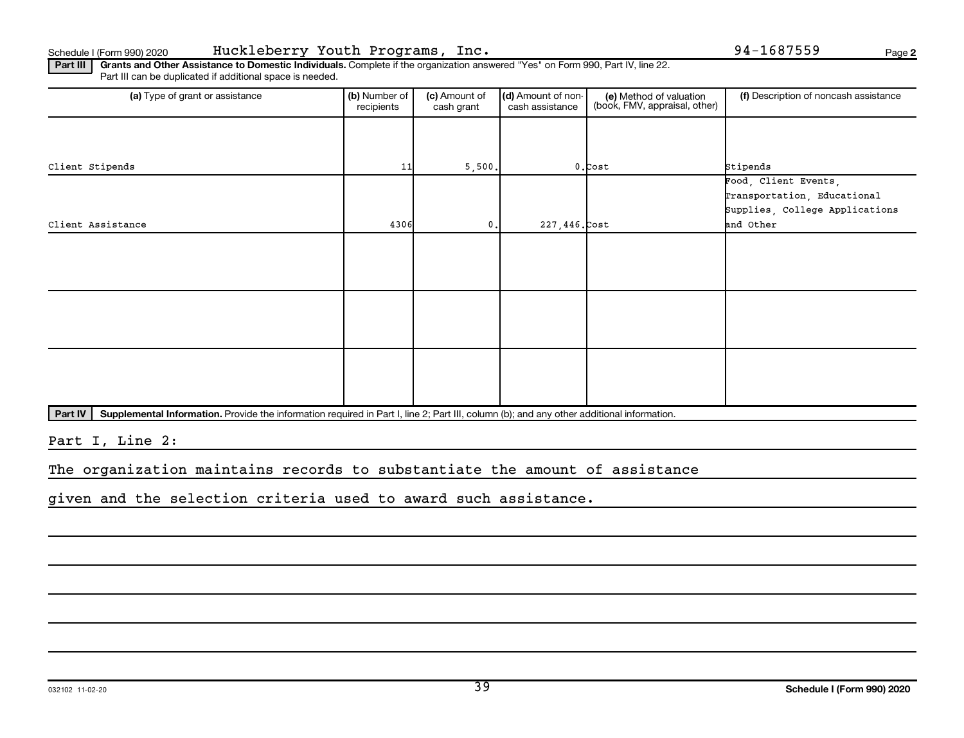**2**

Part III | Grants and Other Assistance to Domestic Individuals. Complete if the organization answered "Yes" on Form 990, Part IV, line 22. Part III can be duplicated if additional space is needed.

| (a) Type of grant or assistance | (b) Number of<br>recipients | (c) Amount of<br>cash grant | (d) Amount of non-<br>cash assistance | (e) Method of valuation<br>(book, FMV, appraisal, other) | (f) Description of noncash assistance               |
|---------------------------------|-----------------------------|-----------------------------|---------------------------------------|----------------------------------------------------------|-----------------------------------------------------|
|                                 |                             |                             |                                       |                                                          |                                                     |
| Client Stipends                 | 11                          | 5,500.                      |                                       | $0$ . Cost                                               | Stipends                                            |
|                                 |                             |                             |                                       |                                                          | Food, Client Events,<br>Transportation, Educational |
| Client Assistance               | 4306                        | 0.                          | $227,446$ . Cost                      |                                                          | Supplies, College Applications<br>and Other         |
|                                 |                             |                             |                                       |                                                          |                                                     |
|                                 |                             |                             |                                       |                                                          |                                                     |
|                                 |                             |                             |                                       |                                                          |                                                     |
|                                 |                             |                             |                                       |                                                          |                                                     |
|                                 |                             |                             |                                       |                                                          |                                                     |
|                                 |                             |                             |                                       |                                                          |                                                     |

Part IV | Supplemental Information. Provide the information required in Part I, line 2; Part III, column (b); and any other additional information.

Part I, Line 2:

The organization maintains records to substantiate the amount of assistance

given and the selection criteria used to award such assistance.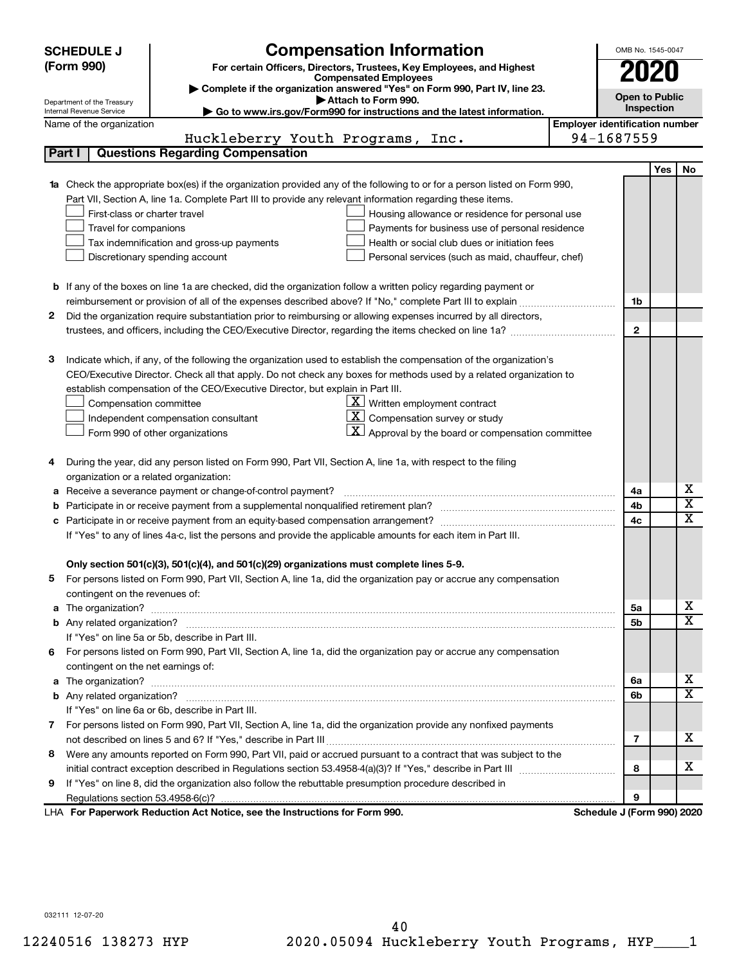|                                                                                                               | <b>Compensation Information</b><br><b>SCHEDULE J</b>                                                                                                    |                                       |              | OMB No. 1545-0047     |                         |
|---------------------------------------------------------------------------------------------------------------|---------------------------------------------------------------------------------------------------------------------------------------------------------|---------------------------------------|--------------|-----------------------|-------------------------|
|                                                                                                               | (Form 990)<br>For certain Officers, Directors, Trustees, Key Employees, and Highest                                                                     |                                       | 2020         |                       |                         |
|                                                                                                               | <b>Compensated Employees</b>                                                                                                                            |                                       |              |                       |                         |
|                                                                                                               | Complete if the organization answered "Yes" on Form 990, Part IV, line 23.                                                                              |                                       |              | <b>Open to Public</b> |                         |
|                                                                                                               | Attach to Form 990.<br>Department of the Treasury<br>Go to www.irs.gov/Form990 for instructions and the latest information.<br>Internal Revenue Service |                                       |              | Inspection            |                         |
|                                                                                                               | Name of the organization                                                                                                                                | <b>Employer identification number</b> |              |                       |                         |
|                                                                                                               | Huckleberry Youth Programs, Inc.                                                                                                                        | 94-1687559                            |              |                       |                         |
|                                                                                                               | <b>Questions Regarding Compensation</b><br>Part I                                                                                                       |                                       |              |                       |                         |
|                                                                                                               |                                                                                                                                                         |                                       |              | Yes                   | No                      |
|                                                                                                               | Check the appropriate box(es) if the organization provided any of the following to or for a person listed on Form 990,                                  |                                       |              |                       |                         |
|                                                                                                               | Part VII, Section A, line 1a. Complete Part III to provide any relevant information regarding these items.                                              |                                       |              |                       |                         |
|                                                                                                               | First-class or charter travel<br>Housing allowance or residence for personal use                                                                        |                                       |              |                       |                         |
|                                                                                                               | Travel for companions<br>Payments for business use of personal residence                                                                                |                                       |              |                       |                         |
|                                                                                                               | Health or social club dues or initiation fees<br>Tax indemnification and gross-up payments                                                              |                                       |              |                       |                         |
|                                                                                                               | Discretionary spending account<br>Personal services (such as maid, chauffeur, chef)                                                                     |                                       |              |                       |                         |
|                                                                                                               |                                                                                                                                                         |                                       |              |                       |                         |
|                                                                                                               | <b>b</b> If any of the boxes on line 1a are checked, did the organization follow a written policy regarding payment or                                  |                                       |              |                       |                         |
|                                                                                                               | reimbursement or provision of all of the expenses described above? If "No," complete Part III to explain                                                |                                       | 1b           |                       |                         |
| 2                                                                                                             | Did the organization require substantiation prior to reimbursing or allowing expenses incurred by all directors,                                        |                                       |              |                       |                         |
|                                                                                                               |                                                                                                                                                         |                                       | $\mathbf{2}$ |                       |                         |
|                                                                                                               |                                                                                                                                                         |                                       |              |                       |                         |
| З                                                                                                             | Indicate which, if any, of the following the organization used to establish the compensation of the organization's                                      |                                       |              |                       |                         |
|                                                                                                               | CEO/Executive Director. Check all that apply. Do not check any boxes for methods used by a related organization to                                      |                                       |              |                       |                         |
|                                                                                                               | establish compensation of the CEO/Executive Director, but explain in Part III.                                                                          |                                       |              |                       |                         |
|                                                                                                               | $X$ Written employment contract<br>Compensation committee                                                                                               |                                       |              |                       |                         |
|                                                                                                               | $ \mathbf{X} $ Compensation survey or study<br>Independent compensation consultant                                                                      |                                       |              |                       |                         |
|                                                                                                               | $\mathbf{X}$ Approval by the board or compensation committee<br>Form 990 of other organizations                                                         |                                       |              |                       |                         |
|                                                                                                               |                                                                                                                                                         |                                       |              |                       |                         |
| 4                                                                                                             | During the year, did any person listed on Form 990, Part VII, Section A, line 1a, with respect to the filing                                            |                                       |              |                       |                         |
|                                                                                                               | organization or a related organization:                                                                                                                 |                                       |              |                       |                         |
| а                                                                                                             | Receive a severance payment or change-of-control payment?                                                                                               |                                       | 4a           |                       | х                       |
| b                                                                                                             |                                                                                                                                                         |                                       | 4b           |                       | $\overline{\textbf{x}}$ |
| с                                                                                                             |                                                                                                                                                         |                                       | 4c           |                       | $\overline{\text{x}}$   |
| If "Yes" to any of lines 4a-c, list the persons and provide the applicable amounts for each item in Part III. |                                                                                                                                                         |                                       |              |                       |                         |
|                                                                                                               |                                                                                                                                                         |                                       |              |                       |                         |
|                                                                                                               | Only section 501(c)(3), 501(c)(4), and 501(c)(29) organizations must complete lines 5-9.                                                                |                                       |              |                       |                         |
|                                                                                                               | For persons listed on Form 990, Part VII, Section A, line 1a, did the organization pay or accrue any compensation                                       |                                       |              |                       |                         |
|                                                                                                               | contingent on the revenues of:                                                                                                                          |                                       |              |                       |                         |
| a                                                                                                             |                                                                                                                                                         |                                       | 5а           |                       | х                       |
|                                                                                                               |                                                                                                                                                         |                                       | 5b           |                       | $\overline{\texttt{x}}$ |
|                                                                                                               | If "Yes" on line 5a or 5b, describe in Part III.                                                                                                        |                                       |              |                       |                         |
| 6.                                                                                                            | For persons listed on Form 990, Part VII, Section A, line 1a, did the organization pay or accrue any compensation                                       |                                       |              |                       |                         |
|                                                                                                               | contingent on the net earnings of:                                                                                                                      |                                       |              |                       |                         |
| a                                                                                                             |                                                                                                                                                         |                                       |              |                       | х                       |
|                                                                                                               |                                                                                                                                                         |                                       |              |                       | $\overline{\texttt{x}}$ |
|                                                                                                               | If "Yes" on line 6a or 6b, describe in Part III.                                                                                                        |                                       |              |                       |                         |
|                                                                                                               | 7 For persons listed on Form 990, Part VII, Section A, line 1a, did the organization provide any nonfixed payments                                      |                                       |              |                       |                         |
|                                                                                                               |                                                                                                                                                         |                                       | 7            |                       | x                       |
| 8                                                                                                             | Were any amounts reported on Form 990, Part VII, paid or accrued pursuant to a contract that was subject to the                                         |                                       |              |                       |                         |
|                                                                                                               |                                                                                                                                                         |                                       |              |                       | х                       |
| 9                                                                                                             | If "Yes" on line 8, did the organization also follow the rebuttable presumption procedure described in                                                  |                                       |              |                       |                         |
|                                                                                                               |                                                                                                                                                         |                                       | 9            |                       |                         |
|                                                                                                               | LHA For Paperwork Reduction Act Notice, see the Instructions for Form 990.                                                                              | Schedule J (Form 990) 2020            |              |                       |                         |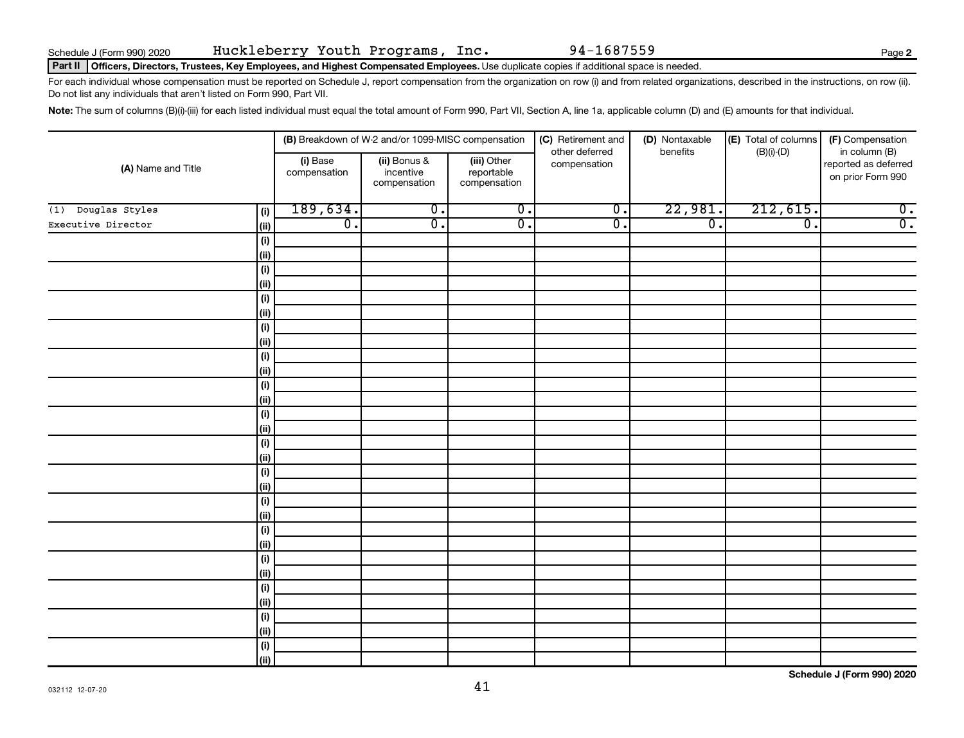#### Part II | Officers, Directors, Trustees, Key Employees, and Highest Compensated Employees. Use duplicate copies if additional space is needed.

For each individual whose compensation must be reported on Schedule J, report compensation from the organization on row (i) and from related organizations, described in the instructions, on row (ii). Do not list any individuals that aren't listed on Form 990, Part VII.

Note: The sum of columns (B)(i)-(iii) for each listed individual must equal the total amount of Form 990, Part VII, Section A, line 1a, applicable column (D) and (E) amounts for that individual.

|                              |                          | (B) Breakdown of W-2 and/or 1099-MISC compensation |                                           | (C) Retirement and<br>(D) Nontaxable<br>benefits | (E) Total of columns | (F) Compensation<br>in column (B) |                                           |
|------------------------------|--------------------------|----------------------------------------------------|-------------------------------------------|--------------------------------------------------|----------------------|-----------------------------------|-------------------------------------------|
| (A) Name and Title           | (i) Base<br>compensation | (ii) Bonus &<br>incentive<br>compensation          | (iii) Other<br>reportable<br>compensation | other deferred<br>compensation                   |                      | $(B)(i)$ - $(D)$                  | reported as deferred<br>on prior Form 990 |
| Douglas Styles<br>(i)<br>(1) | 189,634.                 | $\overline{0}$ .                                   | $\overline{0}$ .                          | $\overline{0}$ .                                 | 22,981.              | 212,615.                          | $\overline{0}$ .                          |
| Executive Director           | $\overline{0}$ .<br>ii)  | $\overline{\mathfrak{o}}$ .                        | $\overline{0}$ .                          | $\overline{0}$ .                                 | $\overline{0}$ .     | $\overline{0}$ .                  | $\overline{0}$ .                          |
| (i)                          |                          |                                                    |                                           |                                                  |                      |                                   |                                           |
| (ii)                         |                          |                                                    |                                           |                                                  |                      |                                   |                                           |
| (i)                          |                          |                                                    |                                           |                                                  |                      |                                   |                                           |
| (ii)                         |                          |                                                    |                                           |                                                  |                      |                                   |                                           |
| (i)                          |                          |                                                    |                                           |                                                  |                      |                                   |                                           |
| (ii)                         |                          |                                                    |                                           |                                                  |                      |                                   |                                           |
| (i)                          |                          |                                                    |                                           |                                                  |                      |                                   |                                           |
| (ii)                         |                          |                                                    |                                           |                                                  |                      |                                   |                                           |
| (i)                          |                          |                                                    |                                           |                                                  |                      |                                   |                                           |
| (ii)                         |                          |                                                    |                                           |                                                  |                      |                                   |                                           |
| (i)                          |                          |                                                    |                                           |                                                  |                      |                                   |                                           |
| (ii)                         |                          |                                                    |                                           |                                                  |                      |                                   |                                           |
| (i)                          |                          |                                                    |                                           |                                                  |                      |                                   |                                           |
| (ii)                         |                          |                                                    |                                           |                                                  |                      |                                   |                                           |
| (i)                          |                          |                                                    |                                           |                                                  |                      |                                   |                                           |
| (ii)                         |                          |                                                    |                                           |                                                  |                      |                                   |                                           |
| (i)<br>(ii)                  |                          |                                                    |                                           |                                                  |                      |                                   |                                           |
| (i)                          |                          |                                                    |                                           |                                                  |                      |                                   |                                           |
| (ii)                         |                          |                                                    |                                           |                                                  |                      |                                   |                                           |
| (i)                          |                          |                                                    |                                           |                                                  |                      |                                   |                                           |
| (ii)                         |                          |                                                    |                                           |                                                  |                      |                                   |                                           |
| (i)                          |                          |                                                    |                                           |                                                  |                      |                                   |                                           |
| (ii)                         |                          |                                                    |                                           |                                                  |                      |                                   |                                           |
| (i)                          |                          |                                                    |                                           |                                                  |                      |                                   |                                           |
| (ii)                         |                          |                                                    |                                           |                                                  |                      |                                   |                                           |
| (i)                          |                          |                                                    |                                           |                                                  |                      |                                   |                                           |
| (ii)                         |                          |                                                    |                                           |                                                  |                      |                                   |                                           |
| (i)                          |                          |                                                    |                                           |                                                  |                      |                                   |                                           |
|                              | (ii)                     |                                                    |                                           |                                                  |                      |                                   |                                           |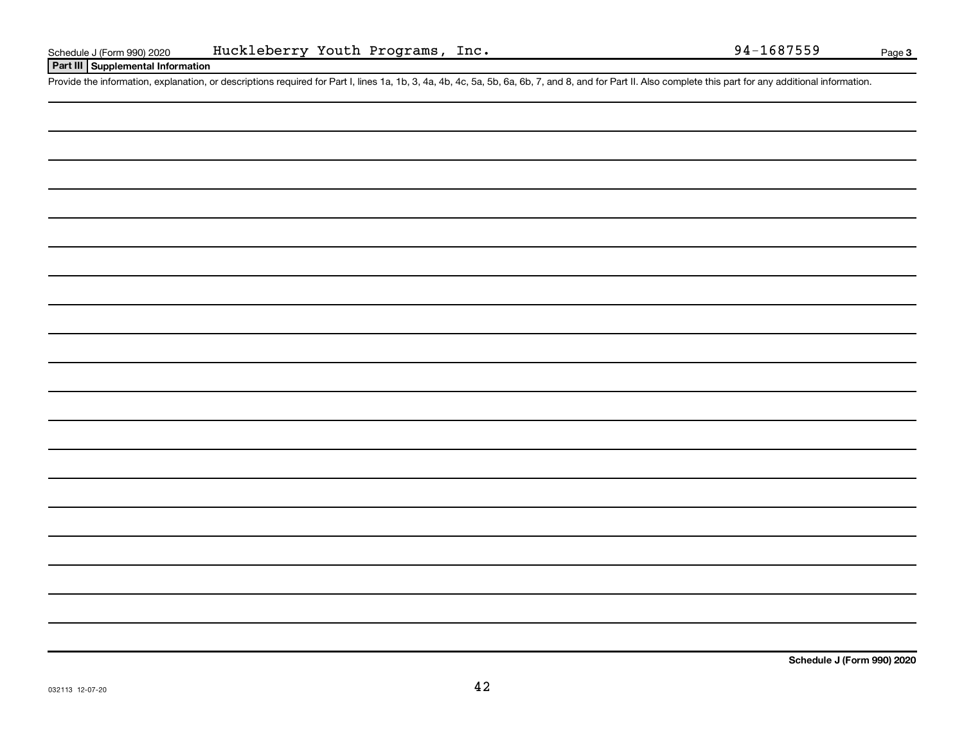#### **Part III Supplemental Information**

Provide the information, explanation, or descriptions required for Part I, lines 1a, 1b, 3, 4a, 4b, 4c, 5a, 5b, 6a, 6b, 7, and 8, and for Part II. Also complete this part for any additional information.

**Schedule J (Form 990) 2020**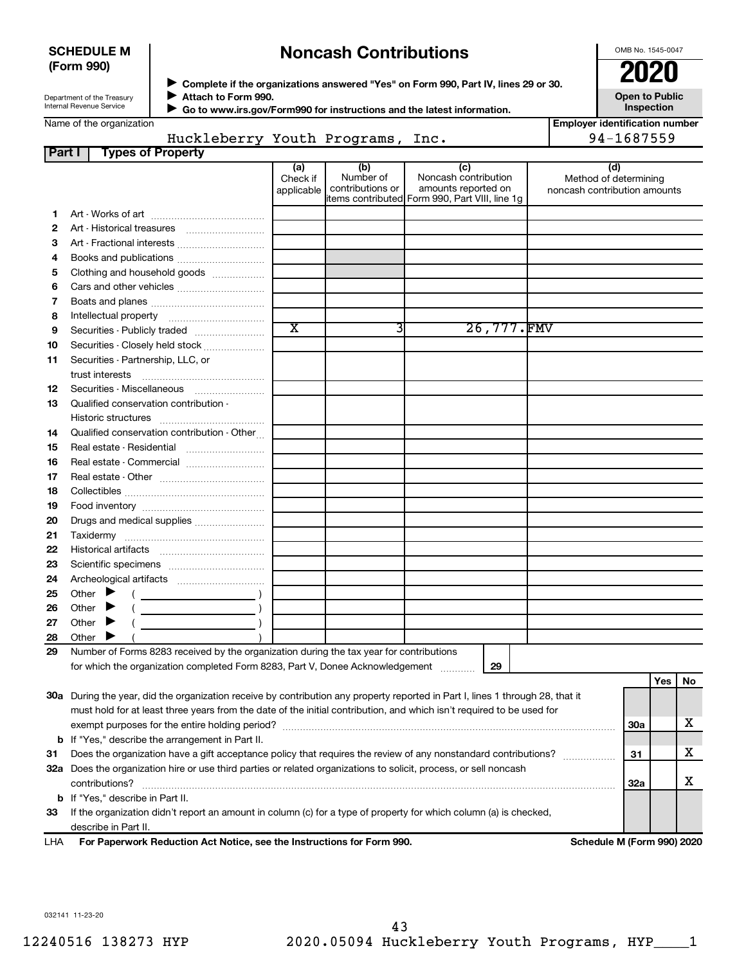#### **SCHEDULE M (Form 990)**

### **Noncash Contributions**

OMB No. 1545-0047

| Department of the Treasury |
|----------------------------|
| Internal Revenue Service   |

◆ Complete if the organizations answered "Yes" on Form 990, Part IV, lines 29 or 30.<br>● Complete if the organizations answered "Yes" on Form 990, Part IV, lines 29 or 30. **Attach to Form 990.**  $\blacktriangleright$ 

**Open to Public Inspection**

|  | Name of the organization |
|--|--------------------------|
|--|--------------------------|

 **Go to www.irs.gov/Form990 for instructions and the latest information.** J

|        | Name of the organization                                                                                                       |                               |                                      |                                                                                                       | <b>Employer identification number</b>                        |           |
|--------|--------------------------------------------------------------------------------------------------------------------------------|-------------------------------|--------------------------------------|-------------------------------------------------------------------------------------------------------|--------------------------------------------------------------|-----------|
|        | Huckleberry Youth Programs, Inc.                                                                                               |                               |                                      |                                                                                                       | 94-1687559                                                   |           |
| Part I | <b>Types of Property</b>                                                                                                       |                               |                                      |                                                                                                       |                                                              |           |
|        |                                                                                                                                | (a)<br>Check if<br>applicable | (b)<br>Number of<br>contributions or | (c)<br>Noncash contribution<br>amounts reported on<br>litems contributed Form 990, Part VIII, line 1q | (d)<br>Method of determining<br>noncash contribution amounts |           |
| 1.     |                                                                                                                                |                               |                                      |                                                                                                       |                                                              |           |
| 2      |                                                                                                                                |                               |                                      |                                                                                                       |                                                              |           |
| з      | Art - Fractional interests                                                                                                     |                               |                                      |                                                                                                       |                                                              |           |
| 4      |                                                                                                                                |                               |                                      |                                                                                                       |                                                              |           |
| 5      | Clothing and household goods                                                                                                   |                               |                                      |                                                                                                       |                                                              |           |
| 6      |                                                                                                                                |                               |                                      |                                                                                                       |                                                              |           |
| 7      |                                                                                                                                |                               |                                      |                                                                                                       |                                                              |           |
| 8      |                                                                                                                                |                               |                                      |                                                                                                       |                                                              |           |
| 9      | Securities - Publicly traded                                                                                                   | $\overline{\text{x}}$         | 3                                    | 26,777.FMV                                                                                            |                                                              |           |
| 10     | Securities - Closely held stock                                                                                                |                               |                                      |                                                                                                       |                                                              |           |
| 11     | Securities - Partnership, LLC, or                                                                                              |                               |                                      |                                                                                                       |                                                              |           |
| 12     |                                                                                                                                |                               |                                      |                                                                                                       |                                                              |           |
| 13     | Qualified conservation contribution -                                                                                          |                               |                                      |                                                                                                       |                                                              |           |
|        |                                                                                                                                |                               |                                      |                                                                                                       |                                                              |           |
| 14     | Qualified conservation contribution - Other                                                                                    |                               |                                      |                                                                                                       |                                                              |           |
| 15     | Real estate - Residential                                                                                                      |                               |                                      |                                                                                                       |                                                              |           |
| 16     | Real estate - Commercial                                                                                                       |                               |                                      |                                                                                                       |                                                              |           |
| 17     |                                                                                                                                |                               |                                      |                                                                                                       |                                                              |           |
| 18     |                                                                                                                                |                               |                                      |                                                                                                       |                                                              |           |
| 19     |                                                                                                                                |                               |                                      |                                                                                                       |                                                              |           |
| 20     | Drugs and medical supplies                                                                                                     |                               |                                      |                                                                                                       |                                                              |           |
| 21     |                                                                                                                                |                               |                                      |                                                                                                       |                                                              |           |
| 22     |                                                                                                                                |                               |                                      |                                                                                                       |                                                              |           |
| 23     |                                                                                                                                |                               |                                      |                                                                                                       |                                                              |           |
| 24     |                                                                                                                                |                               |                                      |                                                                                                       |                                                              |           |
| 25     | Other $\blacktriangleright$<br>$\overline{\phantom{a}}$ )                                                                      |                               |                                      |                                                                                                       |                                                              |           |
| 26     | Other $\blacktriangleright$                                                                                                    |                               |                                      |                                                                                                       |                                                              |           |
| 27     | Other $\blacktriangleright$                                                                                                    |                               |                                      |                                                                                                       |                                                              |           |
| 28     | Other                                                                                                                          |                               |                                      |                                                                                                       |                                                              |           |
| 29     | Number of Forms 8283 received by the organization during the tax year for contributions                                        |                               |                                      |                                                                                                       |                                                              |           |
|        |                                                                                                                                |                               |                                      |                                                                                                       |                                                              |           |
|        |                                                                                                                                |                               |                                      |                                                                                                       |                                                              | No<br>Yes |
|        | 30a During the year, did the organization receive by contribution any property reported in Part I, lines 1 through 28, that it |                               |                                      |                                                                                                       |                                                              |           |
|        | must hold for at least three years from the date of the initial contribution, and which isn't required to be used for          |                               |                                      |                                                                                                       |                                                              |           |
|        |                                                                                                                                |                               |                                      |                                                                                                       | <b>30a</b>                                                   | х         |
|        | <b>b</b> If "Yes," describe the arrangement in Part II.                                                                        |                               |                                      |                                                                                                       |                                                              |           |
| 31     | Does the organization have a gift acceptance policy that requires the review of any nonstandard contributions?                 |                               |                                      |                                                                                                       | 31                                                           | х         |
|        | 32a Does the organization hire or use third parties or related organizations to solicit, process, or sell noncash              |                               |                                      |                                                                                                       |                                                              |           |
|        | contributions?                                                                                                                 |                               |                                      |                                                                                                       | 32a                                                          | х         |
|        | <b>b</b> If "Yes," describe in Part II.                                                                                        |                               |                                      |                                                                                                       |                                                              |           |
|        |                                                                                                                                |                               |                                      |                                                                                                       |                                                              |           |

**33** If the organization didn't report an amount in column (c) for a type of property for which column (a) is checked, describe in Part II.

**For Paperwork Reduction Act Notice, see the Instructions for Form 990. Schedule M (Form 990) 2020** LHA

032141 11-23-20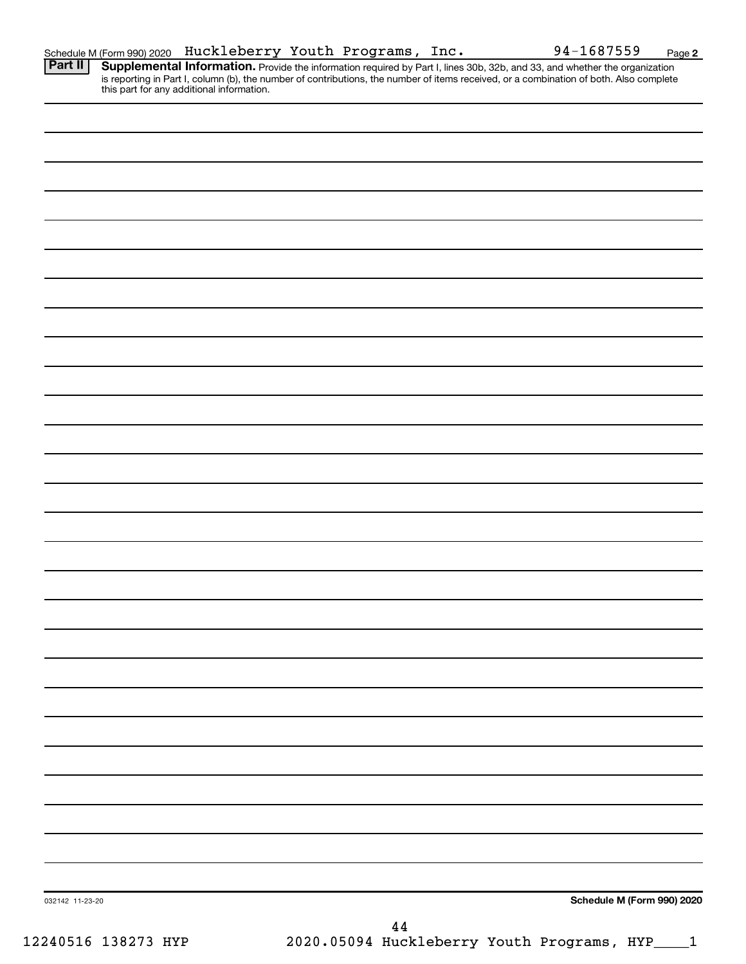| Schedule M (Form 990) 2020 |  | Huckleberry Youth Programs, | Inc. | 94-1687559 | Page |
|----------------------------|--|-----------------------------|------|------------|------|
|----------------------------|--|-----------------------------|------|------------|------|

**2** Provide the information required by Part I, lines 30b, 32b, and 33, and whether the organization is reporting in Part I, column (b), the number of contributions, the number of items received, or a combination of both. Also complete this part for any additional information. **Part II Supplemental Information.** 

|                 | $\bf 44$ |                            |
|-----------------|----------|----------------------------|
| 032142 11-23-20 |          | Schedule M (Form 990) 2020 |
|                 |          |                            |
|                 |          |                            |
|                 |          |                            |
|                 |          |                            |
|                 |          |                            |
|                 |          |                            |
|                 |          |                            |
|                 |          |                            |
|                 |          |                            |
|                 |          |                            |
|                 |          |                            |
|                 |          |                            |
|                 |          |                            |
|                 |          |                            |
|                 |          |                            |
|                 |          |                            |
|                 |          |                            |
|                 |          |                            |
|                 |          |                            |
|                 |          |                            |
|                 |          |                            |
|                 |          |                            |
|                 |          |                            |
|                 |          |                            |
|                 |          |                            |
|                 |          |                            |
|                 |          |                            |
|                 |          |                            |
|                 |          |                            |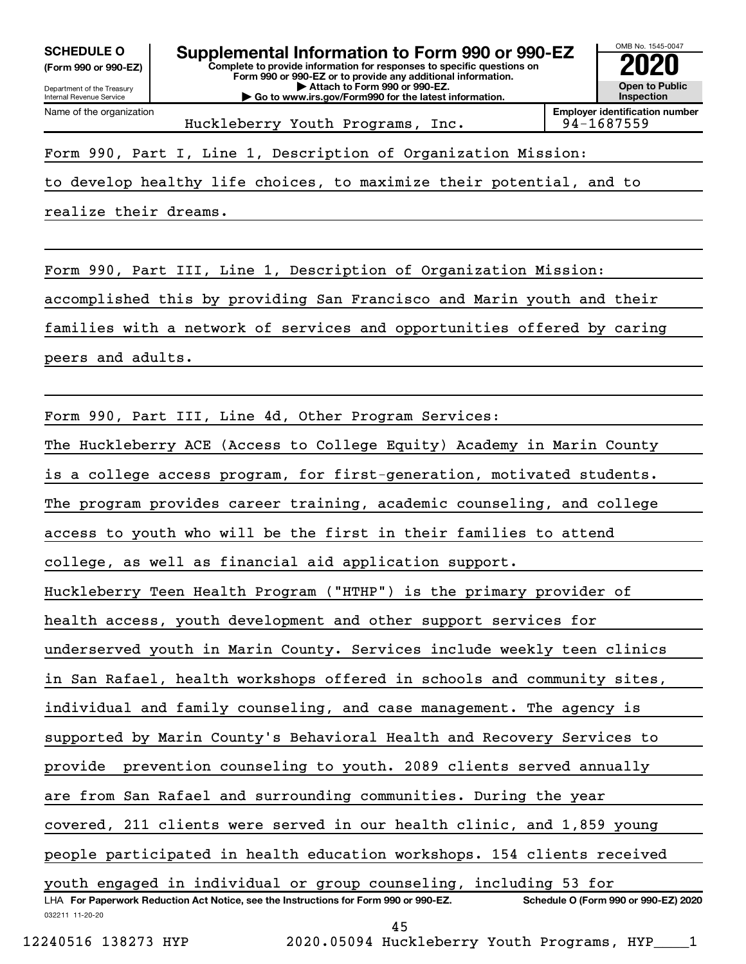**(Form 990 or 990-EZ)**

Department of the Treasury

Name of the organization

Internal Revenue Service



Huckleberry Youth Programs, Inc. 94-1687559

Form 990, Part I, Line 1, Description of Organization Mission:

to develop healthy life choices, to maximize their potential, and to

realize their dreams.

Form 990, Part III, Line 1, Description of Organization Mission: accomplished this by providing San Francisco and Marin youth and their families with a network of services and opportunities offered by caring peers and adults.

Form 990, Part III, Line 4d, Other Program Services:

The Huckleberry ACE (Access to College Equity) Academy in Marin County

is a college access program, for first-generation, motivated students.

The program provides career training, academic counseling, and college

access to youth who will be the first in their families to attend

college, as well as financial aid application support.

Huckleberry Teen Health Program ("HTHP") is the primary provider of

health access, youth development and other support services for

underserved youth in Marin County. Services include weekly teen clinics

in San Rafael, health workshops offered in schools and community sites,

individual and family counseling, and case management. The agency is

supported by Marin County's Behavioral Health and Recovery Services to

provide prevention counseling to youth. 2089 clients served annually

are from San Rafael and surrounding communities. During the year

covered, 211 clients were served in our health clinic, and 1,859 young

people participated in health education workshops. 154 clients received

032211 11-20-20 **For Paperwork Reduction Act Notice, see the Instructions for Form 990 or 990-EZ. Schedule O (Form 990 or 990-EZ) 2020** LHA youth engaged in individual or group counseling, including 53 for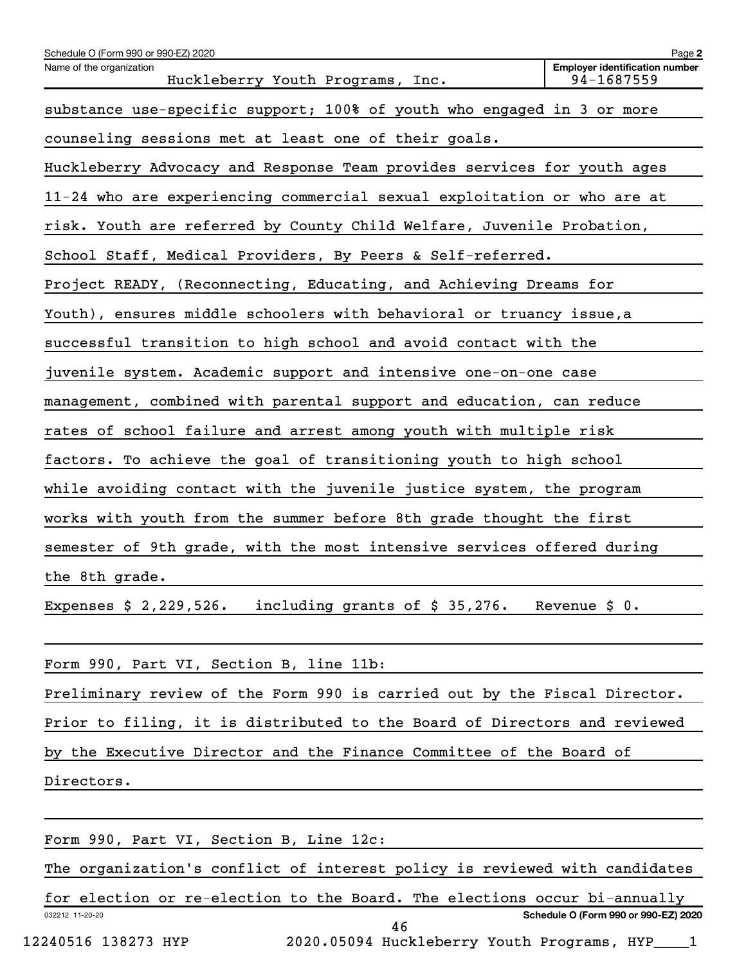| Schedule O (Form 990 or 990-EZ) 2020                                       | Page 2                                              |  |  |  |  |
|----------------------------------------------------------------------------|-----------------------------------------------------|--|--|--|--|
| Name of the organization<br>Huckleberry Youth Programs, Inc.               | <b>Employer identification number</b><br>94-1687559 |  |  |  |  |
| substance use-specific support; 100% of youth who engaged in 3 or more     |                                                     |  |  |  |  |
| counseling sessions met at least one of their goals.                       |                                                     |  |  |  |  |
| Huckleberry Advocacy and Response Team provides services for youth ages    |                                                     |  |  |  |  |
| 11-24 who are experiencing commercial sexual exploitation or who are at    |                                                     |  |  |  |  |
| risk. Youth are referred by County Child Welfare, Juvenile Probation,      |                                                     |  |  |  |  |
| School Staff, Medical Providers, By Peers & Self-referred.                 |                                                     |  |  |  |  |
| Project READY, (Reconnecting, Educating, and Achieving Dreams for          |                                                     |  |  |  |  |
| Youth), ensures middle schoolers with behavioral or truancy issue, a       |                                                     |  |  |  |  |
| successful transition to high school and avoid contact with the            |                                                     |  |  |  |  |
| juvenile system. Academic support and intensive one-on-one case            |                                                     |  |  |  |  |
| management, combined with parental support and education, can reduce       |                                                     |  |  |  |  |
| rates of school failure and arrest among youth with multiple risk          |                                                     |  |  |  |  |
| factors. To achieve the goal of transitioning youth to high school         |                                                     |  |  |  |  |
| while avoiding contact with the juvenile justice system, the program       |                                                     |  |  |  |  |
| works with youth from the summer before 8th grade thought the first        |                                                     |  |  |  |  |
| semester of 9th grade, with the most intensive services offered during     |                                                     |  |  |  |  |
| the 8th grade.                                                             |                                                     |  |  |  |  |
| Expenses $$2,229,526.$<br>including grants of $$35,276$ .                  | Revenue $$0.$                                       |  |  |  |  |
|                                                                            |                                                     |  |  |  |  |
| Form 990, Part VI, Section B, line 11b:                                    |                                                     |  |  |  |  |
| Preliminary review of the Form 990 is carried out by the Fiscal Director.  |                                                     |  |  |  |  |
| Prior to filing, it is distributed to the Board of Directors and reviewed  |                                                     |  |  |  |  |
| by the Executive Director and the Finance Committee of the Board of        |                                                     |  |  |  |  |
| Directors.                                                                 |                                                     |  |  |  |  |
|                                                                            |                                                     |  |  |  |  |
| Form 990, Part VI, Section B, Line 12c:                                    |                                                     |  |  |  |  |
| The organization's conflict of interest policy is reviewed with candidates |                                                     |  |  |  |  |

032212 11-20-20 **Schedule O (Form 990 or 990-EZ) 2020** for election or re-election to the Board. The elections occur bi-annually 46

<sup>12240516 138273</sup> HYP 2020.05094 Huckleberry Youth Programs, HYP\_\_\_\_1